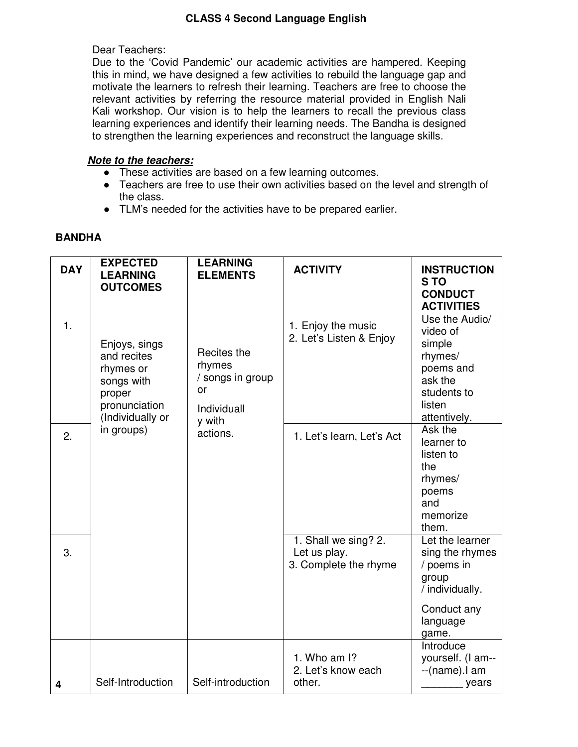## **CLASS 4 Second Language English**

#### Dear Teachers:

Due to the 'Covid Pandemic' our academic activities are hampered. Keeping this in mind, we have designed a few activities to rebuild the language gap and motivate the learners to refresh their learning. Teachers are free to choose the relevant activities by referring the resource material provided in English Nali Kali workshop. Our vision is to help the learners to recall the previous class learning experiences and identify their learning needs. The Bandha is designed to strengthen the learning experiences and reconstruct the language skills.

### **Note to the teachers:**

- These activities are based on a few learning outcomes.
- Teachers are free to use their own activities based on the level and strength of the class.
- TLM's needed for the activities have to be prepared earlier.

| <b>DAY</b> | <b>EXPECTED</b><br><b>LEARNING</b><br><b>OUTCOMES</b>                                                                | <b>LEARNING</b><br><b>ELEMENTS</b>                                                   | <b>ACTIVITY</b>                                                            | <b>INSTRUCTION</b><br>S <sub>TO</sub><br><b>CONDUCT</b><br><b>ACTIVITIES</b>                                                                                                                                  |
|------------|----------------------------------------------------------------------------------------------------------------------|--------------------------------------------------------------------------------------|----------------------------------------------------------------------------|---------------------------------------------------------------------------------------------------------------------------------------------------------------------------------------------------------------|
| 1.<br>2.   | Enjoys, sings<br>and recites<br>rhymes or<br>songs with<br>proper<br>pronunciation<br>(Individually or<br>in groups) | Recites the<br>rhymes<br>/ songs in group<br>or<br>Individuall<br>y with<br>actions. | 1. Enjoy the music<br>2. Let's Listen & Enjoy<br>1. Let's learn, Let's Act | Use the Audio/<br>video of<br>simple<br>rhymes/<br>poems and<br>ask the<br>students to<br>listen<br>attentively.<br>Ask the<br>learner to<br>listen to<br>the<br>rhymes/<br>poems<br>and<br>memorize<br>them. |
| 3.         |                                                                                                                      |                                                                                      | 1. Shall we sing? 2.<br>Let us play.<br>3. Complete the rhyme              | Let the learner<br>sing the rhymes<br>/ poems in<br>group<br>/ individually.<br>Conduct any<br>language<br>game.                                                                                              |
| 4          | Self-Introduction                                                                                                    | Self-introduction                                                                    | 1. Who am $\mathsf{I}$ ?<br>2. Let's know each<br>other.                   | Introduce<br>yourself. (I am--<br>--(name).l am<br>years                                                                                                                                                      |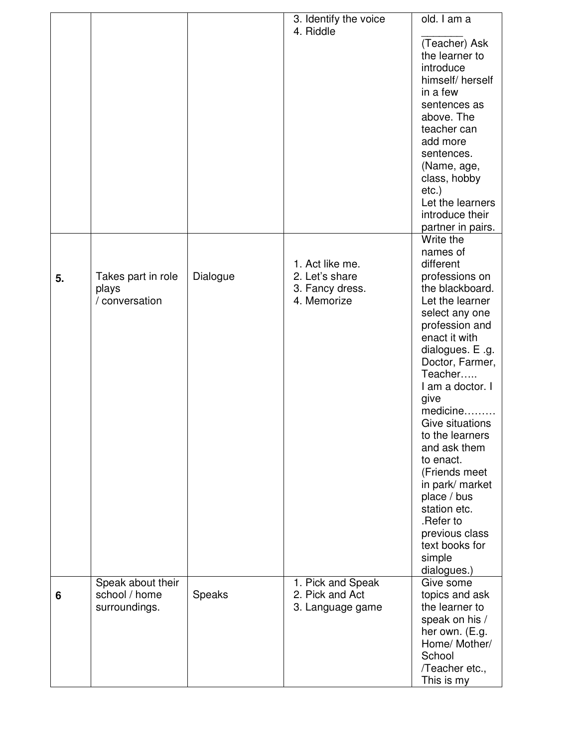|    |                                               |          | 3. Identify the voice                                               | old. I am a                                                                                                                                                                                                                                                                                                                                                                                                                                                                                                                                                                                                                                                                                                            |
|----|-----------------------------------------------|----------|---------------------------------------------------------------------|------------------------------------------------------------------------------------------------------------------------------------------------------------------------------------------------------------------------------------------------------------------------------------------------------------------------------------------------------------------------------------------------------------------------------------------------------------------------------------------------------------------------------------------------------------------------------------------------------------------------------------------------------------------------------------------------------------------------|
|    |                                               |          | 4. Riddle                                                           |                                                                                                                                                                                                                                                                                                                                                                                                                                                                                                                                                                                                                                                                                                                        |
| 5. | Takes part in role<br>plays<br>/ conversation | Dialogue | 1. Act like me.<br>2. Let's share<br>3. Fancy dress.<br>4. Memorize | (Teacher) Ask<br>the learner to<br>introduce<br>himself/herself<br>in a few<br>sentences as<br>above. The<br>teacher can<br>add more<br>sentences.<br>(Name, age,<br>class, hobby<br>$etc.$ )<br>Let the learners<br>introduce their<br>partner in pairs.<br>Write the<br>names of<br>different<br>professions on<br>the blackboard.<br>Let the learner<br>select any one<br>profession and<br>enact it with<br>dialogues. E .g.<br>Doctor, Farmer,<br>Teacher<br>I am a doctor. I<br>give<br>medicine<br>Give situations<br>to the learners<br>and ask them<br>to enact.<br>(Friends meet<br>in park/ market<br>place / bus<br>station etc.<br>.Refer to<br>previous class<br>text books for<br>simple<br>dialogues.) |
|    | Speak about their                             |          | 1. Pick and Speak                                                   | Give some                                                                                                                                                                                                                                                                                                                                                                                                                                                                                                                                                                                                                                                                                                              |
| 6  | school / home<br>surroundings.                | Speaks   | 2. Pick and Act<br>3. Language game                                 | topics and ask<br>the learner to                                                                                                                                                                                                                                                                                                                                                                                                                                                                                                                                                                                                                                                                                       |
|    |                                               |          |                                                                     | speak on his /                                                                                                                                                                                                                                                                                                                                                                                                                                                                                                                                                                                                                                                                                                         |
|    |                                               |          |                                                                     | her own. (E.g.                                                                                                                                                                                                                                                                                                                                                                                                                                                                                                                                                                                                                                                                                                         |
|    |                                               |          |                                                                     | Home/ Mother/                                                                                                                                                                                                                                                                                                                                                                                                                                                                                                                                                                                                                                                                                                          |
|    |                                               |          |                                                                     | School                                                                                                                                                                                                                                                                                                                                                                                                                                                                                                                                                                                                                                                                                                                 |
|    |                                               |          |                                                                     | /Teacher etc.,                                                                                                                                                                                                                                                                                                                                                                                                                                                                                                                                                                                                                                                                                                         |
|    |                                               |          |                                                                     | This is my                                                                                                                                                                                                                                                                                                                                                                                                                                                                                                                                                                                                                                                                                                             |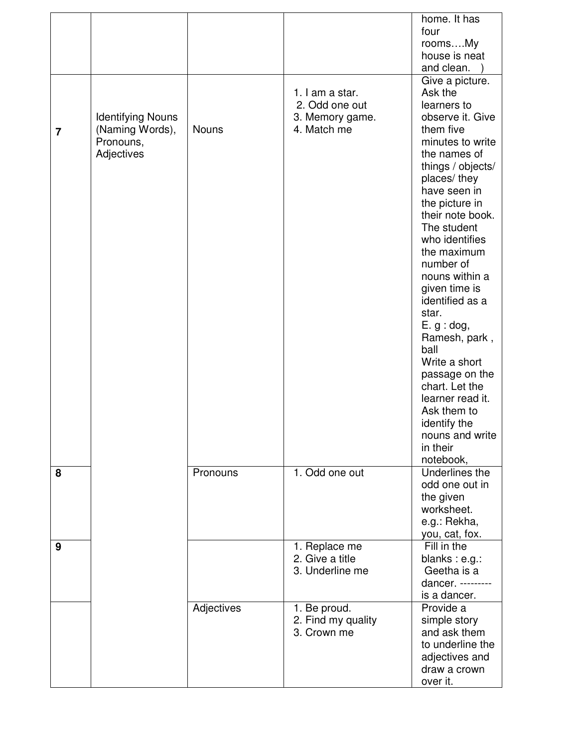|   |                          |              |                    | home. It has                    |
|---|--------------------------|--------------|--------------------|---------------------------------|
|   |                          |              |                    | four                            |
|   |                          |              |                    | roomsMy                         |
|   |                          |              |                    | house is neat                   |
|   |                          |              |                    | and clean.                      |
|   |                          |              |                    | Give a picture.                 |
|   |                          |              | 1. I am a star.    | Ask the                         |
|   |                          |              | 2. Odd one out     | learners to                     |
|   | <b>Identifying Nouns</b> |              | 3. Memory game.    | observe it. Give                |
| 7 | (Naming Words),          | <b>Nouns</b> | 4. Match me        | them five                       |
|   | Pronouns,                |              |                    | minutes to write                |
|   | Adjectives               |              |                    | the names of                    |
|   |                          |              |                    | things / objects/               |
|   |                          |              |                    | places/ they                    |
|   |                          |              |                    | have seen in                    |
|   |                          |              |                    | the picture in                  |
|   |                          |              |                    | their note book.<br>The student |
|   |                          |              |                    | who identifies                  |
|   |                          |              |                    | the maximum                     |
|   |                          |              |                    | number of                       |
|   |                          |              |                    | nouns within a                  |
|   |                          |              |                    | given time is                   |
|   |                          |              |                    | identified as a                 |
|   |                          |              |                    | star.                           |
|   |                          |              |                    | E. g : dog,                     |
|   |                          |              |                    | Ramesh, park,                   |
|   |                          |              |                    | ball                            |
|   |                          |              |                    | Write a short                   |
|   |                          |              |                    | passage on the                  |
|   |                          |              |                    | chart. Let the                  |
|   |                          |              |                    | learner read it.                |
|   |                          |              |                    | Ask them to                     |
|   |                          |              |                    | identify the                    |
|   |                          |              |                    | nouns and write                 |
|   |                          |              |                    | in their                        |
|   |                          |              |                    | notebook,                       |
| 8 |                          | Pronouns     | 1. Odd one out     | Underlines the                  |
|   |                          |              |                    | odd one out in                  |
|   |                          |              |                    | the given<br>worksheet.         |
|   |                          |              |                    | e.g.: Rekha,                    |
|   |                          |              |                    | you, cat, fox.                  |
| 9 |                          |              | 1. Replace me      | Fill in the                     |
|   |                          |              | 2. Give a title    | blanks : e.g.:                  |
|   |                          |              | 3. Underline me    | Geetha is a                     |
|   |                          |              |                    | dancer. ---------               |
|   |                          |              |                    | is a dancer.                    |
|   |                          | Adjectives   | 1. Be proud.       | Provide a                       |
|   |                          |              | 2. Find my quality | simple story                    |
|   |                          |              | 3. Crown me        | and ask them                    |
|   |                          |              |                    | to underline the                |
|   |                          |              |                    | adjectives and                  |
|   |                          |              |                    | draw a crown                    |
|   |                          |              |                    | over it.                        |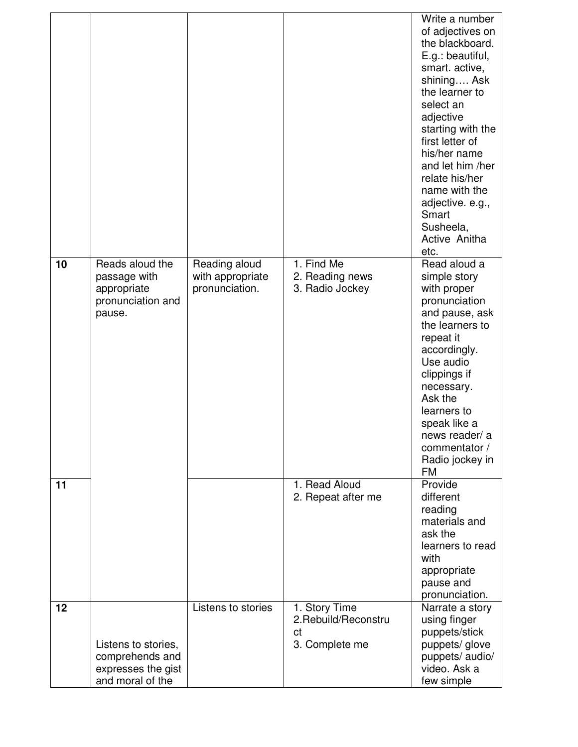| 10 | Reads aloud the                                                                  | Reading aloud                      | 1. Find Me                                                    | Write a number<br>of adjectives on<br>the blackboard.<br>E.g.: beautiful,<br>smart. active,<br>shining Ask<br>the learner to<br>select an<br>adjective<br>starting with the<br>first letter of<br>his/her name<br>and let him /her<br>relate his/her<br>name with the<br>adjective. e.g.,<br>Smart<br>Susheela,<br>Active Anitha<br>etc.<br>Read aloud a |
|----|----------------------------------------------------------------------------------|------------------------------------|---------------------------------------------------------------|----------------------------------------------------------------------------------------------------------------------------------------------------------------------------------------------------------------------------------------------------------------------------------------------------------------------------------------------------------|
|    | passage with<br>appropriate<br>pronunciation and<br>pause.                       | with appropriate<br>pronunciation. | 2. Reading news<br>3. Radio Jockey                            | simple story<br>with proper<br>pronunciation<br>and pause, ask<br>the learners to<br>repeat it<br>accordingly.<br>Use audio<br>clippings if<br>necessary.<br>Ask the<br>learners to<br>speak like a<br>news reader/ a<br>commentator /<br>Radio jockey in<br>FM                                                                                          |
| 11 |                                                                                  |                                    | 1. Read Aloud<br>2. Repeat after me                           | Provide<br>different<br>reading<br>materials and<br>ask the<br>learners to read<br>with<br>appropriate<br>pause and<br>pronunciation.                                                                                                                                                                                                                    |
| 12 | Listens to stories,<br>comprehends and<br>expresses the gist<br>and moral of the | Listens to stories                 | 1. Story Time<br>2. Rebuild/Reconstru<br>ct<br>3. Complete me | Narrate a story<br>using finger<br>puppets/stick<br>puppets/glove<br>puppets/ audio/<br>video. Ask a<br>few simple                                                                                                                                                                                                                                       |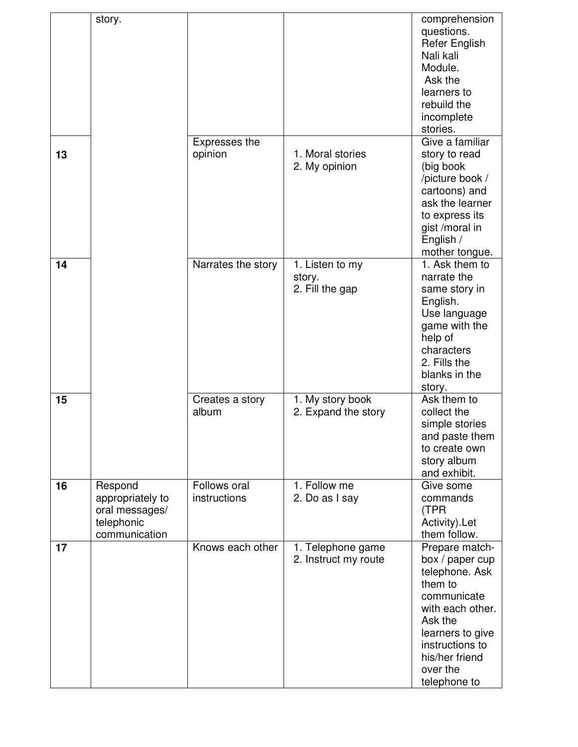|    | story.                                                                       |                              |                                              | comprehension<br>questions.<br><b>Refer English</b><br>Nali kali<br>Module.<br>Ask the<br>learners to<br>rebuild the<br>incomplete<br>stories.                                                    |
|----|------------------------------------------------------------------------------|------------------------------|----------------------------------------------|---------------------------------------------------------------------------------------------------------------------------------------------------------------------------------------------------|
| 13 |                                                                              | Expresses the<br>opinion     | 1. Moral stories<br>2. My opinion            | Give a familiar<br>story to read<br>(big book<br>/picture book /<br>cartoons) and<br>ask the learner<br>to express its<br>gist /moral in<br>English /<br>mother tongue.                           |
| 14 |                                                                              | Narrates the story           | 1. Listen to my<br>story.<br>2. Fill the gap | 1. Ask them to<br>narrate the<br>same story in<br>English.<br>Use language<br>game with the<br>help of<br>characters<br>2. Fills the<br>blanks in the<br>story.                                   |
| 15 |                                                                              | Creates a story<br>album     | 1. My story book<br>2. Expand the story      | Ask them to<br>collect the<br>simple stories<br>and paste them<br>to create own<br>story album<br>and exhibit.                                                                                    |
| 16 | Respond<br>appropriately to<br>oral messages/<br>telephonic<br>communication | Follows oral<br>instructions | 1. Follow me<br>2. Do as I say               | Give some<br>commands<br>(TPR<br>Activity).Let<br>them follow.                                                                                                                                    |
| 17 |                                                                              | Knows each other             | 1. Telephone game<br>2. Instruct my route    | Prepare match-<br>box / paper cup<br>telephone. Ask<br>them to<br>communicate<br>with each other.<br>Ask the<br>learners to give<br>instructions to<br>his/her friend<br>over the<br>telephone to |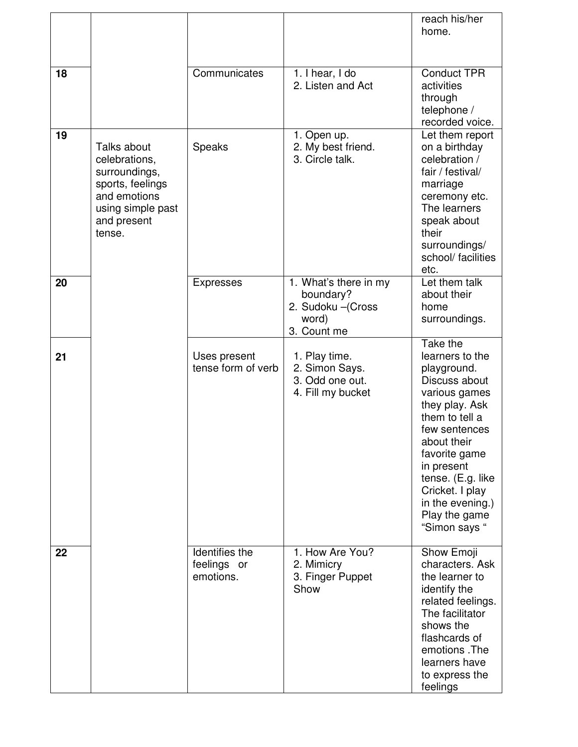|    |                                                                                                                                 |                                            |                                                                                  | reach his/her<br>home.                                                                                                                                                                                                                                                        |
|----|---------------------------------------------------------------------------------------------------------------------------------|--------------------------------------------|----------------------------------------------------------------------------------|-------------------------------------------------------------------------------------------------------------------------------------------------------------------------------------------------------------------------------------------------------------------------------|
| 18 |                                                                                                                                 | Communicates                               | 1. I hear, I do<br>2. Listen and Act                                             | <b>Conduct TPR</b><br>activities<br>through<br>telephone /<br>recorded voice.                                                                                                                                                                                                 |
| 19 | Talks about<br>celebrations,<br>surroundings,<br>sports, feelings<br>and emotions<br>using simple past<br>and present<br>tense. | Speaks                                     | 1. Open up.<br>2. My best friend.<br>3. Circle talk.                             | Let them report<br>on a birthday<br>celebration /<br>fair / festival/<br>marriage<br>ceremony etc.<br>The learners<br>speak about<br>their<br>surroundings/<br>school/ facilities<br>etc.                                                                                     |
| 20 |                                                                                                                                 | <b>Expresses</b>                           | 1. What's there in my<br>boundary?<br>2. Sudoku - (Cross<br>word)<br>3. Count me | Let them talk<br>about their<br>home<br>surroundings.                                                                                                                                                                                                                         |
| 21 |                                                                                                                                 | Uses present<br>tense form of verb         | 1. Play time.<br>2. Simon Says.<br>3. Odd one out.<br>4. Fill my bucket          | Take the<br>learners to the<br>playground.<br>Discuss about<br>various games<br>they play. Ask<br>them to tell a<br>few sentences<br>about their<br>favorite game<br>in present<br>tense. (E.g. like<br>Cricket. I play<br>in the evening.)<br>Play the game<br>"Simon says " |
| 22 |                                                                                                                                 | Identifies the<br>feelings or<br>emotions. | 1. How Are You?<br>2. Mimicry<br>3. Finger Puppet<br>Show                        | Show Emoji<br>characters. Ask<br>the learner to<br>identify the<br>related feelings.<br>The facilitator<br>shows the<br>flashcards of<br>emotions. The<br>learners have<br>to express the<br>feelings                                                                         |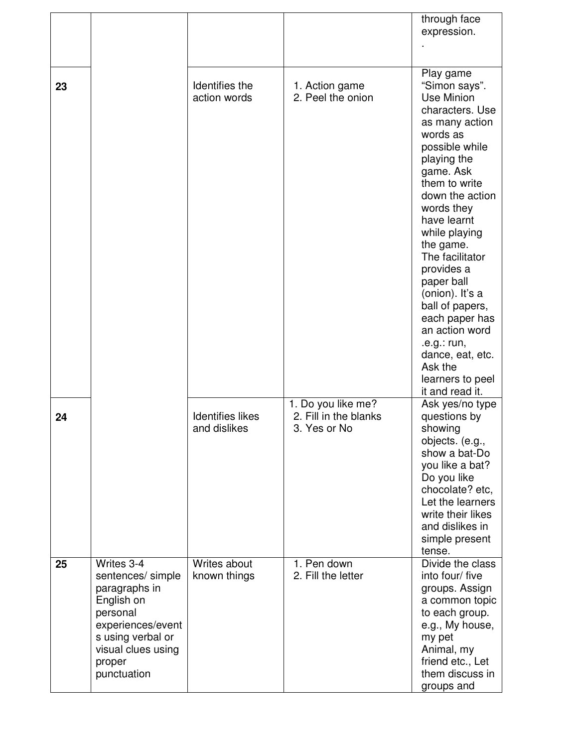|    |                                                                                                                                                                     |                                         |                                                             | through face<br>expression.                                                                                                                                                                                                                                                                                                                                                                                                       |
|----|---------------------------------------------------------------------------------------------------------------------------------------------------------------------|-----------------------------------------|-------------------------------------------------------------|-----------------------------------------------------------------------------------------------------------------------------------------------------------------------------------------------------------------------------------------------------------------------------------------------------------------------------------------------------------------------------------------------------------------------------------|
|    |                                                                                                                                                                     |                                         |                                                             |                                                                                                                                                                                                                                                                                                                                                                                                                                   |
| 23 |                                                                                                                                                                     | Identifies the<br>action words          | 1. Action game<br>2. Peel the onion                         | Play game<br>"Simon says".<br>Use Minion<br>characters. Use<br>as many action<br>words as<br>possible while<br>playing the<br>game. Ask<br>them to write<br>down the action<br>words they<br>have learnt<br>while playing<br>the game.<br>The facilitator<br>provides a<br>paper ball<br>(onion). It's a<br>ball of papers,<br>each paper has<br>an action word<br>.e.g.: run,<br>dance, eat, etc.<br>Ask the<br>learners to peel |
|    |                                                                                                                                                                     |                                         |                                                             | it and read it.                                                                                                                                                                                                                                                                                                                                                                                                                   |
| 24 |                                                                                                                                                                     | <b>Identifies likes</b><br>and dislikes | 1. Do you like me?<br>2. Fill in the blanks<br>3. Yes or No | Ask yes/no type<br>questions by<br>showing<br>objects. (e.g.,<br>show a bat-Do<br>you like a bat?<br>Do you like<br>chocolate? etc,<br>Let the learners<br>write their likes<br>and dislikes in<br>simple present<br>tense.                                                                                                                                                                                                       |
| 25 | Writes 3-4<br>sentences/ simple<br>paragraphs in<br>English on<br>personal<br>experiences/event<br>s using verbal or<br>visual clues using<br>proper<br>punctuation | Writes about<br>known things            | 1. Pen down<br>2. Fill the letter                           | Divide the class<br>into four/ five<br>groups. Assign<br>a common topic<br>to each group.<br>e.g., My house,<br>my pet<br>Animal, my<br>friend etc., Let<br>them discuss in<br>groups and                                                                                                                                                                                                                                         |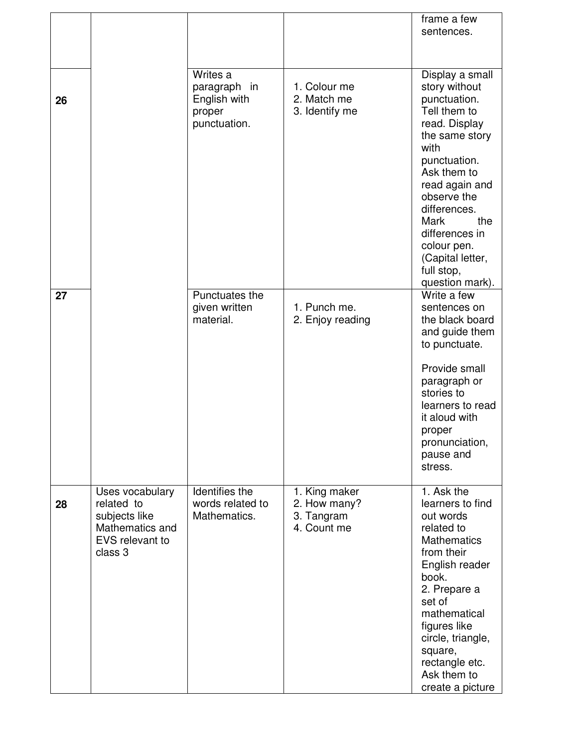|    |                                                                                                 |                                                                    |                                                            | frame a few<br>sentences.                                                                                                                                                                                                                                                                        |
|----|-------------------------------------------------------------------------------------------------|--------------------------------------------------------------------|------------------------------------------------------------|--------------------------------------------------------------------------------------------------------------------------------------------------------------------------------------------------------------------------------------------------------------------------------------------------|
| 26 |                                                                                                 | Writes a<br>paragraph in<br>English with<br>proper<br>punctuation. | 1. Colour me<br>2. Match me<br>3. Identify me              | Display a small<br>story without<br>punctuation.<br>Tell them to<br>read. Display<br>the same story<br>with<br>punctuation.<br>Ask them to<br>read again and<br>observe the<br>differences.<br>Mark<br>the<br>differences in<br>colour pen.<br>(Capital letter,<br>full stop,<br>question mark). |
| 27 |                                                                                                 | Punctuates the<br>given written<br>material.                       | 1. Punch me.<br>2. Enjoy reading                           | Write a few<br>sentences on<br>the black board<br>and guide them<br>to punctuate.<br>Provide small<br>paragraph or<br>stories to<br>learners to read<br>it aloud with<br>proper<br>pronunciation,<br>pause and<br>stress.                                                                        |
| 28 | Uses vocabulary<br>related to<br>subjects like<br>Mathematics and<br>EVS relevant to<br>class 3 | Identifies the<br>words related to<br>Mathematics.                 | 1. King maker<br>2. How many?<br>3. Tangram<br>4. Count me | 1. Ask the<br>learners to find<br>out words<br>related to<br><b>Mathematics</b><br>from their<br>English reader<br>book.<br>2. Prepare a<br>set of<br>mathematical<br>figures like<br>circle, triangle,<br>square,<br>rectangle etc.<br>Ask them to<br>create a picture                          |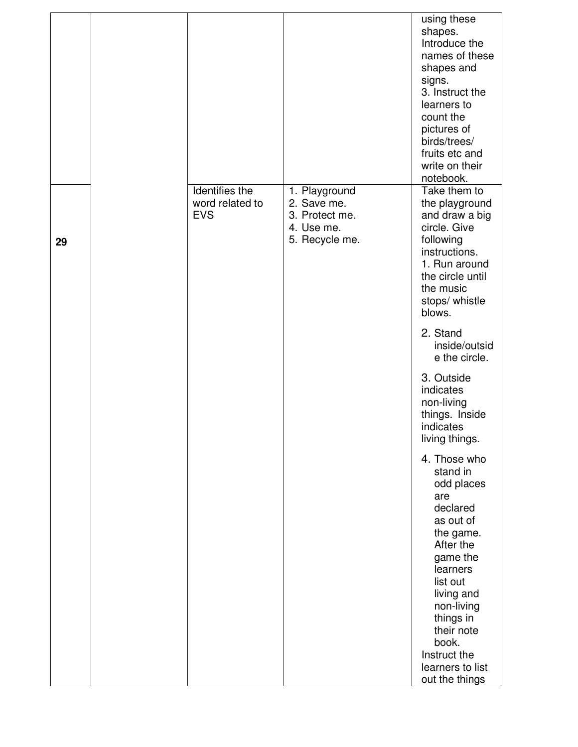|                                                 |                                                                                | using these<br>shapes.<br>Introduce the<br>names of these<br>shapes and<br>signs.<br>3. Instruct the<br>learners to<br>count the<br>pictures of<br>birds/trees/<br>fruits etc and<br>write on their<br>notebook.                         |
|-------------------------------------------------|--------------------------------------------------------------------------------|------------------------------------------------------------------------------------------------------------------------------------------------------------------------------------------------------------------------------------------|
| Identifies the<br>word related to<br><b>EVS</b> | 1. Playground<br>2. Save me.<br>3. Protect me.<br>4. Use me.<br>5. Recycle me. | Take them to<br>the playground<br>and draw a big<br>circle. Give<br>following<br>instructions.<br>1. Run around<br>the circle until<br>the music<br>stops/ whistle<br>blows.<br>2. Stand                                                 |
|                                                 |                                                                                | inside/outsid<br>e the circle.<br>3. Outside<br>indicates<br>non-living<br>things. Inside<br>indicates<br>living things.                                                                                                                 |
|                                                 |                                                                                | 4. Those who<br>stand in<br>odd places<br>are<br>declared<br>as out of<br>the game.<br>After the<br>game the<br>learners<br>list out<br>living and<br>non-living<br>things in<br>their note<br>book.<br>Instruct the<br>learners to list |
|                                                 |                                                                                |                                                                                                                                                                                                                                          |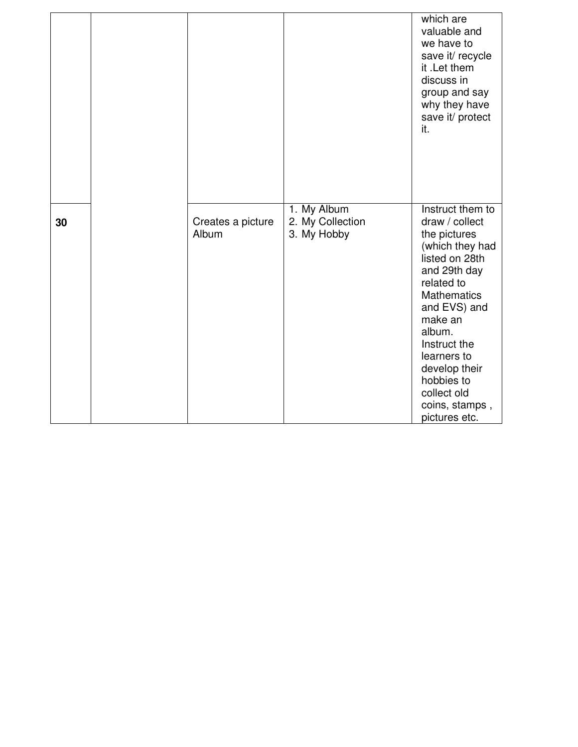|    |                            |                                                | which are<br>valuable and<br>we have to<br>save it/ recycle<br>it .Let them<br>discuss in<br>group and say<br>why they have<br>save it/ protect<br>it.                                                                                                                                           |
|----|----------------------------|------------------------------------------------|--------------------------------------------------------------------------------------------------------------------------------------------------------------------------------------------------------------------------------------------------------------------------------------------------|
| 30 | Creates a picture<br>Album | 1. My Album<br>2. My Collection<br>3. My Hobby | Instruct them to<br>draw / collect<br>the pictures<br>(which they had<br>listed on 28th<br>and 29th day<br>related to<br><b>Mathematics</b><br>and EVS) and<br>make an<br>album.<br>Instruct the<br>learners to<br>develop their<br>hobbies to<br>collect old<br>coins, stamps,<br>pictures etc. |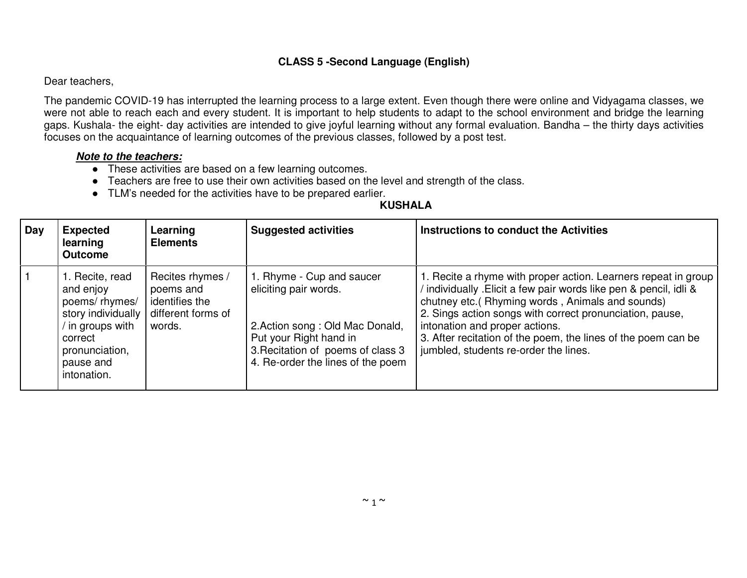## **CLASS 5 -Second Language (English)**

### Dear teachers,

The pandemic COVID-19 has interrupted the learning process to a large extent. Even though there were online and Vidyagama classes, we were not able to reach each and every student. It is important to help students to adapt to the school environment and bridge the learning gaps. Kushala- the eight- day activities are intended to give joyful learning without any formal evaluation. Bandha – the thirty days activities focuses on the acquaintance of learning outcomes of the previous classes, followed by a post test.

### **Note to the teachers:**

- These activities are based on a few learning outcomes.
- Teachers are free to use their own activities based on the level and strength of the class.
- TLM's needed for the activities have to be prepared earlier.

| Day | <b>Expected</b><br>learning<br><b>Outcome</b>                                                                                                                | Learning<br><b>Elements</b>                                                     | <b>Suggested activities</b>                                                                                                                                                               | Instructions to conduct the Activities                                                                                                                                                                                                                                                                                                                                                           |
|-----|--------------------------------------------------------------------------------------------------------------------------------------------------------------|---------------------------------------------------------------------------------|-------------------------------------------------------------------------------------------------------------------------------------------------------------------------------------------|--------------------------------------------------------------------------------------------------------------------------------------------------------------------------------------------------------------------------------------------------------------------------------------------------------------------------------------------------------------------------------------------------|
|     | 1. Recite, read<br>and enjoy<br>poems/rhymes/<br>story individually<br>$\frac{1}{1}$ in groups with<br>correct<br>pronunciation,<br>pause and<br>intonation. | Recites rhymes /<br>poems and<br>identifies the<br>different forms of<br>words. | 1. Rhyme - Cup and saucer<br>eliciting pair words.<br>2. Action song: Old Mac Donald,<br>Put your Right hand in<br>3. Recitation of poems of class 3<br>4. Re-order the lines of the poem | 1. Recite a rhyme with proper action. Learners repeat in group<br>/ individually . Elicit a few pair words like pen & pencil, idli &<br>chutney etc.( Rhyming words, Animals and sounds)<br>2. Sings action songs with correct pronunciation, pause,<br>intonation and proper actions.<br>3. After recitation of the poem, the lines of the poem can be<br>jumbled, students re-order the lines. |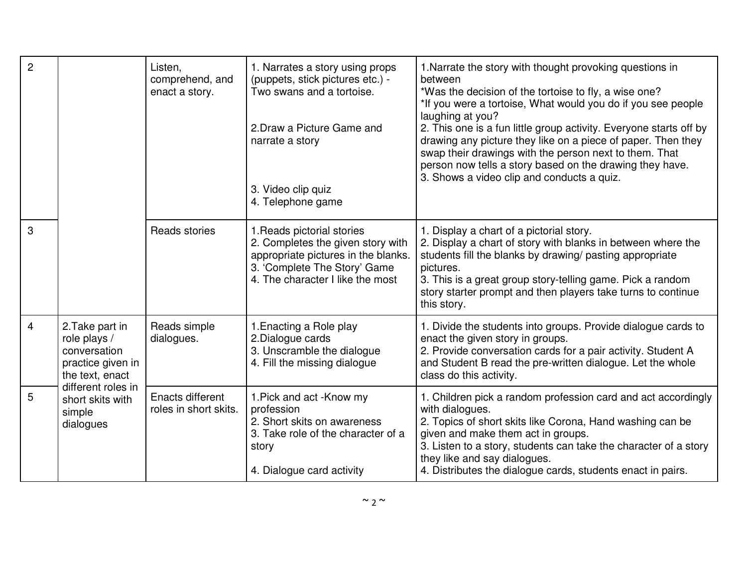| $\overline{2}$ |                                                                                         | Listen,<br>comprehend, and<br>enact a story. | 1. Narrates a story using props<br>(puppets, stick pictures etc.) -<br>Two swans and a tortoise.<br>2. Draw a Picture Game and<br>narrate a story<br>3. Video clip quiz<br>4. Telephone game | 1. Narrate the story with thought provoking questions in<br>between<br>*Was the decision of the tortoise to fly, a wise one?<br>*If you were a tortoise, What would you do if you see people<br>laughing at you?<br>2. This one is a fun little group activity. Everyone starts off by<br>drawing any picture they like on a piece of paper. Then they<br>swap their drawings with the person next to them. That<br>person now tells a story based on the drawing they have.<br>3. Shows a video clip and conducts a quiz. |
|----------------|-----------------------------------------------------------------------------------------|----------------------------------------------|----------------------------------------------------------------------------------------------------------------------------------------------------------------------------------------------|----------------------------------------------------------------------------------------------------------------------------------------------------------------------------------------------------------------------------------------------------------------------------------------------------------------------------------------------------------------------------------------------------------------------------------------------------------------------------------------------------------------------------|
| 3              |                                                                                         | Reads stories                                | 1. Reads pictorial stories<br>2. Completes the given story with<br>appropriate pictures in the blanks.<br>3. 'Complete The Story' Game<br>4. The character I like the most                   | 1. Display a chart of a pictorial story.<br>2. Display a chart of story with blanks in between where the<br>students fill the blanks by drawing/ pasting appropriate<br>pictures.<br>3. This is a great group story-telling game. Pick a random<br>story starter prompt and then players take turns to continue<br>this story.                                                                                                                                                                                             |
| $\overline{4}$ | 2. Take part in<br>role plays /<br>conversation<br>practice given in<br>the text, enact | Reads simple<br>dialogues.                   | 1. Enacting a Role play<br>2. Dialogue cards<br>3. Unscramble the dialogue<br>4. Fill the missing dialogue                                                                                   | 1. Divide the students into groups. Provide dialogue cards to<br>enact the given story in groups.<br>2. Provide conversation cards for a pair activity. Student A<br>and Student B read the pre-written dialogue. Let the whole<br>class do this activity.                                                                                                                                                                                                                                                                 |
| 5              | different roles in<br>short skits with<br>simple<br>dialogues                           | Enacts different<br>roles in short skits.    | 1. Pick and act - Know my<br>profession<br>2. Short skits on awareness<br>3. Take role of the character of a<br>story<br>4. Dialogue card activity                                           | 1. Children pick a random profession card and act accordingly<br>with dialogues.<br>2. Topics of short skits like Corona, Hand washing can be<br>given and make them act in groups.<br>3. Listen to a story, students can take the character of a story<br>they like and say dialogues.<br>4. Distributes the dialogue cards, students enact in pairs.                                                                                                                                                                     |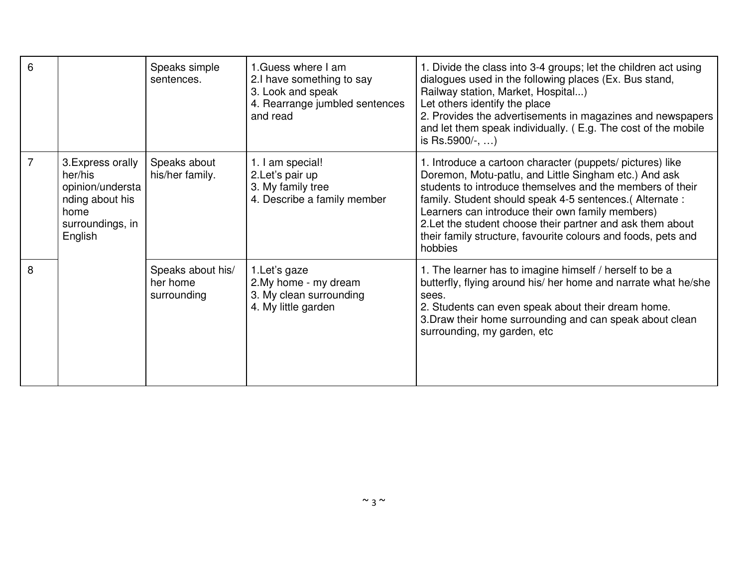| 6 |                                                                                                            | Speaks simple<br>sentences.                  | 1. Guess where I am<br>2.I have something to say<br>3. Look and speak<br>4. Rearrange jumbled sentences<br>and read | 1. Divide the class into 3-4 groups; let the children act using<br>dialogues used in the following places (Ex. Bus stand,<br>Railway station, Market, Hospital)<br>Let others identify the place<br>2. Provides the advertisements in magazines and newspapers<br>and let them speak individually. (E.g. The cost of the mobile<br>is Rs.5900/-, )                                                                                       |
|---|------------------------------------------------------------------------------------------------------------|----------------------------------------------|---------------------------------------------------------------------------------------------------------------------|------------------------------------------------------------------------------------------------------------------------------------------------------------------------------------------------------------------------------------------------------------------------------------------------------------------------------------------------------------------------------------------------------------------------------------------|
| 7 | 3. Express orally<br>her/his<br>opinion/understa<br>nding about his<br>home<br>surroundings, in<br>English | Speaks about<br>his/her family.              | am special!<br>2.Let's pair up<br>3. My family tree<br>4. Describe a family member                                  | 1. Introduce a cartoon character (puppets/ pictures) like<br>Doremon, Motu-patlu, and Little Singham etc.) And ask<br>students to introduce themselves and the members of their<br>family. Student should speak 4-5 sentences. (Alternate:<br>Learners can introduce their own family members)<br>2. Let the student choose their partner and ask them about<br>their family structure, favourite colours and foods, pets and<br>hobbies |
| 8 |                                                                                                            | Speaks about his/<br>her home<br>surrounding | 1. Let's gaze<br>2. My home - my dream<br>3. My clean surrounding<br>4. My little garden                            | 1. The learner has to imagine himself / herself to be a<br>butterfly, flying around his/ her home and narrate what he/she<br>sees.<br>2. Students can even speak about their dream home.<br>3. Draw their home surrounding and can speak about clean<br>surrounding, my garden, etc                                                                                                                                                      |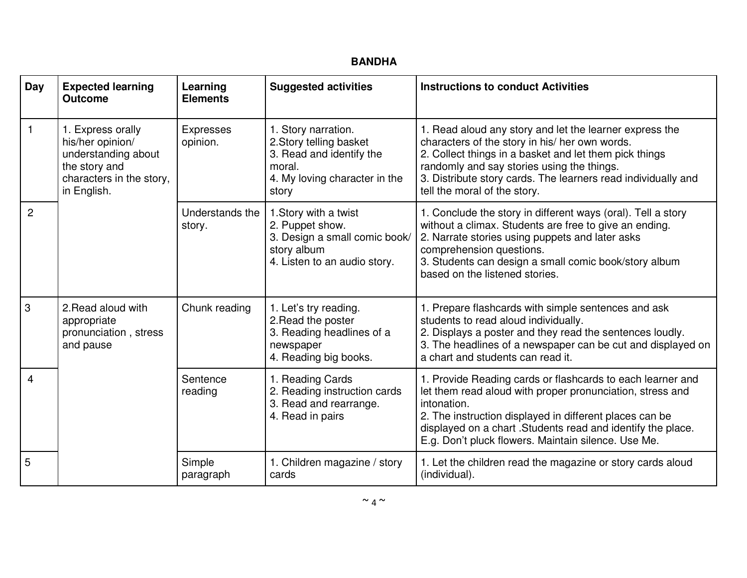| Day            | <b>Expected learning</b><br><b>Outcome</b>                                                                               | Learning<br><b>Elements</b>  | <b>Suggested activities</b>                                                                                                    | <b>Instructions to conduct Activities</b>                                                                                                                                                                                                                                                                                |
|----------------|--------------------------------------------------------------------------------------------------------------------------|------------------------------|--------------------------------------------------------------------------------------------------------------------------------|--------------------------------------------------------------------------------------------------------------------------------------------------------------------------------------------------------------------------------------------------------------------------------------------------------------------------|
| 1              | 1. Express orally<br>his/her opinion/<br>understanding about<br>the story and<br>characters in the story,<br>in English. | <b>Expresses</b><br>opinion. | 1. Story narration.<br>2. Story telling basket<br>3. Read and identify the<br>moral.<br>4. My loving character in the<br>story | 1. Read aloud any story and let the learner express the<br>characters of the story in his/ her own words.<br>2. Collect things in a basket and let them pick things<br>randomly and say stories using the things.<br>3. Distribute story cards. The learners read individually and<br>tell the moral of the story.       |
| $\overline{c}$ |                                                                                                                          | Understands the<br>story.    | 1. Story with a twist<br>2. Puppet show.<br>3. Design a small comic book/<br>story album<br>4. Listen to an audio story.       | 1. Conclude the story in different ways (oral). Tell a story<br>without a climax. Students are free to give an ending.<br>2. Narrate stories using puppets and later asks<br>comprehension questions.<br>3. Students can design a small comic book/story album<br>based on the listened stories.                         |
| 3              | 2. Read aloud with<br>appropriate<br>pronunciation, stress<br>and pause                                                  | Chunk reading                | 1. Let's try reading.<br>2. Read the poster<br>3. Reading headlines of a<br>newspaper<br>4. Reading big books.                 | 1. Prepare flashcards with simple sentences and ask<br>students to read aloud individually.<br>2. Displays a poster and they read the sentences loudly.<br>3. The headlines of a newspaper can be cut and displayed on<br>a chart and students can read it.                                                              |
| 4              |                                                                                                                          | Sentence<br>reading          | 1. Reading Cards<br>2. Reading instruction cards<br>3. Read and rearrange.<br>4. Read in pairs                                 | 1. Provide Reading cards or flashcards to each learner and<br>let them read aloud with proper pronunciation, stress and<br>intonation.<br>2. The instruction displayed in different places can be<br>displayed on a chart . Students read and identify the place.<br>E.g. Don't pluck flowers. Maintain silence. Use Me. |
| 5              |                                                                                                                          | Simple<br>paragraph          | 1. Children magazine / story<br>cards                                                                                          | 1. Let the children read the magazine or story cards aloud<br>(individual).                                                                                                                                                                                                                                              |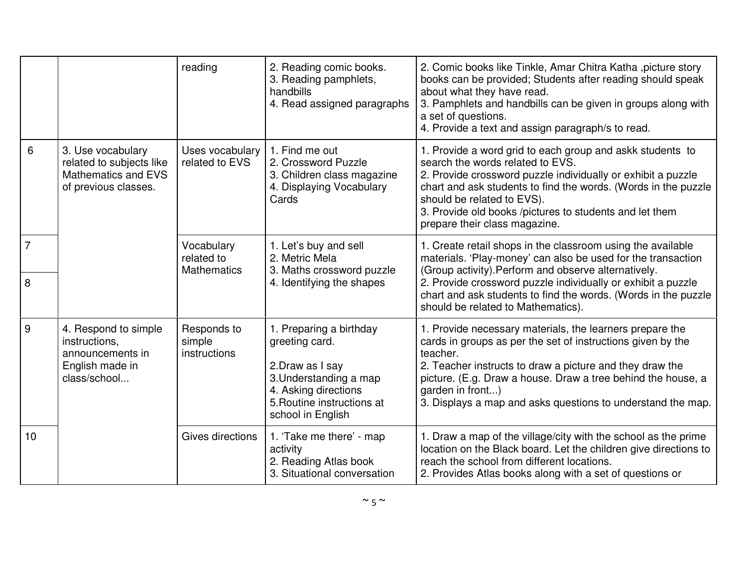|                     |                                                                                                     | reading                                        | 2. Reading comic books.<br>3. Reading pamphlets,<br>handbills<br>4. Read assigned paragraphs                                                                       | 2. Comic books like Tinkle, Amar Chitra Katha, picture story<br>books can be provided; Students after reading should speak<br>about what they have read.<br>3. Pamphlets and handbills can be given in groups along with<br>a set of questions.<br>4. Provide a text and assign paragraph/s to read.                                                        |
|---------------------|-----------------------------------------------------------------------------------------------------|------------------------------------------------|--------------------------------------------------------------------------------------------------------------------------------------------------------------------|-------------------------------------------------------------------------------------------------------------------------------------------------------------------------------------------------------------------------------------------------------------------------------------------------------------------------------------------------------------|
| 6                   | 3. Use vocabulary<br>related to subjects like<br><b>Mathematics and EVS</b><br>of previous classes. | Uses vocabulary<br>related to EVS              | 1. Find me out<br>2. Crossword Puzzle<br>3. Children class magazine<br>4. Displaying Vocabulary<br>Cards                                                           | 1. Provide a word grid to each group and askk students to<br>search the words related to EVS.<br>2. Provide crossword puzzle individually or exhibit a puzzle<br>chart and ask students to find the words. (Words in the puzzle<br>should be related to EVS).<br>3. Provide old books /pictures to students and let them<br>prepare their class magazine.   |
| $\overline{7}$<br>8 |                                                                                                     | Vocabulary<br>related to<br><b>Mathematics</b> | 1. Let's buy and sell<br>2. Metric Mela<br>3. Maths crossword puzzle<br>4. Identifying the shapes                                                                  | 1. Create retail shops in the classroom using the available<br>materials. 'Play-money' can also be used for the transaction<br>(Group activity). Perform and observe alternatively.<br>2. Provide crossword puzzle individually or exhibit a puzzle<br>chart and ask students to find the words. (Words in the puzzle<br>should be related to Mathematics). |
| 9                   | 4. Respond to simple<br>instructions,<br>announcements in<br>English made in<br>class/school        | Responds to<br>simple<br>instructions          | 1. Preparing a birthday<br>greeting card.<br>2. Draw as I say<br>3. Understanding a map<br>4. Asking directions<br>5. Routine instructions at<br>school in English | 1. Provide necessary materials, the learners prepare the<br>cards in groups as per the set of instructions given by the<br>teacher.<br>2. Teacher instructs to draw a picture and they draw the<br>picture. (E.g. Draw a house. Draw a tree behind the house, a<br>garden in front)<br>3. Displays a map and asks questions to understand the map.          |
| 10                  |                                                                                                     | Gives directions                               | 1. 'Take me there' - map<br>activity<br>2. Reading Atlas book<br>3. Situational conversation                                                                       | 1. Draw a map of the village/city with the school as the prime<br>location on the Black board. Let the children give directions to<br>reach the school from different locations.<br>2. Provides Atlas books along with a set of questions or                                                                                                                |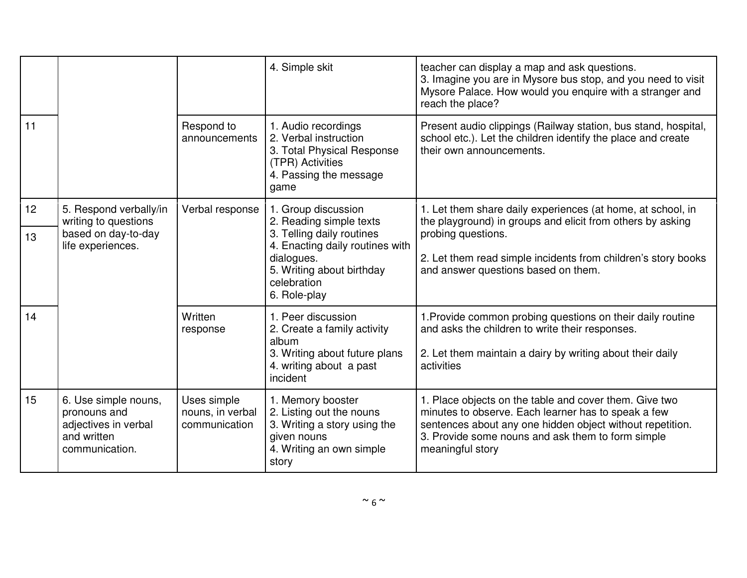|    |                                                                                               |                                                  | 4. Simple skit                                                                                                                         | teacher can display a map and ask questions.<br>3. Imagine you are in Mysore bus stop, and you need to visit<br>Mysore Palace. How would you enquire with a stranger and<br>reach the place?                                                        |
|----|-----------------------------------------------------------------------------------------------|--------------------------------------------------|----------------------------------------------------------------------------------------------------------------------------------------|-----------------------------------------------------------------------------------------------------------------------------------------------------------------------------------------------------------------------------------------------------|
| 11 |                                                                                               | Respond to<br>announcements                      | 1. Audio recordings<br>2. Verbal instruction<br>3. Total Physical Response<br>(TPR) Activities<br>4. Passing the message<br>game       | Present audio clippings (Railway station, bus stand, hospital,<br>school etc.). Let the children identify the place and create<br>their own announcements.                                                                                          |
| 12 | 5. Respond verbally/in<br>writing to questions                                                | Verbal response                                  | 1. Group discussion<br>2. Reading simple texts                                                                                         | 1. Let them share daily experiences (at home, at school, in<br>the playground) in groups and elicit from others by asking                                                                                                                           |
| 13 | based on day-to-day<br>life experiences.                                                      |                                                  | 3. Telling daily routines<br>4. Enacting daily routines with<br>dialogues.<br>5. Writing about birthday<br>celebration<br>6. Role-play | probing questions.<br>2. Let them read simple incidents from children's story books<br>and answer questions based on them.                                                                                                                          |
| 14 |                                                                                               | Written<br>response                              | 1. Peer discussion<br>2. Create a family activity<br>album<br>3. Writing about future plans<br>4. writing about a past<br>incident     | 1. Provide common probing questions on their daily routine<br>and asks the children to write their responses.<br>2. Let them maintain a dairy by writing about their daily<br>activities                                                            |
| 15 | 6. Use simple nouns,<br>pronouns and<br>adjectives in verbal<br>and written<br>communication. | Uses simple<br>nouns, in verbal<br>communication | 1. Memory booster<br>2. Listing out the nouns<br>3. Writing a story using the<br>given nouns<br>4. Writing an own simple<br>story      | 1. Place objects on the table and cover them. Give two<br>minutes to observe. Each learner has to speak a few<br>sentences about any one hidden object without repetition.<br>3. Provide some nouns and ask them to form simple<br>meaningful story |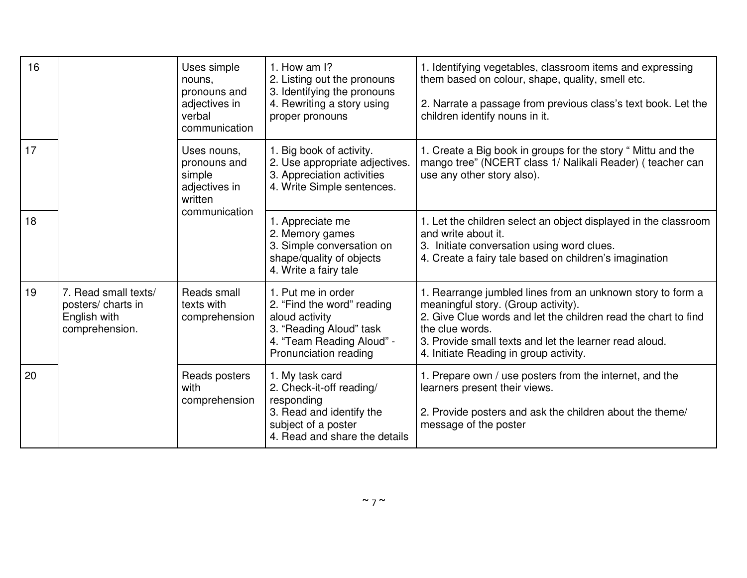| 16 |                                                                              | Uses simple<br>nouns,<br>pronouns and<br>adjectives in<br>verbal<br>communication                                     | 1. How am $\mathsf{I}$ ?<br>2. Listing out the pronouns<br>3. Identifying the pronouns<br>4. Rewriting a story using<br>proper pronouns                                                        | 1. Identifying vegetables, classroom items and expressing<br>them based on colour, shape, quality, smell etc.<br>2. Narrate a passage from previous class's text book. Let the<br>children identify nouns in it.                                                                           |
|----|------------------------------------------------------------------------------|-----------------------------------------------------------------------------------------------------------------------|------------------------------------------------------------------------------------------------------------------------------------------------------------------------------------------------|--------------------------------------------------------------------------------------------------------------------------------------------------------------------------------------------------------------------------------------------------------------------------------------------|
| 17 |                                                                              | Uses nouns,<br>pronouns and<br>simple<br>adjectives in<br>written                                                     | 1. Big book of activity.<br>2. Use appropriate adjectives.<br>3. Appreciation activities<br>4. Write Simple sentences.                                                                         | 1. Create a Big book in groups for the story " Mittu and the<br>mango tree" (NCERT class 1/ Nalikali Reader) (teacher can<br>use any other story also).                                                                                                                                    |
| 18 | communication                                                                | 1. Appreciate me<br>2. Memory games<br>3. Simple conversation on<br>shape/quality of objects<br>4. Write a fairy tale | 1. Let the children select an object displayed in the classroom<br>and write about it.<br>3. Initiate conversation using word clues.<br>4. Create a fairy tale based on children's imagination |                                                                                                                                                                                                                                                                                            |
| 19 | 7. Read small texts/<br>posters/ charts in<br>English with<br>comprehension. | Reads small<br>texts with<br>comprehension                                                                            | 1. Put me in order<br>2. "Find the word" reading<br>aloud activity<br>3. "Reading Aloud" task<br>4. "Team Reading Aloud" -<br>Pronunciation reading                                            | 1. Rearrange jumbled lines from an unknown story to form a<br>meaningful story. (Group activity).<br>2. Give Clue words and let the children read the chart to find<br>the clue words.<br>3. Provide small texts and let the learner read aloud.<br>4. Initiate Reading in group activity. |
| 20 |                                                                              | Reads posters<br>with<br>comprehension                                                                                | 1. My task card<br>2. Check-it-off reading/<br>responding<br>3. Read and identify the<br>subject of a poster<br>4. Read and share the details                                                  | 1. Prepare own / use posters from the internet, and the<br>learners present their views.<br>2. Provide posters and ask the children about the theme/<br>message of the poster                                                                                                              |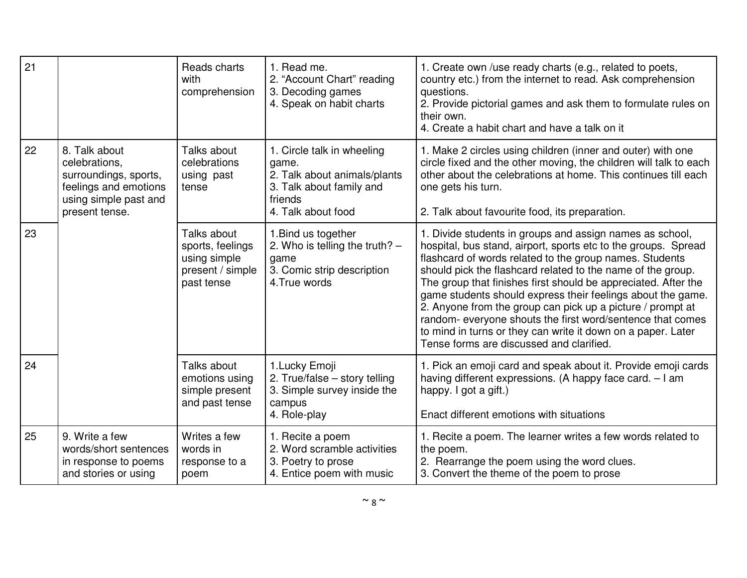| 21 |                                                                                                                             | Reads charts<br>with<br>comprehension                                             | 1. Read me.<br>2. "Account Chart" reading<br>3. Decoding games<br>4. Speak on habit charts                                       | 1. Create own /use ready charts (e.g., related to poets,<br>country etc.) from the internet to read. Ask comprehension<br>questions.<br>2. Provide pictorial games and ask them to formulate rules on<br>their own.<br>4. Create a habit chart and have a talk on it                                                                                                                                                                                                                                                                                                                                                          |
|----|-----------------------------------------------------------------------------------------------------------------------------|-----------------------------------------------------------------------------------|----------------------------------------------------------------------------------------------------------------------------------|-------------------------------------------------------------------------------------------------------------------------------------------------------------------------------------------------------------------------------------------------------------------------------------------------------------------------------------------------------------------------------------------------------------------------------------------------------------------------------------------------------------------------------------------------------------------------------------------------------------------------------|
| 22 | 8. Talk about<br>celebrations,<br>surroundings, sports,<br>feelings and emotions<br>using simple past and<br>present tense. | Talks about<br>celebrations<br>using past<br>tense                                | 1. Circle talk in wheeling<br>game.<br>2. Talk about animals/plants<br>3. Talk about family and<br>friends<br>4. Talk about food | 1. Make 2 circles using children (inner and outer) with one<br>circle fixed and the other moving, the children will talk to each<br>other about the celebrations at home. This continues till each<br>one gets his turn.<br>2. Talk about favourite food, its preparation.                                                                                                                                                                                                                                                                                                                                                    |
| 23 |                                                                                                                             | Talks about<br>sports, feelings<br>using simple<br>present / simple<br>past tense | 1. Bind us together<br>2. Who is telling the truth? $-$<br>game<br>3. Comic strip description<br>4. True words                   | 1. Divide students in groups and assign names as school,<br>hospital, bus stand, airport, sports etc to the groups. Spread<br>flashcard of words related to the group names. Students<br>should pick the flashcard related to the name of the group.<br>The group that finishes first should be appreciated. After the<br>game students should express their feelings about the game.<br>2. Anyone from the group can pick up a picture / prompt at<br>random- everyone shouts the first word/sentence that comes<br>to mind in turns or they can write it down on a paper. Later<br>Tense forms are discussed and clarified. |
| 24 |                                                                                                                             | Talks about<br>emotions using<br>simple present<br>and past tense                 | 1. Lucky Emoji<br>2. True/false - story telling<br>3. Simple survey inside the<br>campus<br>4. Role-play                         | 1. Pick an emoji card and speak about it. Provide emoji cards<br>having different expressions. (A happy face card. - I am<br>happy. I got a gift.)<br>Enact different emotions with situations                                                                                                                                                                                                                                                                                                                                                                                                                                |
| 25 | 9. Write a few<br>words/short sentences<br>in response to poems<br>and stories or using                                     | Writes a few<br>words in<br>response to a<br>poem                                 | 1. Recite a poem<br>2. Word scramble activities<br>3. Poetry to prose<br>4. Entice poem with music                               | 1. Recite a poem. The learner writes a few words related to<br>the poem.<br>2. Rearrange the poem using the word clues.<br>3. Convert the theme of the poem to prose                                                                                                                                                                                                                                                                                                                                                                                                                                                          |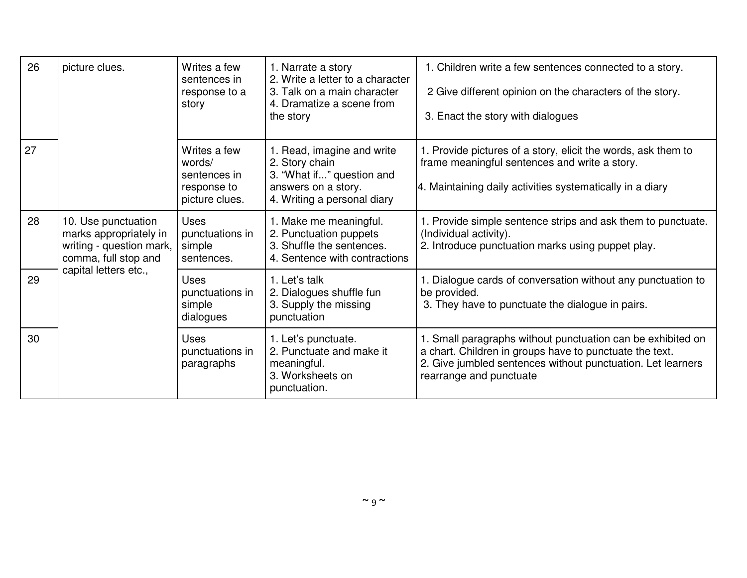| 26 | picture clues.                                                                                    | Writes a few<br>sentences in<br>response to a<br>story                  | 1. Narrate a story<br>2. Write a letter to a character<br>3. Talk on a main character<br>4. Dramatize a scene from<br>the story | 1. Children write a few sentences connected to a story.<br>2 Give different opinion on the characters of the story.<br>3. Enact the story with dialogues                                                         |
|----|---------------------------------------------------------------------------------------------------|-------------------------------------------------------------------------|---------------------------------------------------------------------------------------------------------------------------------|------------------------------------------------------------------------------------------------------------------------------------------------------------------------------------------------------------------|
| 27 |                                                                                                   | Writes a few<br>words/<br>sentences in<br>response to<br>picture clues. | 1. Read, imagine and write<br>2. Story chain<br>3. "What if" question and<br>answers on a story.<br>4. Writing a personal diary | 1. Provide pictures of a story, elicit the words, ask them to<br>frame meaningful sentences and write a story.<br>4. Maintaining daily activities systematically in a diary                                      |
| 28 | 10. Use punctuation<br>marks appropriately in<br>writing - question mark,<br>comma, full stop and | <b>Uses</b><br>punctuations in<br>simple<br>sentences.                  | 1. Make me meaningful.<br>2. Punctuation puppets<br>3. Shuffle the sentences.<br>4. Sentence with contractions                  | 1. Provide simple sentence strips and ask them to punctuate.<br>(Individual activity).<br>2. Introduce punctuation marks using puppet play.                                                                      |
| 29 | capital letters etc.,                                                                             | <b>Uses</b><br>punctuations in<br>simple<br>dialogues                   | 1. Let's talk<br>2. Dialogues shuffle fun<br>3. Supply the missing<br>punctuation                                               | 1. Dialogue cards of conversation without any punctuation to<br>be provided.<br>3. They have to punctuate the dialogue in pairs.                                                                                 |
| 30 |                                                                                                   | <b>Uses</b><br>punctuations in<br>paragraphs                            | 1. Let's punctuate.<br>2. Punctuate and make it<br>meaningful.<br>3. Worksheets on<br>punctuation.                              | 1. Small paragraphs without punctuation can be exhibited on<br>a chart. Children in groups have to punctuate the text.<br>2. Give jumbled sentences without punctuation. Let learners<br>rearrange and punctuate |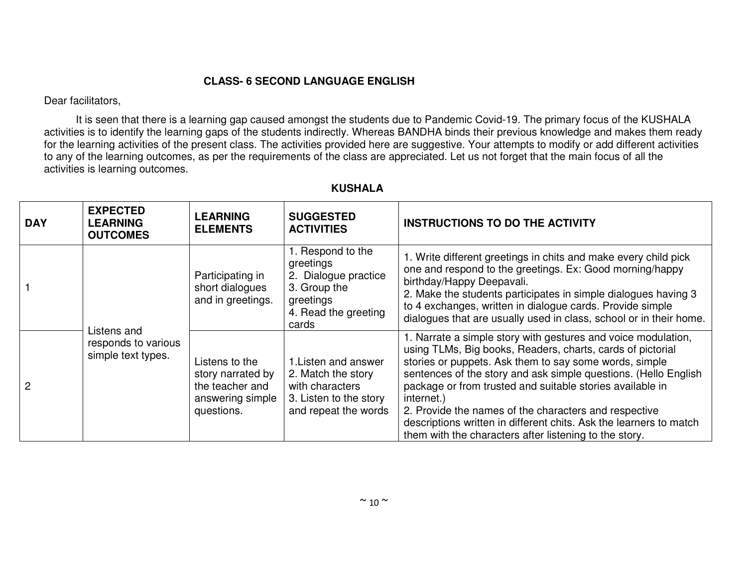### **CLASS- 6 SECOND LANGUAGE ENGLISH**

Dear facilitators,

 It is seen that there is a learning gap caused amongst the students due to Pandemic Covid-19. The primary focus of the KUSHALA activities is to identify the learning gaps of the students indirectly. Whereas BANDHA binds their previous knowledge and makes them ready for the learning activities of the present class. The activities provided here are suggestive. Your attempts to modify or add different activities to any of the learning outcomes, as per the requirements of the class are appreciated. Let us not forget that the main focus of all the activities is learning outcomes.

| <b>DAY</b>     | <b>EXPECTED</b><br><b>LEARNING</b><br><b>OUTCOMES</b>    | <b>LEARNING</b><br><b>ELEMENTS</b>                                                       | <b>SUGGESTED</b><br><b>ACTIVITIES</b>                                                                                | <b>INSTRUCTIONS TO DO THE ACTIVITY</b>                                                                                                                                                                                                                                                                                                                                                                                                                                                                                       |
|----------------|----------------------------------------------------------|------------------------------------------------------------------------------------------|----------------------------------------------------------------------------------------------------------------------|------------------------------------------------------------------------------------------------------------------------------------------------------------------------------------------------------------------------------------------------------------------------------------------------------------------------------------------------------------------------------------------------------------------------------------------------------------------------------------------------------------------------------|
|                |                                                          | Participating in<br>short dialogues<br>and in greetings.                                 | 1. Respond to the<br>greetings<br>2. Dialogue practice<br>3. Group the<br>greetings<br>4. Read the greeting<br>cards | 1. Write different greetings in chits and make every child pick<br>one and respond to the greetings. Ex: Good morning/happy<br>birthday/Happy Deepavali.<br>2. Make the students participates in simple dialogues having 3<br>to 4 exchanges, written in dialogue cards. Provide simple<br>dialogues that are usually used in class, school or in their home.                                                                                                                                                                |
| $\overline{2}$ | Listens and<br>responds to various<br>simple text types. | Listens to the<br>story narrated by<br>the teacher and<br>answering simple<br>questions. | 1. Listen and answer<br>2. Match the story<br>with characters<br>3. Listen to the story<br>and repeat the words      | 1. Narrate a simple story with gestures and voice modulation,<br>using TLMs, Big books, Readers, charts, cards of pictorial<br>stories or puppets. Ask them to say some words, simple<br>sentences of the story and ask simple questions. (Hello English<br>package or from trusted and suitable stories available in<br>internet.)<br>2. Provide the names of the characters and respective<br>descriptions written in different chits. Ask the learners to match<br>them with the characters after listening to the story. |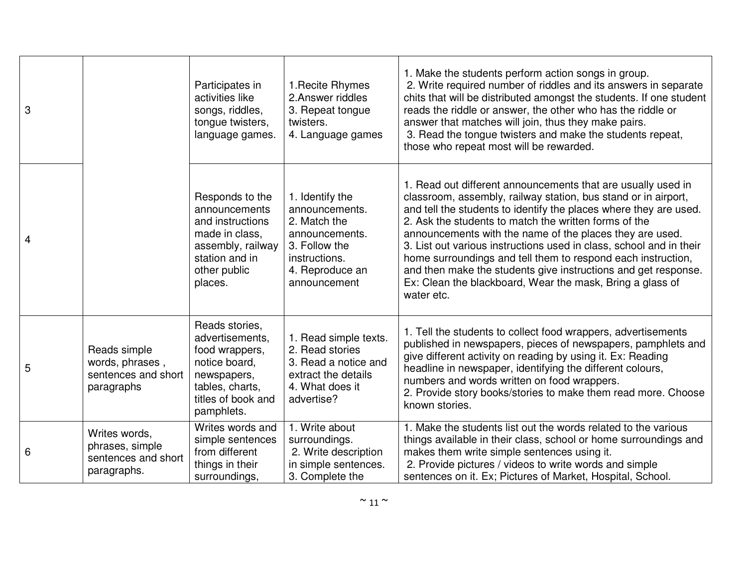| 3              |                                                                        | Participates in<br>activities like<br>songs, riddles,<br>tongue twisters,<br>language games.                                               | 1. Recite Rhymes<br>2. Answer riddles<br>3. Repeat tongue<br>twisters.<br>4. Language games                                              | 1. Make the students perform action songs in group.<br>2. Write required number of riddles and its answers in separate<br>chits that will be distributed amongst the students. If one student<br>reads the riddle or answer, the other who has the riddle or<br>answer that matches will join, thus they make pairs.<br>3. Read the tongue twisters and make the students repeat,<br>those who repeat most will be rewarded.                                                                                                                                                                                 |
|----------------|------------------------------------------------------------------------|--------------------------------------------------------------------------------------------------------------------------------------------|------------------------------------------------------------------------------------------------------------------------------------------|--------------------------------------------------------------------------------------------------------------------------------------------------------------------------------------------------------------------------------------------------------------------------------------------------------------------------------------------------------------------------------------------------------------------------------------------------------------------------------------------------------------------------------------------------------------------------------------------------------------|
| $\overline{4}$ |                                                                        | Responds to the<br>announcements<br>and instructions<br>made in class,<br>assembly, railway<br>station and in<br>other public<br>places.   | 1. Identify the<br>announcements.<br>2. Match the<br>announcements.<br>3. Follow the<br>instructions.<br>4. Reproduce an<br>announcement | 1. Read out different announcements that are usually used in<br>classroom, assembly, railway station, bus stand or in airport,<br>and tell the students to identify the places where they are used.<br>2. Ask the students to match the written forms of the<br>announcements with the name of the places they are used.<br>3. List out various instructions used in class, school and in their<br>home surroundings and tell them to respond each instruction,<br>and then make the students give instructions and get response.<br>Ex: Clean the blackboard, Wear the mask, Bring a glass of<br>water etc. |
| 5              | Reads simple<br>words, phrases,<br>sentences and short<br>paragraphs   | Reads stories,<br>advertisements,<br>food wrappers,<br>notice board,<br>newspapers,<br>tables, charts,<br>titles of book and<br>pamphlets. | 1. Read simple texts.<br>2. Read stories<br>3. Read a notice and<br>extract the details<br>4. What does it<br>advertise?                 | 1. Tell the students to collect food wrappers, advertisements<br>published in newspapers, pieces of newspapers, pamphlets and<br>give different activity on reading by using it. Ex: Reading<br>headline in newspaper, identifying the different colours,<br>numbers and words written on food wrappers.<br>2. Provide story books/stories to make them read more. Choose<br>known stories.                                                                                                                                                                                                                  |
| 6              | Writes words,<br>phrases, simple<br>sentences and short<br>paragraphs. | Writes words and<br>simple sentences<br>from different<br>things in their<br>surroundings,                                                 | 1. Write about<br>surroundings.<br>2. Write description<br>in simple sentences.<br>3. Complete the                                       | 1. Make the students list out the words related to the various<br>things available in their class, school or home surroundings and<br>makes them write simple sentences using it.<br>2. Provide pictures / videos to write words and simple<br>sentences on it. Ex; Pictures of Market, Hospital, School.                                                                                                                                                                                                                                                                                                    |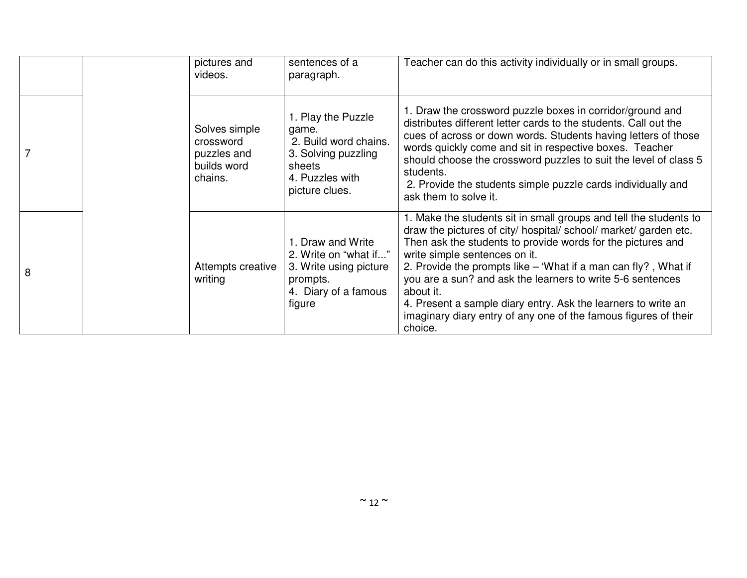|   | pictures and<br>videos.                                             | sentences of a<br>paragraph.                                                                                               | Teacher can do this activity individually or in small groups.                                                                                                                                                                                                                                                                                                                                                                                                                                                                       |
|---|---------------------------------------------------------------------|----------------------------------------------------------------------------------------------------------------------------|-------------------------------------------------------------------------------------------------------------------------------------------------------------------------------------------------------------------------------------------------------------------------------------------------------------------------------------------------------------------------------------------------------------------------------------------------------------------------------------------------------------------------------------|
|   | Solves simple<br>crossword<br>puzzles and<br>builds word<br>chains. | 1. Play the Puzzle<br>game.<br>2. Build word chains.<br>3. Solving puzzling<br>sheets<br>4. Puzzles with<br>picture clues. | 1. Draw the crossword puzzle boxes in corridor/ground and<br>distributes different letter cards to the students. Call out the<br>cues of across or down words. Students having letters of those<br>words quickly come and sit in respective boxes. Teacher<br>should choose the crossword puzzles to suit the level of class 5<br>students.<br>2. Provide the students simple puzzle cards individually and<br>ask them to solve it.                                                                                                |
| 8 | Attempts creative<br>writing                                        | 1. Draw and Write<br>2. Write on "what if"<br>3. Write using picture<br>prompts.<br>4. Diary of a famous<br>figure         | 1. Make the students sit in small groups and tell the students to<br>draw the pictures of city/ hospital/ school/ market/ garden etc.<br>Then ask the students to provide words for the pictures and<br>write simple sentences on it.<br>2. Provide the prompts like $-$ 'What if a man can fly?, What if<br>you are a sun? and ask the learners to write 5-6 sentences<br>about it.<br>4. Present a sample diary entry. Ask the learners to write an<br>imaginary diary entry of any one of the famous figures of their<br>choice. |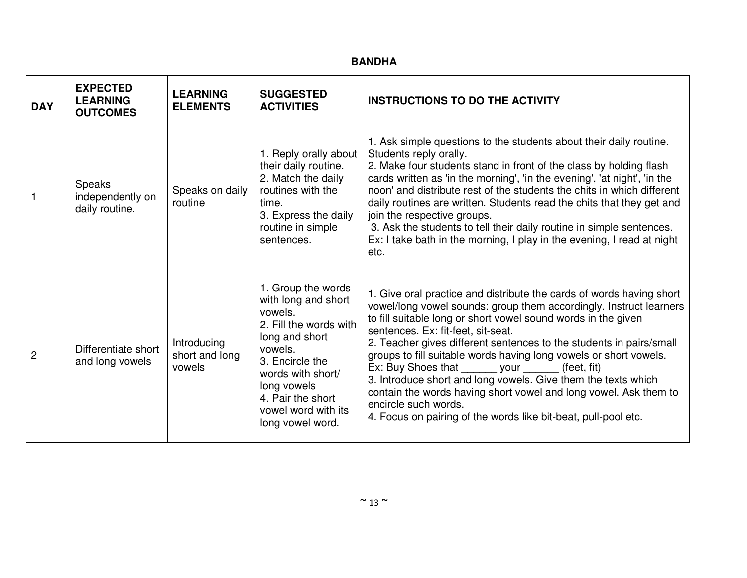| <b>DAY</b>     | <b>EXPECTED</b><br><b>LEARNING</b><br><b>OUTCOMES</b> | <b>LEARNING</b><br><b>ELEMENTS</b>      | <b>SUGGESTED</b><br><b>ACTIVITIES</b>                                                                                                                                                                                              | <b>INSTRUCTIONS TO DO THE ACTIVITY</b>                                                                                                                                                                                                                                                                                                                                                                                                                                                                                                                                                                                                                                              |
|----------------|-------------------------------------------------------|-----------------------------------------|------------------------------------------------------------------------------------------------------------------------------------------------------------------------------------------------------------------------------------|-------------------------------------------------------------------------------------------------------------------------------------------------------------------------------------------------------------------------------------------------------------------------------------------------------------------------------------------------------------------------------------------------------------------------------------------------------------------------------------------------------------------------------------------------------------------------------------------------------------------------------------------------------------------------------------|
|                | Speaks<br>independently on<br>daily routine.          | Speaks on daily<br>routine              | 1. Reply orally about<br>their daily routine.<br>2. Match the daily<br>routines with the<br>time.<br>3. Express the daily<br>routine in simple<br>sentences.                                                                       | 1. Ask simple questions to the students about their daily routine.<br>Students reply orally.<br>2. Make four students stand in front of the class by holding flash<br>cards written as 'in the morning', 'in the evening', 'at night', 'in the<br>noon' and distribute rest of the students the chits in which different<br>daily routines are written. Students read the chits that they get and<br>join the respective groups.<br>3. Ask the students to tell their daily routine in simple sentences.<br>Ex: I take bath in the morning, I play in the evening, I read at night<br>etc.                                                                                          |
| $\overline{2}$ | Differentiate short<br>and long vowels                | Introducing<br>short and long<br>vowels | 1. Group the words<br>with long and short<br>vowels.<br>2. Fill the words with<br>long and short<br>vowels.<br>3. Encircle the<br>words with short/<br>long vowels<br>4. Pair the short<br>vowel word with its<br>long vowel word. | 1. Give oral practice and distribute the cards of words having short<br>vowel/long vowel sounds: group them accordingly. Instruct learners<br>to fill suitable long or short vowel sound words in the given<br>sentences. Ex: fit-feet, sit-seat.<br>2. Teacher gives different sentences to the students in pairs/small<br>groups to fill suitable words having long vowels or short vowels.<br>Ex: Buy Shoes that _______ your _______ (feet, fit)<br>3. Introduce short and long vowels. Give them the texts which<br>contain the words having short vowel and long vowel. Ask them to<br>encircle such words.<br>4. Focus on pairing of the words like bit-beat, pull-pool etc. |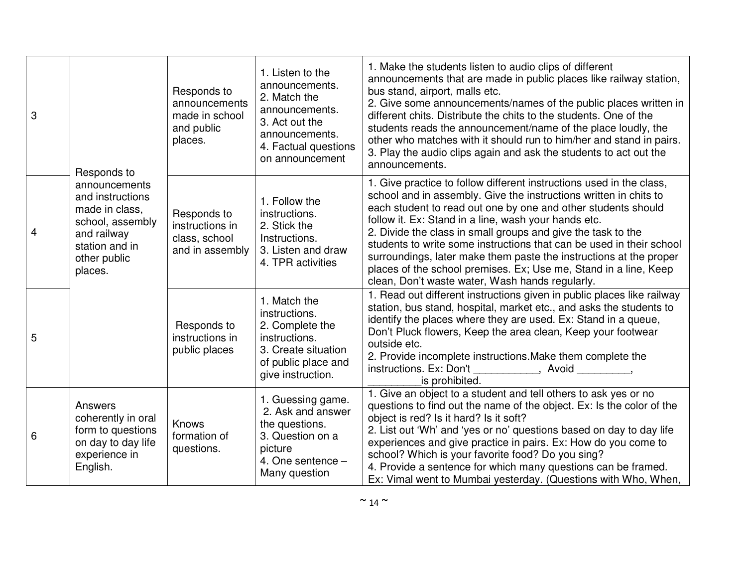| 3 | Responds to                                                                                                                         | Responds to<br>announcements<br>made in school<br>and public<br>places. | 1. Listen to the<br>announcements.<br>2. Match the<br>announcements.<br>3. Act out the<br>announcements.<br>4. Factual questions<br>on announcement | 1. Make the students listen to audio clips of different<br>announcements that are made in public places like railway station,<br>bus stand, airport, malls etc.<br>2. Give some announcements/names of the public places written in<br>different chits. Distribute the chits to the students. One of the<br>students reads the announcement/name of the place loudly, the<br>other who matches with it should run to him/her and stand in pairs.<br>3. Play the audio clips again and ask the students to act out the<br>announcements.                                                                 |
|---|-------------------------------------------------------------------------------------------------------------------------------------|-------------------------------------------------------------------------|-----------------------------------------------------------------------------------------------------------------------------------------------------|---------------------------------------------------------------------------------------------------------------------------------------------------------------------------------------------------------------------------------------------------------------------------------------------------------------------------------------------------------------------------------------------------------------------------------------------------------------------------------------------------------------------------------------------------------------------------------------------------------|
| 4 | announcements<br>and instructions<br>made in class,<br>school, assembly<br>and railway<br>station and in<br>other public<br>places. | Responds to<br>instructions in<br>class, school<br>and in assembly      | 1. Follow the<br>instructions.<br>2. Stick the<br>Instructions.<br>3. Listen and draw<br>4. TPR activities                                          | 1. Give practice to follow different instructions used in the class,<br>school and in assembly. Give the instructions written in chits to<br>each student to read out one by one and other students should<br>follow it. Ex: Stand in a line, wash your hands etc.<br>2. Divide the class in small groups and give the task to the<br>students to write some instructions that can be used in their school<br>surroundings, later make them paste the instructions at the proper<br>places of the school premises. Ex; Use me, Stand in a line, Keep<br>clean, Don't waste water, Wash hands regularly. |
| 5 |                                                                                                                                     | Responds to<br>instructions in<br>public places                         | 1. Match the<br>instructions.<br>2. Complete the<br>instructions.<br>3. Create situation<br>of public place and<br>give instruction.                | 1. Read out different instructions given in public places like railway<br>station, bus stand, hospital, market etc., and asks the students to<br>identify the places where they are used. Ex: Stand in a queue,<br>Don't Pluck flowers, Keep the area clean, Keep your footwear<br>outside etc.<br>2. Provide incomplete instructions. Make them complete the<br>instructions. Ex: Don't ___________, Avoid ________,<br>is prohibited.                                                                                                                                                                 |
| 6 | Answers<br>coherently in oral<br>form to questions<br>on day to day life<br>experience in<br>English.                               | <b>Knows</b><br>formation of<br>questions.                              | 1. Guessing game.<br>2. Ask and answer<br>the questions.<br>3. Question on a<br>picture<br>4. One sentence $-$<br>Many question                     | 1. Give an object to a student and tell others to ask yes or no<br>questions to find out the name of the object. Ex: Is the color of the<br>object is red? Is it hard? Is it soft?<br>2. List out 'Wh' and 'yes or no' questions based on day to day life<br>experiences and give practice in pairs. Ex: How do you come to<br>school? Which is your favorite food? Do you sing?<br>4. Provide a sentence for which many questions can be framed.<br>Ex: Vimal went to Mumbai yesterday. (Questions with Who, When,                                                                                     |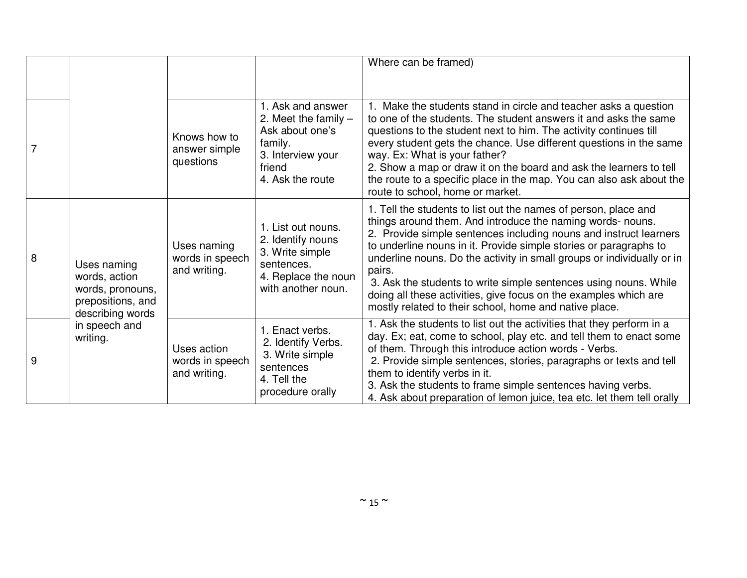|   |                                                                       |                                                |                                                                                                                              | Where can be framed)                                                                                                                                                                                                                                                                                                                                                                                                                                                                                                                                          |
|---|-----------------------------------------------------------------------|------------------------------------------------|------------------------------------------------------------------------------------------------------------------------------|---------------------------------------------------------------------------------------------------------------------------------------------------------------------------------------------------------------------------------------------------------------------------------------------------------------------------------------------------------------------------------------------------------------------------------------------------------------------------------------------------------------------------------------------------------------|
|   |                                                                       |                                                |                                                                                                                              |                                                                                                                                                                                                                                                                                                                                                                                                                                                                                                                                                               |
|   |                                                                       | Knows how to<br>answer simple<br>questions     | 1. Ask and answer<br>2. Meet the family $-$<br>Ask about one's<br>family.<br>3. Interview your<br>friend<br>4. Ask the route | 1. Make the students stand in circle and teacher asks a question<br>to one of the students. The student answers it and asks the same<br>questions to the student next to him. The activity continues till<br>every student gets the chance. Use different questions in the same<br>way. Ex: What is your father?<br>2. Show a map or draw it on the board and ask the learners to tell<br>the route to a specific place in the map. You can also ask about the<br>route to school, home or market.                                                            |
| 8 | Uses naming<br>words, action<br>words, pronouns,<br>prepositions, and | Uses naming<br>words in speech<br>and writing. | 1. List out nouns.<br>2. Identify nouns<br>3. Write simple<br>sentences.<br>4. Replace the noun<br>with another noun.        | 1. Tell the students to list out the names of person, place and<br>things around them. And introduce the naming words- nouns.<br>2. Provide simple sentences including nouns and instruct learners<br>to underline nouns in it. Provide simple stories or paragraphs to<br>underline nouns. Do the activity in small groups or individually or in<br>pairs.<br>3. Ask the students to write simple sentences using nouns. While<br>doing all these activities, give focus on the examples which are<br>mostly related to their school, home and native place. |
| 9 | describing words<br>in speech and<br>writing.                         | Uses action<br>words in speech<br>and writing. | 1. Enact verbs.<br>2. Identify Verbs.<br>3. Write simple<br>sentences<br>4. Tell the<br>procedure orally                     | 1. Ask the students to list out the activities that they perform in a<br>day. Ex; eat, come to school, play etc. and tell them to enact some<br>of them. Through this introduce action words - Verbs.<br>2. Provide simple sentences, stories, paragraphs or texts and tell<br>them to identify verbs in it.<br>3. Ask the students to frame simple sentences having verbs.<br>4. Ask about preparation of lemon juice, tea etc. let them tell orally                                                                                                         |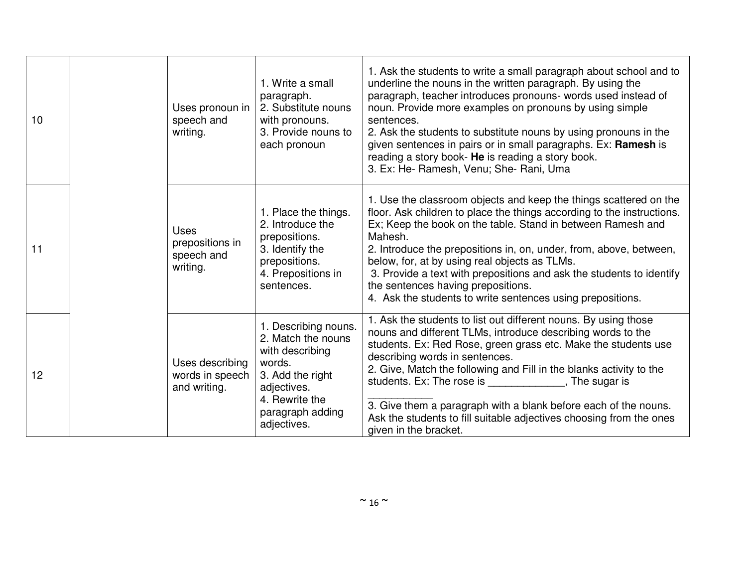| 10 | Uses pronoun in<br>speech and<br>writing.                | 1. Write a small<br>paragraph.<br>2. Substitute nouns<br>with pronouns.<br>3. Provide nouns to<br>each pronoun                                                  | 1. Ask the students to write a small paragraph about school and to<br>underline the nouns in the written paragraph. By using the<br>paragraph, teacher introduces pronouns- words used instead of<br>noun. Provide more examples on pronouns by using simple<br>sentences.<br>2. Ask the students to substitute nouns by using pronouns in the<br>given sentences in pairs or in small paragraphs. Ex: Ramesh is<br>reading a story book- He is reading a story book.<br>3. Ex: He- Ramesh, Venu; She- Rani, Uma         |
|----|----------------------------------------------------------|-----------------------------------------------------------------------------------------------------------------------------------------------------------------|--------------------------------------------------------------------------------------------------------------------------------------------------------------------------------------------------------------------------------------------------------------------------------------------------------------------------------------------------------------------------------------------------------------------------------------------------------------------------------------------------------------------------|
| 11 | <b>Uses</b><br>prepositions in<br>speech and<br>writing. | 1. Place the things.<br>2. Introduce the<br>prepositions.<br>3. Identify the<br>prepositions.<br>4. Prepositions in<br>sentences.                               | 1. Use the classroom objects and keep the things scattered on the<br>floor. Ask children to place the things according to the instructions.<br>Ex; Keep the book on the table. Stand in between Ramesh and<br>Mahesh.<br>2. Introduce the prepositions in, on, under, from, above, between,<br>below, for, at by using real objects as TLMs.<br>3. Provide a text with prepositions and ask the students to identify<br>the sentences having prepositions.<br>4. Ask the students to write sentences using prepositions. |
| 12 | Uses describing<br>words in speech<br>and writing.       | 1. Describing nouns.<br>2. Match the nouns<br>with describing<br>words.<br>3. Add the right<br>adjectives.<br>4. Rewrite the<br>paragraph adding<br>adjectives. | 1. Ask the students to list out different nouns. By using those<br>nouns and different TLMs, introduce describing words to the<br>students. Ex: Red Rose, green grass etc. Make the students use<br>describing words in sentences.<br>2. Give, Match the following and Fill in the blanks activity to the<br>students. Ex: The rose is The sugar is<br>3. Give them a paragraph with a blank before each of the nouns.<br>Ask the students to fill suitable adjectives choosing from the ones<br>given in the bracket.   |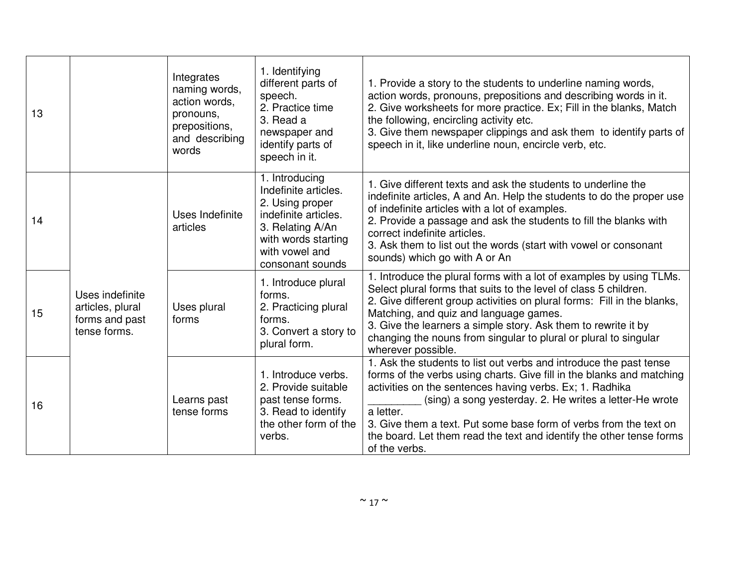| 13 |                                                                       | Integrates<br>naming words,<br>action words,<br>pronouns,<br>prepositions,<br>and describing<br>words | 1. Identifying<br>different parts of<br>speech.<br>2. Practice time<br>3. Read a<br>newspaper and<br>identify parts of<br>speech in it.                            | 1. Provide a story to the students to underline naming words,<br>action words, pronouns, prepositions and describing words in it.<br>2. Give worksheets for more practice. Ex; Fill in the blanks, Match<br>the following, encircling activity etc.<br>3. Give them newspaper clippings and ask them to identify parts of<br>speech in it, like underline noun, encircle verb, etc.                                                           |
|----|-----------------------------------------------------------------------|-------------------------------------------------------------------------------------------------------|--------------------------------------------------------------------------------------------------------------------------------------------------------------------|-----------------------------------------------------------------------------------------------------------------------------------------------------------------------------------------------------------------------------------------------------------------------------------------------------------------------------------------------------------------------------------------------------------------------------------------------|
| 14 |                                                                       | Uses Indefinite<br>articles                                                                           | 1. Introducing<br>Indefinite articles.<br>2. Using proper<br>indefinite articles.<br>3. Relating A/An<br>with words starting<br>with vowel and<br>consonant sounds | 1. Give different texts and ask the students to underline the<br>indefinite articles, A and An. Help the students to do the proper use<br>of indefinite articles with a lot of examples.<br>2. Provide a passage and ask the students to fill the blanks with<br>correct indefinite articles.<br>3. Ask them to list out the words (start with vowel or consonant<br>sounds) which go with A or An                                            |
| 15 | Uses indefinite<br>articles, plural<br>forms and past<br>tense forms. | Uses plural<br>forms                                                                                  | 1. Introduce plural<br>forms.<br>2. Practicing plural<br>forms.<br>3. Convert a story to<br>plural form.                                                           | 1. Introduce the plural forms with a lot of examples by using TLMs.<br>Select plural forms that suits to the level of class 5 children.<br>2. Give different group activities on plural forms: Fill in the blanks,<br>Matching, and quiz and language games.<br>3. Give the learners a simple story. Ask them to rewrite it by<br>changing the nouns from singular to plural or plural to singular<br>wherever possible.                      |
| 16 |                                                                       | Learns past<br>tense forms                                                                            | 1. Introduce verbs.<br>2. Provide suitable<br>past tense forms.<br>3. Read to identify<br>the other form of the<br>verbs.                                          | 1. Ask the students to list out verbs and introduce the past tense<br>forms of the verbs using charts. Give fill in the blanks and matching<br>activities on the sentences having verbs. Ex; 1. Radhika<br>(sing) a song yesterday. 2. He writes a letter-He wrote<br>a letter.<br>3. Give them a text. Put some base form of verbs from the text on<br>the board. Let them read the text and identify the other tense forms<br>of the verbs. |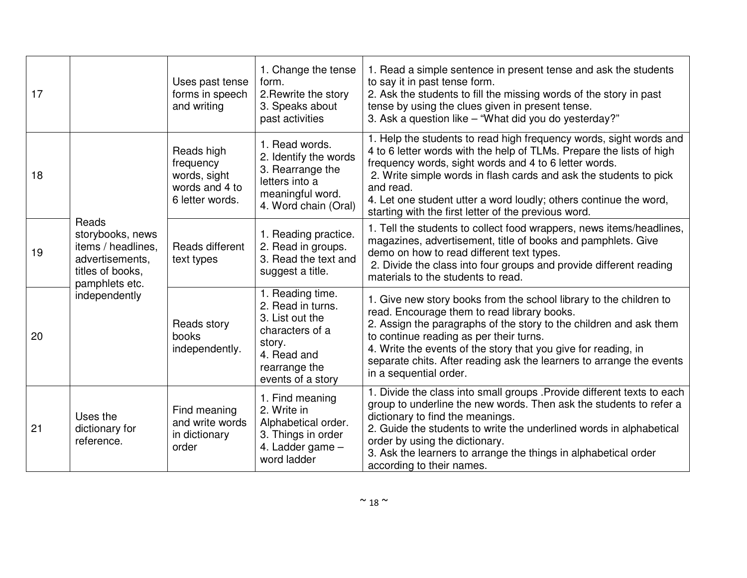| 17 |                                                                                                                           | Uses past tense<br>forms in speech<br>and writing                            | 1. Change the tense<br>form.<br>2. Rewrite the story<br>3. Speaks about<br>past activities                                                 | 1. Read a simple sentence in present tense and ask the students<br>to say it in past tense form.<br>2. Ask the students to fill the missing words of the story in past<br>tense by using the clues given in present tense.<br>3. Ask a question like - "What did you do yesterday?"                                                                                                                                |
|----|---------------------------------------------------------------------------------------------------------------------------|------------------------------------------------------------------------------|--------------------------------------------------------------------------------------------------------------------------------------------|--------------------------------------------------------------------------------------------------------------------------------------------------------------------------------------------------------------------------------------------------------------------------------------------------------------------------------------------------------------------------------------------------------------------|
| 18 |                                                                                                                           | Reads high<br>frequency<br>words, sight<br>words and 4 to<br>6 letter words. | 1. Read words.<br>2. Identify the words<br>3. Rearrange the<br>letters into a<br>meaningful word.<br>4. Word chain (Oral)                  | 1. Help the students to read high frequency words, sight words and<br>4 to 6 letter words with the help of TLMs. Prepare the lists of high<br>frequency words, sight words and 4 to 6 letter words.<br>2. Write simple words in flash cards and ask the students to pick<br>and read.<br>4. Let one student utter a word loudly; others continue the word,<br>starting with the first letter of the previous word. |
| 19 | Reads<br>storybooks, news<br>items / headlines,<br>advertisements,<br>titles of books,<br>pamphlets etc.<br>independently | Reads different<br>text types                                                | 1. Reading practice.<br>2. Read in groups.<br>3. Read the text and<br>suggest a title.                                                     | 1. Tell the students to collect food wrappers, news items/headlines,<br>magazines, advertisement, title of books and pamphlets. Give<br>demo on how to read different text types.<br>2. Divide the class into four groups and provide different reading<br>materials to the students to read.                                                                                                                      |
| 20 |                                                                                                                           | Reads story<br>books<br>independently.                                       | 1. Reading time.<br>2. Read in turns.<br>3. List out the<br>characters of a<br>story.<br>4. Read and<br>rearrange the<br>events of a story | 1. Give new story books from the school library to the children to<br>read. Encourage them to read library books.<br>2. Assign the paragraphs of the story to the children and ask them<br>to continue reading as per their turns.<br>4. Write the events of the story that you give for reading, in<br>separate chits. After reading ask the learners to arrange the events<br>in a sequential order.             |
| 21 | Uses the<br>dictionary for<br>reference.                                                                                  | Find meaning<br>and write words<br>in dictionary<br>order                    | 1. Find meaning<br>2. Write in<br>Alphabetical order.<br>3. Things in order<br>4. Ladder game -<br>word ladder                             | 1. Divide the class into small groups . Provide different texts to each<br>group to underline the new words. Then ask the students to refer a<br>dictionary to find the meanings.<br>2. Guide the students to write the underlined words in alphabetical<br>order by using the dictionary.<br>3. Ask the learners to arrange the things in alphabetical order<br>according to their names.                         |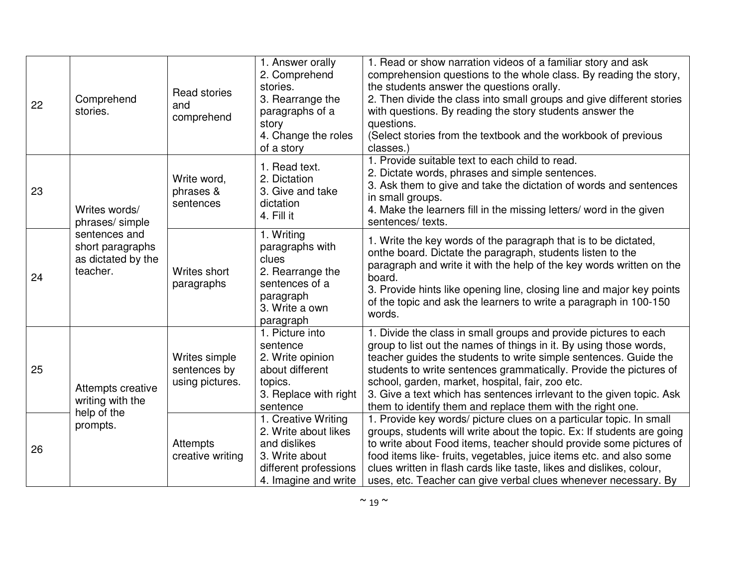| 22 | Comprehend<br>stories.                                                                            | Read stories<br>and<br>comprehend                                                                                        | 1. Answer orally<br>2. Comprehend<br>stories.<br>3. Rearrange the<br>paragraphs of a<br>story<br>4. Change the roles<br>of a story                                                                                                                                                                                                                                      | 1. Read or show narration videos of a familiar story and ask<br>comprehension questions to the whole class. By reading the story,<br>the students answer the questions orally.<br>2. Then divide the class into small groups and give different stories<br>with questions. By reading the story students answer the<br>questions.<br>(Select stories from the textbook and the workbook of previous<br>classes.)                                                           |
|----|---------------------------------------------------------------------------------------------------|--------------------------------------------------------------------------------------------------------------------------|-------------------------------------------------------------------------------------------------------------------------------------------------------------------------------------------------------------------------------------------------------------------------------------------------------------------------------------------------------------------------|----------------------------------------------------------------------------------------------------------------------------------------------------------------------------------------------------------------------------------------------------------------------------------------------------------------------------------------------------------------------------------------------------------------------------------------------------------------------------|
| 23 | Writes words/<br>phrases/simple                                                                   | Write word,<br>phrases &<br>sentences                                                                                    | 1. Read text.<br>2. Dictation<br>3. Give and take<br>dictation<br>4. Fill it                                                                                                                                                                                                                                                                                            | 1. Provide suitable text to each child to read.<br>2. Dictate words, phrases and simple sentences.<br>3. Ask them to give and take the dictation of words and sentences<br>in small groups.<br>4. Make the learners fill in the missing letters/ word in the given<br>sentences/texts.                                                                                                                                                                                     |
| 24 | sentences and<br>short paragraphs<br>as dictated by the<br>teacher.<br>Writes short<br>paragraphs | 1. Writing<br>paragraphs with<br>clues<br>2. Rearrange the<br>sentences of a<br>paragraph<br>3. Write a own<br>paragraph | 1. Write the key words of the paragraph that is to be dictated,<br>onthe board. Dictate the paragraph, students listen to the<br>paragraph and write it with the help of the key words written on the<br>board.<br>3. Provide hints like opening line, closing line and major key points<br>of the topic and ask the learners to write a paragraph in 100-150<br>words. |                                                                                                                                                                                                                                                                                                                                                                                                                                                                            |
| 25 | Attempts creative<br>writing with the<br>help of the<br>prompts.                                  | Writes simple<br>sentences by<br>using pictures.                                                                         | 1. Picture into<br>sentence<br>2. Write opinion<br>about different<br>topics.<br>3. Replace with right<br>sentence                                                                                                                                                                                                                                                      | 1. Divide the class in small groups and provide pictures to each<br>group to list out the names of things in it. By using those words,<br>teacher guides the students to write simple sentences. Guide the<br>students to write sentences grammatically. Provide the pictures of<br>school, garden, market, hospital, fair, zoo etc.<br>3. Give a text which has sentences irrlevant to the given topic. Ask<br>them to identify them and replace them with the right one. |
| 26 |                                                                                                   | <b>Attempts</b><br>creative writing                                                                                      | 1. Creative Writing<br>2. Write about likes<br>and dislikes<br>3. Write about<br>different professions<br>4. Imagine and write                                                                                                                                                                                                                                          | 1. Provide key words/ picture clues on a particular topic. In small<br>groups, students will write about the topic. Ex: If students are going<br>to write about Food items, teacher should provide some pictures of<br>food items like-fruits, vegetables, juice items etc. and also some<br>clues written in flash cards like taste, likes and dislikes, colour,<br>uses, etc. Teacher can give verbal clues whenever necessary. By                                       |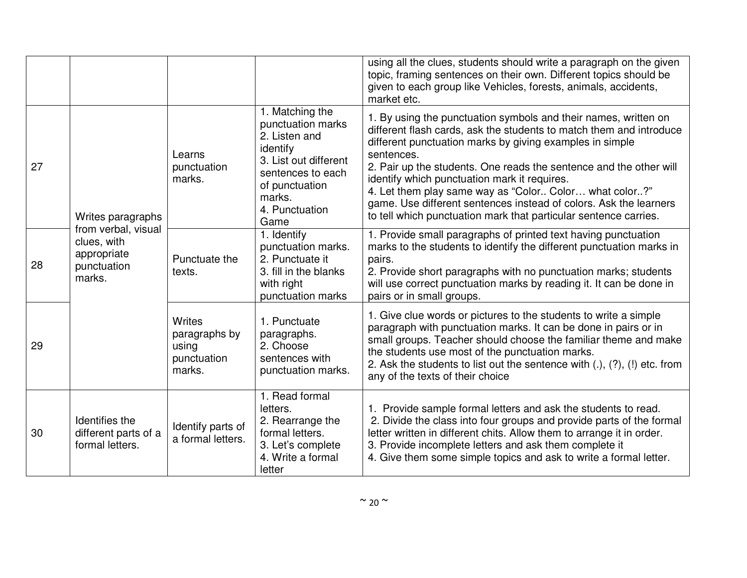|    |                                                                            |                                                                  |                                                                                                                                                                       | using all the clues, students should write a paragraph on the given<br>topic, framing sentences on their own. Different topics should be<br>given to each group like Vehicles, forests, animals, accidents,<br>market etc.                                                                                                                                                                                                                                                                                                                |
|----|----------------------------------------------------------------------------|------------------------------------------------------------------|-----------------------------------------------------------------------------------------------------------------------------------------------------------------------|-------------------------------------------------------------------------------------------------------------------------------------------------------------------------------------------------------------------------------------------------------------------------------------------------------------------------------------------------------------------------------------------------------------------------------------------------------------------------------------------------------------------------------------------|
| 27 | Writes paragraphs                                                          | Learns<br>punctuation<br>marks.                                  | 1. Matching the<br>punctuation marks<br>2. Listen and<br>identify<br>3. List out different<br>sentences to each<br>of punctuation<br>marks.<br>4. Punctuation<br>Game | 1. By using the punctuation symbols and their names, written on<br>different flash cards, ask the students to match them and introduce<br>different punctuation marks by giving examples in simple<br>sentences.<br>2. Pair up the students. One reads the sentence and the other will<br>identify which punctuation mark it requires.<br>4. Let them play same way as "Color Color what color?"<br>game. Use different sentences instead of colors. Ask the learners<br>to tell which punctuation mark that particular sentence carries. |
| 28 | from verbal, visual<br>clues, with<br>appropriate<br>punctuation<br>marks. | Punctuate the<br>texts.                                          | 1. Identify<br>punctuation marks.<br>2. Punctuate it<br>3. fill in the blanks<br>with right<br>punctuation marks                                                      | 1. Provide small paragraphs of printed text having punctuation<br>marks to the students to identify the different punctuation marks in<br>pairs.<br>2. Provide short paragraphs with no punctuation marks; students<br>will use correct punctuation marks by reading it. It can be done in<br>pairs or in small groups.                                                                                                                                                                                                                   |
| 29 |                                                                            | <b>Writes</b><br>paragraphs by<br>using<br>punctuation<br>marks. | 1. Punctuate<br>paragraphs.<br>2. Choose<br>sentences with<br>punctuation marks.                                                                                      | 1. Give clue words or pictures to the students to write a simple<br>paragraph with punctuation marks. It can be done in pairs or in<br>small groups. Teacher should choose the familiar theme and make<br>the students use most of the punctuation marks.<br>2. Ask the students to list out the sentence with (.), (?), (!) etc. from<br>any of the texts of their choice                                                                                                                                                                |
| 30 | Identifies the<br>different parts of a<br>formal letters.                  | Identify parts of<br>a formal letters.                           | 1. Read formal<br>letters.<br>2. Rearrange the<br>formal letters.<br>3. Let's complete<br>4. Write a formal<br>letter                                                 | 1. Provide sample formal letters and ask the students to read.<br>2. Divide the class into four groups and provide parts of the formal<br>letter written in different chits. Allow them to arrange it in order.<br>3. Provide incomplete letters and ask them complete it<br>4. Give them some simple topics and ask to write a formal letter.                                                                                                                                                                                            |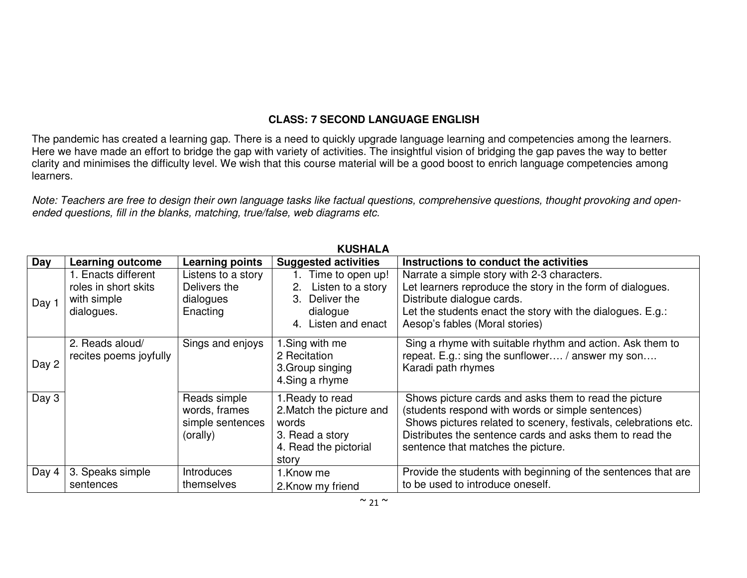## **CLASS: 7 SECOND LANGUAGE ENGLISH**

The pandemic has created a learning gap. There is a need to quickly upgrade language learning and competencies among the learners. Here we have made an effort to bridge the gap with variety of activities. The insightful vision of bridging the gap paves the way to better clarity and minimises the difficulty level. We wish that this course material will be a good boost to enrich language competencies among learners.

Note: Teachers are free to design their own language tasks like factual questions, comprehensive questions, thought provoking and openended questions, fill in the blanks, matching, true/false, web diagrams etc.

|       |                                                                          |                                                               | 119911ALA                                                                                                  |                                                                                                                                                                                                                                                                                 |
|-------|--------------------------------------------------------------------------|---------------------------------------------------------------|------------------------------------------------------------------------------------------------------------|---------------------------------------------------------------------------------------------------------------------------------------------------------------------------------------------------------------------------------------------------------------------------------|
| Day   | <b>Learning outcome</b>                                                  | <b>Learning points</b>                                        | <b>Suggested activities</b>                                                                                | Instructions to conduct the activities                                                                                                                                                                                                                                          |
| Day 1 | 1. Enacts different<br>roles in short skits<br>with simple<br>dialogues. | Listens to a story<br>Delivers the<br>dialogues<br>Enacting   | 1. Time to open up!<br>Listen to a story<br>Deliver the<br>dialogue<br>4. Listen and enact                 | Narrate a simple story with 2-3 characters.<br>Let learners reproduce the story in the form of dialogues.<br>Distribute dialogue cards.<br>Let the students enact the story with the dialogues. E.g.:<br>Aesop's fables (Moral stories)                                         |
| Day 2 | 2. Reads aloud/<br>recites poems joyfully                                | Sings and enjoys                                              | 1.Sing with me<br>2 Recitation<br>3. Group singing<br>4. Sing a rhyme                                      | Sing a rhyme with suitable rhythm and action. Ask them to<br>repeat. E.g.: sing the sunflower / answer my son<br>Karadi path rhymes                                                                                                                                             |
| Day 3 |                                                                          | Reads simple<br>words, frames<br>simple sentences<br>(orally) | 1. Ready to read<br>2. Match the picture and<br>words<br>3. Read a story<br>4. Read the pictorial<br>story | Shows picture cards and asks them to read the picture<br>(students respond with words or simple sentences)<br>Shows pictures related to scenery, festivals, celebrations etc.<br>Distributes the sentence cards and asks them to read the<br>sentence that matches the picture. |
| Day 4 | 3. Speaks simple<br>sentences                                            | <b>Introduces</b><br>themselves                               | 1.Know me<br>2. Know my friend                                                                             | Provide the students with beginning of the sentences that are<br>to be used to introduce oneself.                                                                                                                                                                               |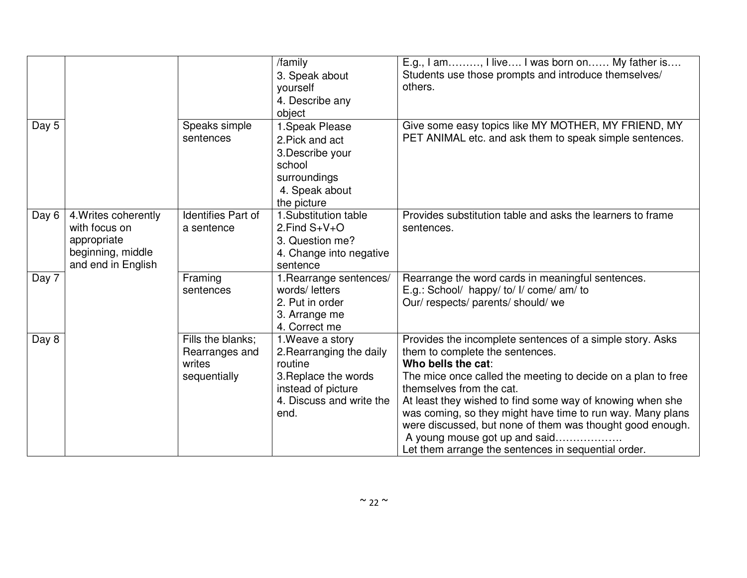|       |                                                                                                 |                                                               | /family<br>3. Speak about<br>yourself<br>4. Describe any<br>object                                                                        | E.g., I am, I live I was born on My father is<br>Students use those prompts and introduce themselves/<br>others.                                                                                                                                                                                                                                                                                                                                                                               |
|-------|-------------------------------------------------------------------------------------------------|---------------------------------------------------------------|-------------------------------------------------------------------------------------------------------------------------------------------|------------------------------------------------------------------------------------------------------------------------------------------------------------------------------------------------------------------------------------------------------------------------------------------------------------------------------------------------------------------------------------------------------------------------------------------------------------------------------------------------|
| Day 5 |                                                                                                 | Speaks simple<br>sentences                                    | 1. Speak Please<br>2. Pick and act<br>3. Describe your<br>school<br>surroundings<br>4. Speak about<br>the picture                         | Give some easy topics like MY MOTHER, MY FRIEND, MY<br>PET ANIMAL etc. and ask them to speak simple sentences.                                                                                                                                                                                                                                                                                                                                                                                 |
| Day 6 | 4. Writes coherently<br>with focus on<br>appropriate<br>beginning, middle<br>and end in English | Identifies Part of<br>a sentence                              | 1.Substitution table<br>2. Find $S + V + O$<br>3. Question me?<br>4. Change into negative<br>sentence                                     | Provides substitution table and asks the learners to frame<br>sentences.                                                                                                                                                                                                                                                                                                                                                                                                                       |
| Day 7 |                                                                                                 | Framing<br>sentences                                          | 1. Rearrange sentences/<br>words/letters<br>2. Put in order<br>3. Arrange me<br>4. Correct me                                             | Rearrange the word cards in meaningful sentences.<br>E.g.: School/ happy/ to/ I/ come/ am/ to<br>Our/respects/parents/should/we                                                                                                                                                                                                                                                                                                                                                                |
| Day 8 |                                                                                                 | Fills the blanks;<br>Rearranges and<br>writes<br>sequentially | 1. Weave a story<br>2. Rearranging the daily<br>routine<br>3. Replace the words<br>instead of picture<br>4. Discuss and write the<br>end. | Provides the incomplete sentences of a simple story. Asks<br>them to complete the sentences.<br>Who bells the cat:<br>The mice once called the meeting to decide on a plan to free<br>themselves from the cat.<br>At least they wished to find some way of knowing when she<br>was coming, so they might have time to run way. Many plans<br>were discussed, but none of them was thought good enough.<br>A young mouse got up and said<br>Let them arrange the sentences in sequential order. |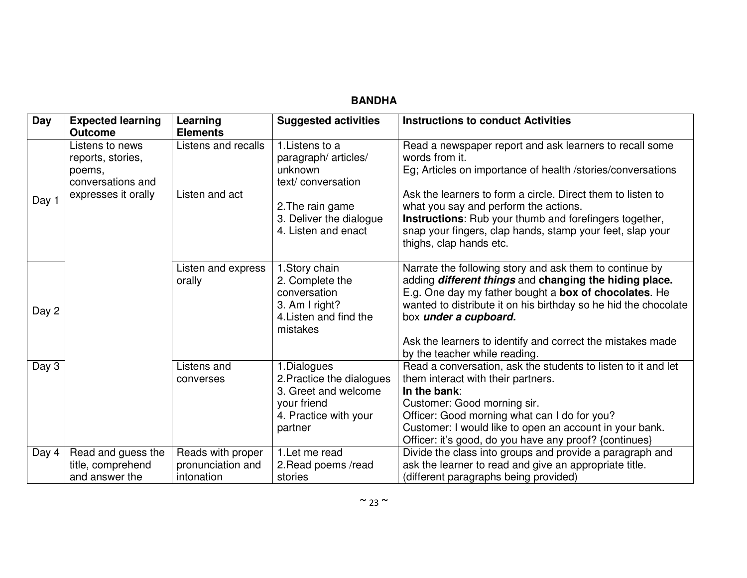| <b>Day</b> | <b>Expected learning</b><br><b>Outcome</b>                          | Learning<br><b>Elements</b>                          | <b>Suggested activities</b>                                                                                         | <b>Instructions to conduct Activities</b>                                                                                                                                                                                                                                                                                                                |
|------------|---------------------------------------------------------------------|------------------------------------------------------|---------------------------------------------------------------------------------------------------------------------|----------------------------------------------------------------------------------------------------------------------------------------------------------------------------------------------------------------------------------------------------------------------------------------------------------------------------------------------------------|
|            | Listens to news<br>reports, stories,<br>poems,<br>conversations and | Listens and recalls                                  | 1. Listens to a<br>paragraph/ articles/<br>unknown<br>text/conversation                                             | Read a newspaper report and ask learners to recall some<br>words from it.<br>Eg; Articles on importance of health /stories/conversations                                                                                                                                                                                                                 |
| Day 1      | expresses it orally                                                 | Listen and act                                       | 2. The rain game<br>3. Deliver the dialogue<br>4. Listen and enact                                                  | Ask the learners to form a circle. Direct them to listen to<br>what you say and perform the actions.<br><b>Instructions:</b> Rub your thumb and forefingers together,<br>snap your fingers, clap hands, stamp your feet, slap your<br>thighs, clap hands etc.                                                                                            |
| Day 2      |                                                                     | Listen and express<br>orally                         | 1. Story chain<br>2. Complete the<br>conversation<br>3. Am I right?<br>4. Listen and find the<br>mistakes           | Narrate the following story and ask them to continue by<br>adding different things and changing the hiding place.<br>E.g. One day my father bought a box of chocolates. He<br>wanted to distribute it on his birthday so he hid the chocolate<br>box under a cupboard.<br>Ask the learners to identify and correct the mistakes made                     |
| Day 3      |                                                                     | Listens and<br>converses                             | 1.Dialogues<br>2. Practice the dialogues<br>3. Greet and welcome<br>your friend<br>4. Practice with your<br>partner | by the teacher while reading.<br>Read a conversation, ask the students to listen to it and let<br>them interact with their partners.<br>In the bank:<br>Customer: Good morning sir.<br>Officer: Good morning what can I do for you?<br>Customer: I would like to open an account in your bank.<br>Officer: it's good, do you have any proof? {continues} |
| Day 4      | Read and guess the<br>title, comprehend<br>and answer the           | Reads with proper<br>pronunciation and<br>intonation | 1. Let me read<br>2. Read poems /read<br>stories                                                                    | Divide the class into groups and provide a paragraph and<br>ask the learner to read and give an appropriate title.<br>(different paragraphs being provided)                                                                                                                                                                                              |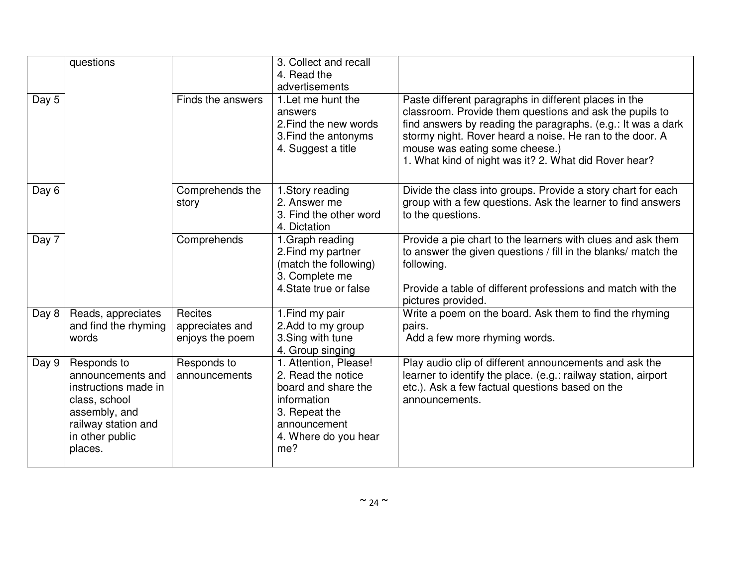|       | questions                                                                                                                                       |                                               | 3. Collect and recall<br>4. Read the<br>advertisements                                                                                            |                                                                                                                                                                                                                                                                                                                                         |
|-------|-------------------------------------------------------------------------------------------------------------------------------------------------|-----------------------------------------------|---------------------------------------------------------------------------------------------------------------------------------------------------|-----------------------------------------------------------------------------------------------------------------------------------------------------------------------------------------------------------------------------------------------------------------------------------------------------------------------------------------|
| Day 5 |                                                                                                                                                 | Finds the answers                             | 1. Let me hunt the<br>answers<br>2. Find the new words<br>3. Find the antonyms<br>4. Suggest a title                                              | Paste different paragraphs in different places in the<br>classroom. Provide them questions and ask the pupils to<br>find answers by reading the paragraphs. (e.g.: It was a dark<br>stormy night. Rover heard a noise. He ran to the door. A<br>mouse was eating some cheese.)<br>1. What kind of night was it? 2. What did Rover hear? |
| Day 6 |                                                                                                                                                 | Comprehends the<br>story                      | 1. Story reading<br>2. Answer me<br>3. Find the other word<br>4. Dictation                                                                        | Divide the class into groups. Provide a story chart for each<br>group with a few questions. Ask the learner to find answers<br>to the questions.                                                                                                                                                                                        |
| Day 7 |                                                                                                                                                 | Comprehends                                   | 1. Graph reading<br>2. Find my partner<br>(match the following)<br>3. Complete me<br>4. State true or false                                       | Provide a pie chart to the learners with clues and ask them<br>to answer the given questions / fill in the blanks/ match the<br>following.<br>Provide a table of different professions and match with the                                                                                                                               |
|       |                                                                                                                                                 |                                               |                                                                                                                                                   | pictures provided.                                                                                                                                                                                                                                                                                                                      |
| Day 8 | Reads, appreciates<br>and find the rhyming<br>words                                                                                             | Recites<br>appreciates and<br>enjoys the poem | 1. Find my pair<br>2. Add to my group<br>3. Sing with tune<br>4. Group singing                                                                    | Write a poem on the board. Ask them to find the rhyming<br>pairs.<br>Add a few more rhyming words.                                                                                                                                                                                                                                      |
| Day 9 | Responds to<br>announcements and<br>instructions made in<br>class, school<br>assembly, and<br>railway station and<br>in other public<br>places. | Responds to<br>announcements                  | 1. Attention, Please!<br>2. Read the notice<br>board and share the<br>information<br>3. Repeat the<br>announcement<br>4. Where do you hear<br>me? | Play audio clip of different announcements and ask the<br>learner to identify the place. (e.g.: railway station, airport<br>etc.). Ask a few factual questions based on the<br>announcements.                                                                                                                                           |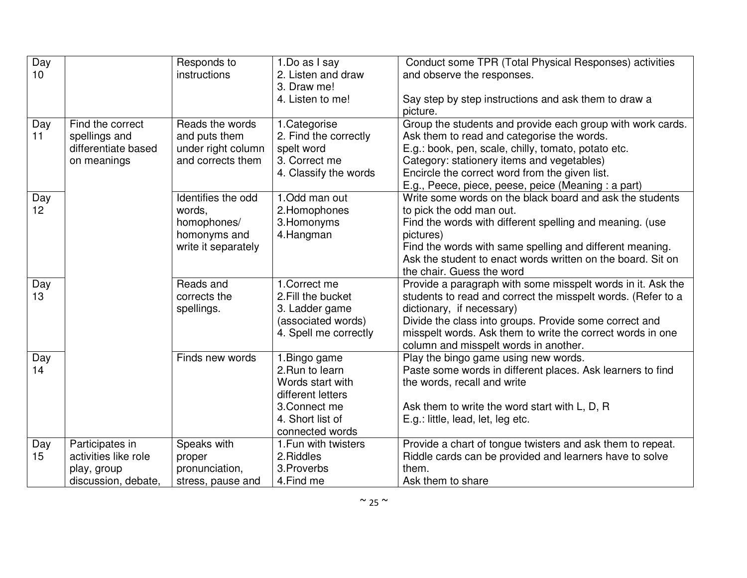| Day<br>10 <sup>1</sup> |                                                                               | Responds to<br>instructions                                                        | 1.Do as I say<br>2. Listen and draw                                                                                               | Conduct some TPR (Total Physical Responses) activities<br>and observe the responses.                                                                                                                                                                                                                                      |
|------------------------|-------------------------------------------------------------------------------|------------------------------------------------------------------------------------|-----------------------------------------------------------------------------------------------------------------------------------|---------------------------------------------------------------------------------------------------------------------------------------------------------------------------------------------------------------------------------------------------------------------------------------------------------------------------|
|                        |                                                                               |                                                                                    | 3. Draw me!<br>4. Listen to me!                                                                                                   | Say step by step instructions and ask them to draw a<br>picture.                                                                                                                                                                                                                                                          |
| Day<br>11              | Find the correct<br>spellings and<br>differentiate based<br>on meanings       | Reads the words<br>and puts them<br>under right column<br>and corrects them        | 1.Categorise<br>2. Find the correctly<br>spelt word<br>3. Correct me<br>4. Classify the words                                     | Group the students and provide each group with work cards.<br>Ask them to read and categorise the words.<br>E.g.: book, pen, scale, chilly, tomato, potato etc.<br>Category: stationery items and vegetables)<br>Encircle the correct word from the given list.<br>E.g., Peece, piece, peese, peice (Meaning: a part)     |
| Day<br>12              |                                                                               | Identifies the odd<br>words,<br>homophones/<br>homonyms and<br>write it separately | 1.Odd man out<br>2. Homophones<br>3. Homonyms<br>4. Hangman                                                                       | Write some words on the black board and ask the students<br>to pick the odd man out.<br>Find the words with different spelling and meaning. (use<br>pictures)<br>Find the words with same spelling and different meaning.<br>Ask the student to enact words written on the board. Sit on<br>the chair. Guess the word     |
| Day<br>13              |                                                                               | Reads and<br>corrects the<br>spellings.                                            | 1.Correct me<br>2. Fill the bucket<br>3. Ladder game<br>(associated words)<br>4. Spell me correctly                               | Provide a paragraph with some misspelt words in it. Ask the<br>students to read and correct the misspelt words. (Refer to a<br>dictionary, if necessary)<br>Divide the class into groups. Provide some correct and<br>misspelt words. Ask them to write the correct words in one<br>column and misspelt words in another. |
| Day<br>14              |                                                                               | Finds new words                                                                    | 1. Bingo game<br>2. Run to learn<br>Words start with<br>different letters<br>3. Connect me<br>4. Short list of<br>connected words | Play the bingo game using new words.<br>Paste some words in different places. Ask learners to find<br>the words, recall and write<br>Ask them to write the word start with L, D, R<br>E.g.: little, lead, let, leg etc.                                                                                                   |
| Day<br>15              | Participates in<br>activities like role<br>play, group<br>discussion, debate, | Speaks with<br>proper<br>pronunciation,<br>stress, pause and                       | 1. Fun with twisters<br>2. Riddles<br>3. Proverbs<br>4. Find me                                                                   | Provide a chart of tongue twisters and ask them to repeat.<br>Riddle cards can be provided and learners have to solve<br>them.<br>Ask them to share                                                                                                                                                                       |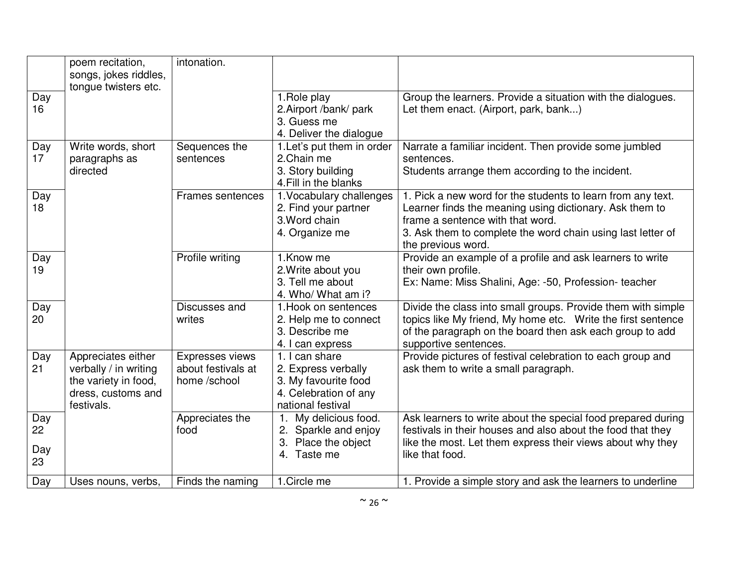|                        | poem recitation,<br>songs, jokes riddles,<br>tongue twisters etc.                                       | intonation.                                           |                                                                                                             |                                                                                                                                                                                                                                                 |
|------------------------|---------------------------------------------------------------------------------------------------------|-------------------------------------------------------|-------------------------------------------------------------------------------------------------------------|-------------------------------------------------------------------------------------------------------------------------------------------------------------------------------------------------------------------------------------------------|
| Day<br>16              |                                                                                                         |                                                       | 1. Role play<br>2. Airport /bank/ park<br>3. Guess me<br>4. Deliver the dialogue                            | Group the learners. Provide a situation with the dialogues.<br>Let them enact. (Airport, park, bank)                                                                                                                                            |
| Day<br>17              | Write words, short<br>paragraphs as<br>directed                                                         | Sequences the<br>sentences                            | 1. Let's put them in order<br>2. Chain me<br>3. Story building<br>4. Fill in the blanks                     | Narrate a familiar incident. Then provide some jumbled<br>sentences.<br>Students arrange them according to the incident.                                                                                                                        |
| Day<br>18              |                                                                                                         | Frames sentences                                      | 1. Vocabulary challenges<br>2. Find your partner<br>3. Word chain<br>4. Organize me                         | 1. Pick a new word for the students to learn from any text.<br>Learner finds the meaning using dictionary. Ask them to<br>frame a sentence with that word.<br>3. Ask them to complete the word chain using last letter of<br>the previous word. |
| Day<br>19              |                                                                                                         | Profile writing                                       | 1.Know me<br>2. Write about you<br>3. Tell me about<br>4. Who/ What am i?                                   | Provide an example of a profile and ask learners to write<br>their own profile.<br>Ex: Name: Miss Shalini, Age: -50, Profession- teacher                                                                                                        |
| Day<br>20              |                                                                                                         | Discusses and<br>writes                               | 1. Hook on sentences<br>2. Help me to connect<br>3. Describe me<br>4. I can express                         | Divide the class into small groups. Provide them with simple<br>topics like My friend, My home etc. Write the first sentence<br>of the paragraph on the board then ask each group to add<br>supportive sentences.                               |
| Day<br>21              | Appreciates either<br>verbally / in writing<br>the variety in food,<br>dress, customs and<br>festivals. | Expresses views<br>about festivals at<br>home /school | 1. I can share<br>2. Express verbally<br>3. My favourite food<br>4. Celebration of any<br>national festival | Provide pictures of festival celebration to each group and<br>ask them to write a small paragraph.                                                                                                                                              |
| Day<br>22<br>Day<br>23 |                                                                                                         | Appreciates the<br>food                               | 1. My delicious food.<br>2. Sparkle and enjoy<br>3. Place the object<br>4. Taste me                         | Ask learners to write about the special food prepared during<br>festivals in their houses and also about the food that they<br>like the most. Let them express their views about why they<br>like that food.                                    |
| Day                    | Uses nouns, verbs,                                                                                      | Finds the naming                                      | 1. Circle me                                                                                                | 1. Provide a simple story and ask the learners to underline                                                                                                                                                                                     |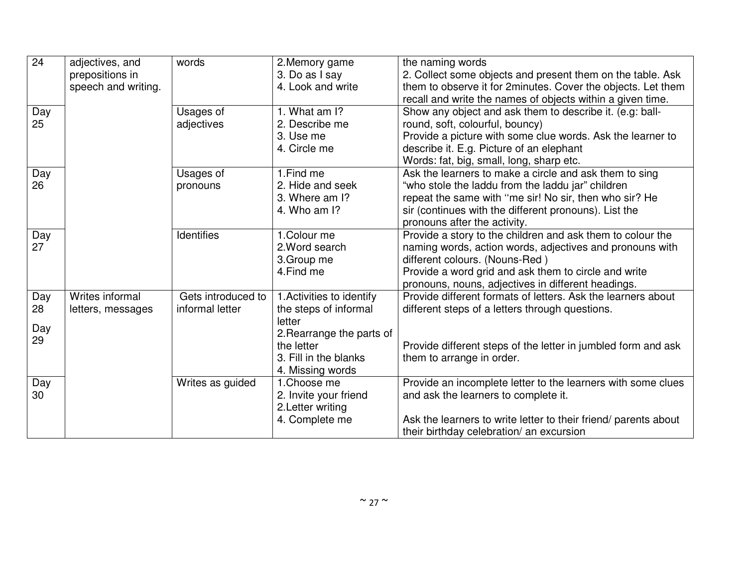| 24                     | adjectives, and<br>prepositions in   | words                                 | 2. Memory game<br>3. Do as I say                                                                                                                     | the naming words<br>2. Collect some objects and present them on the table. Ask                                                                                                                                                                                         |
|------------------------|--------------------------------------|---------------------------------------|------------------------------------------------------------------------------------------------------------------------------------------------------|------------------------------------------------------------------------------------------------------------------------------------------------------------------------------------------------------------------------------------------------------------------------|
|                        | speech and writing.                  |                                       | 4. Look and write                                                                                                                                    | them to observe it for 2minutes. Cover the objects. Let them<br>recall and write the names of objects within a given time.                                                                                                                                             |
| Day<br>25              |                                      | Usages of<br>adjectives               | 1. What am I?<br>2. Describe me<br>3. Use me<br>4. Circle me                                                                                         | Show any object and ask them to describe it. (e.g: ball-<br>round, soft, colourful, bouncy)<br>Provide a picture with some clue words. Ask the learner to<br>describe it. E.g. Picture of an elephant<br>Words: fat, big, small, long, sharp etc.                      |
| Day<br>26              |                                      | Usages of<br>pronouns                 | 1. Find me<br>2. Hide and seek<br>3. Where am I?<br>4. Who am I?                                                                                     | Ask the learners to make a circle and ask them to sing<br>"who stole the laddu from the laddu jar" children<br>repeat the same with "me sir! No sir, then who sir? He<br>sir (continues with the different pronouns). List the<br>pronouns after the activity.         |
| Day<br>27              |                                      | <b>Identifies</b>                     | 1. Colour me<br>2. Word search<br>3. Group me<br>4. Find me                                                                                          | Provide a story to the children and ask them to colour the<br>naming words, action words, adjectives and pronouns with<br>different colours. (Nouns-Red)<br>Provide a word grid and ask them to circle and write<br>pronouns, nouns, adjectives in different headings. |
| Day<br>28<br>Day<br>29 | Writes informal<br>letters, messages | Gets introduced to<br>informal letter | 1. Activities to identify<br>the steps of informal<br>letter<br>2. Rearrange the parts of<br>the letter<br>3. Fill in the blanks<br>4. Missing words | Provide different formats of letters. Ask the learners about<br>different steps of a letters through questions.<br>Provide different steps of the letter in jumbled form and ask<br>them to arrange in order.                                                          |
| Day<br>30              |                                      | Writes as guided                      | 1.Choose me<br>2. Invite your friend<br>2. Letter writing<br>4. Complete me                                                                          | Provide an incomplete letter to the learners with some clues<br>and ask the learners to complete it.<br>Ask the learners to write letter to their friend/ parents about<br>their birthday celebration/ an excursion                                                    |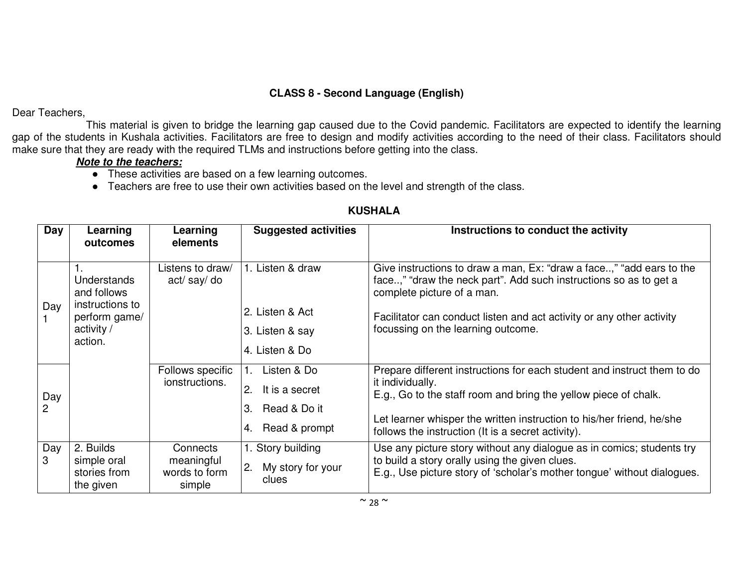## **CLASS 8 - Second Language (English)**

Dear Teachers,

 This material is given to bridge the learning gap caused due to the Covid pandemic. Facilitators are expected to identify the learning gap of the students in Kushala activities. Facilitators are free to design and modify activities according to the need of their class. Facilitators should make sure that they are ready with the required TLMs and instructions before getting into the class.

### **Note to the teachers:**

- These activities are based on a few learning outcomes.
- Teachers are free to use their own activities based on the level and strength of the class.

| Day       | Learning<br>outcomes                                                                           | Learning<br>elements                              | <b>Suggested activities</b>                                                      | Instructions to conduct the activity                                                                                                                                                                                                                                                          |
|-----------|------------------------------------------------------------------------------------------------|---------------------------------------------------|----------------------------------------------------------------------------------|-----------------------------------------------------------------------------------------------------------------------------------------------------------------------------------------------------------------------------------------------------------------------------------------------|
| Day       | <b>Understands</b><br>and follows<br>instructions to<br>perform game/<br>activity /<br>action. | Listens to draw/<br>act/say/do                    | 1. Listen & draw<br>2. Listen & Act<br>3. Listen & say<br>4. Listen & Do         | Give instructions to draw a man, Ex: "draw a face," "add ears to the<br>face," "draw the neck part". Add such instructions so as to get a<br>complete picture of a man.<br>Facilitator can conduct listen and act activity or any other activity<br>focussing on the learning outcome.        |
| Day<br>2  |                                                                                                | Follows specific<br>ionstructions.                | Listen & Do<br>2.<br>It is a secret<br>3.<br>Read & Do it<br>Read & prompt<br>4. | Prepare different instructions for each student and instruct them to do<br>it individually.<br>E.g., Go to the staff room and bring the yellow piece of chalk.<br>Let learner whisper the written instruction to his/her friend, he/she<br>follows the instruction (It is a secret activity). |
| Day<br>3. | 2. Builds<br>simple oral<br>stories from<br>the given                                          | Connects<br>meaningful<br>words to form<br>simple | 1. Story building<br>2.<br>My story for your<br>clues                            | Use any picture story without any dialogue as in comics; students try<br>to build a story orally using the given clues.<br>E.g., Use picture story of 'scholar's mother tongue' without dialogues.                                                                                            |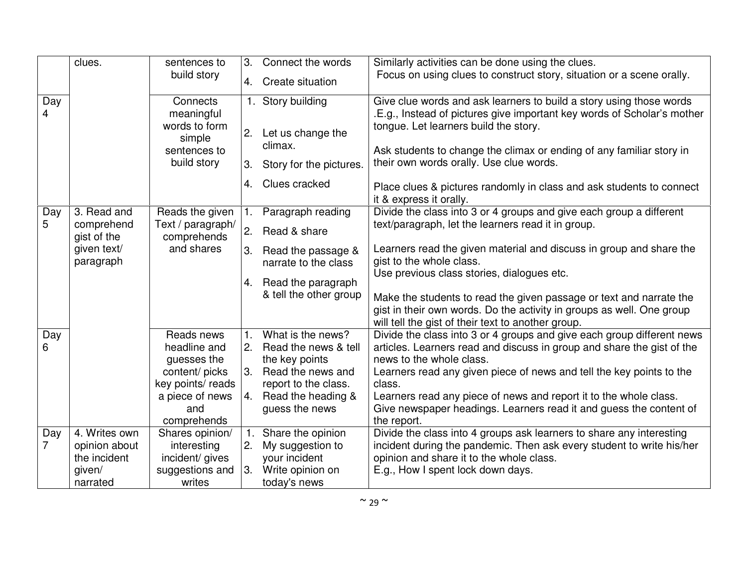|          | clues.                    | sentences to<br>build story             | 3.             | Connect the words                   | Similarly activities can be done using the clues.<br>Focus on using clues to construct story, situation or a scene orally.                     |
|----------|---------------------------|-----------------------------------------|----------------|-------------------------------------|------------------------------------------------------------------------------------------------------------------------------------------------|
|          |                           |                                         |                | 4. Create situation                 |                                                                                                                                                |
| Day<br>4 |                           | Connects<br>meaningful                  |                | 1. Story building                   | Give clue words and ask learners to build a story using those words<br>.E.g., Instead of pictures give important key words of Scholar's mother |
|          |                           | words to form<br>simple<br>sentences to | 2.             | Let us change the<br>climax.        | tongue. Let learners build the story.<br>Ask students to change the climax or ending of any familiar story in                                  |
|          |                           | build story                             | 3.             | Story for the pictures.             | their own words orally. Use clue words.                                                                                                        |
|          |                           |                                         |                | 4. Clues cracked                    | Place clues & pictures randomly in class and ask students to connect<br>it & express it orally.                                                |
| Day      | 3. Read and               | Reads the given                         | $\mathbf{1}$ . | Paragraph reading                   | Divide the class into 3 or 4 groups and give each group a different                                                                            |
| 5        | comprehend<br>gist of the | Text / paragraph/<br>comprehends        | 2.             | Read & share                        | text/paragraph, let the learners read it in group.                                                                                             |
|          | given text/               | and shares                              |                | 3. Read the passage &               | Learners read the given material and discuss in group and share the                                                                            |
|          | paragraph                 |                                         |                | narrate to the class                | gist to the whole class.<br>Use previous class stories, dialogues etc.                                                                         |
|          |                           |                                         |                | 4. Read the paragraph               |                                                                                                                                                |
|          |                           |                                         |                | & tell the other group              | Make the students to read the given passage or text and narrate the                                                                            |
|          |                           |                                         |                |                                     | gist in their own words. Do the activity in groups as well. One group                                                                          |
|          |                           |                                         |                |                                     | will tell the gist of their text to another group.                                                                                             |
| Day      |                           | Reads news                              | $\mathbf{1}$ . | What is the news?                   | Divide the class into 3 or 4 groups and give each group different news                                                                         |
| 6.       |                           | headline and                            | 2.             | Read the news & tell                | articles. Learners read and discuss in group and share the gist of the                                                                         |
|          |                           | guesses the<br>content/ picks           | 3 <sub>1</sub> | the key points<br>Read the news and | news to the whole class.<br>Learners read any given piece of news and tell the key points to the                                               |
|          |                           | key points/ reads                       |                | report to the class.                | class.                                                                                                                                         |
|          |                           | a piece of news                         | 4.             | Read the heading &                  | Learners read any piece of news and report it to the whole class.                                                                              |
|          |                           | and                                     |                | guess the news                      | Give newspaper headings. Learners read it and guess the content of                                                                             |
|          |                           | comprehends                             |                |                                     | the report.                                                                                                                                    |
| Day      | 4. Writes own             | Shares opinion/                         |                | Share the opinion                   | Divide the class into 4 groups ask learners to share any interesting                                                                           |
| 7        | opinion about             | interesting                             | 2.             | My suggestion to                    | incident during the pandemic. Then ask every student to write his/her                                                                          |
|          | the incident              | incident/ gives                         |                | your incident                       | opinion and share it to the whole class.                                                                                                       |
|          | given/                    | suggestions and                         | 3.             | Write opinion on                    | E.g., How I spent lock down days.                                                                                                              |
|          | narrated                  | writes                                  |                | today's news                        |                                                                                                                                                |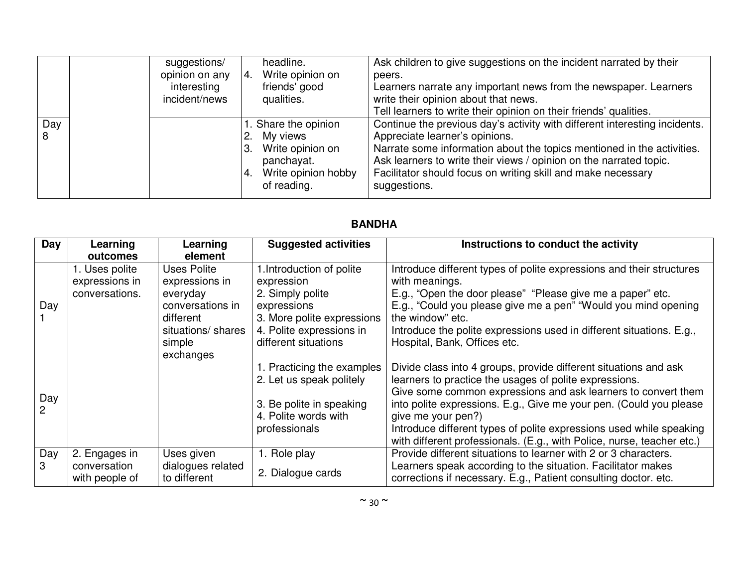|          | suggestions/<br>opinion on any<br>interesting<br>incident/news | headline.<br>Write opinion on<br>4.<br>friends' good<br>qualities.                                             | Ask children to give suggestions on the incident narrated by their<br>peers.<br>Learners narrate any important news from the newspaper. Learners<br>write their opinion about that news.<br>Tell learners to write their opinion on their friends' qualities.                                                                                |
|----------|----------------------------------------------------------------|----------------------------------------------------------------------------------------------------------------|----------------------------------------------------------------------------------------------------------------------------------------------------------------------------------------------------------------------------------------------------------------------------------------------------------------------------------------------|
| Day<br>8 |                                                                | 1. Share the opinion<br>My views<br>3. Write opinion on<br>panchayat.<br>4. Write opinion hobby<br>of reading. | Continue the previous day's activity with different interesting incidents.<br>Appreciate learner's opinions.<br>Narrate some information about the topics mentioned in the activities.<br>Ask learners to write their views / opinion on the narrated topic.<br>Facilitator should focus on writing skill and make necessary<br>suggestions. |

| Day      | Learning<br>outcomes                               | Learning<br>element                                                                                                     | <b>Suggested activities</b>                                                                                                                                  | Instructions to conduct the activity                                                                                                                                                                                                                                                                                                                                                                                                     |
|----------|----------------------------------------------------|-------------------------------------------------------------------------------------------------------------------------|--------------------------------------------------------------------------------------------------------------------------------------------------------------|------------------------------------------------------------------------------------------------------------------------------------------------------------------------------------------------------------------------------------------------------------------------------------------------------------------------------------------------------------------------------------------------------------------------------------------|
| Day      | 1. Uses polite<br>expressions in<br>conversations. | Uses Polite<br>expressions in<br>everyday<br>conversations in<br>different<br>situations/ shares<br>simple<br>exchanges | 1. Introduction of polite<br>expression<br>2. Simply polite<br>expressions<br>3. More polite expressions<br>4. Polite expressions in<br>different situations | Introduce different types of polite expressions and their structures<br>with meanings.<br>E.g., "Open the door please" "Please give me a paper" etc.<br>E.g., "Could you please give me a pen" "Would you mind opening<br>the window" etc.<br>Introduce the polite expressions used in different situations. E.g.,<br>Hospital, Bank, Offices etc.                                                                                       |
| Day<br>2 |                                                    |                                                                                                                         | 1. Practicing the examples<br>2. Let us speak politely<br>3. Be polite in speaking<br>4. Polite words with<br>professionals                                  | Divide class into 4 groups, provide different situations and ask<br>learners to practice the usages of polite expressions.<br>Give some common expressions and ask learners to convert them<br>into polite expressions. E.g., Give me your pen. (Could you please<br>give me your pen?)<br>Introduce different types of polite expressions used while speaking<br>with different professionals. (E.g., with Police, nurse, teacher etc.) |
| Day      | 2. Engages in<br>conversation<br>with people of    | Uses given<br>dialogues related<br>to different                                                                         | 1. Role play<br>2. Dialogue cards                                                                                                                            | Provide different situations to learner with 2 or 3 characters.<br>Learners speak according to the situation. Facilitator makes<br>corrections if necessary. E.g., Patient consulting doctor. etc.                                                                                                                                                                                                                                       |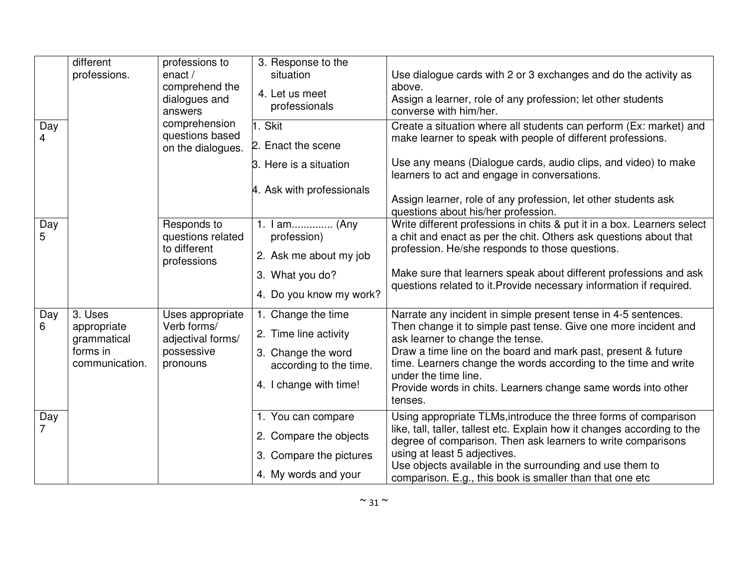| Day<br>4 | different<br>professions.                                           | professions to<br>enact $/$<br>comprehend the<br>dialogues and<br>answers<br>comprehension<br>questions based | 3. Response to the<br>situation<br>4. Let us meet<br>professionals<br>1. Skit                                         | Use dialogue cards with 2 or 3 exchanges and do the activity as<br>above.<br>Assign a learner, role of any profession; let other students<br>converse with him/her.<br>Create a situation where all students can perform (Ex: market) and<br>make learner to speak with people of different professions.                                                                                                      |
|----------|---------------------------------------------------------------------|---------------------------------------------------------------------------------------------------------------|-----------------------------------------------------------------------------------------------------------------------|---------------------------------------------------------------------------------------------------------------------------------------------------------------------------------------------------------------------------------------------------------------------------------------------------------------------------------------------------------------------------------------------------------------|
|          |                                                                     | on the dialogues.                                                                                             | 2. Enact the scene<br>3. Here is a situation<br>4. Ask with professionals                                             | Use any means (Dialogue cards, audio clips, and video) to make<br>learners to act and engage in conversations.<br>Assign learner, role of any profession, let other students ask<br>questions about his/her profession.                                                                                                                                                                                       |
| Day<br>5 |                                                                     | Responds to<br>questions related<br>to different<br>professions                                               | 1. I am (Any<br>profession)<br>2. Ask me about my job<br>3. What you do?<br>4. Do you know my work?                   | Write different professions in chits & put it in a box. Learners select<br>a chit and enact as per the chit. Others ask questions about that<br>profession. He/she responds to those questions.<br>Make sure that learners speak about different professions and ask<br>questions related to it. Provide necessary information if required.                                                                   |
| Day<br>6 | 3. Uses<br>appropriate<br>grammatical<br>forms in<br>communication. | Uses appropriate<br>Verb forms/<br>adjectival forms/<br>possessive<br>pronouns                                | 1. Change the time<br>2. Time line activity<br>3. Change the word<br>according to the time.<br>4. I change with time! | Narrate any incident in simple present tense in 4-5 sentences.<br>Then change it to simple past tense. Give one more incident and<br>ask learner to change the tense.<br>Draw a time line on the board and mark past, present & future<br>time. Learners change the words according to the time and write<br>under the time line.<br>Provide words in chits. Learners change same words into other<br>tenses. |
| Day      |                                                                     |                                                                                                               | 1. You can compare<br>2. Compare the objects<br>3. Compare the pictures<br>4. My words and your                       | Using appropriate TLMs, introduce the three forms of comparison<br>like, tall, taller, tallest etc. Explain how it changes according to the<br>degree of comparison. Then ask learners to write comparisons<br>using at least 5 adjectives.<br>Use objects available in the surrounding and use them to<br>comparison. E.g., this book is smaller than that one etc                                           |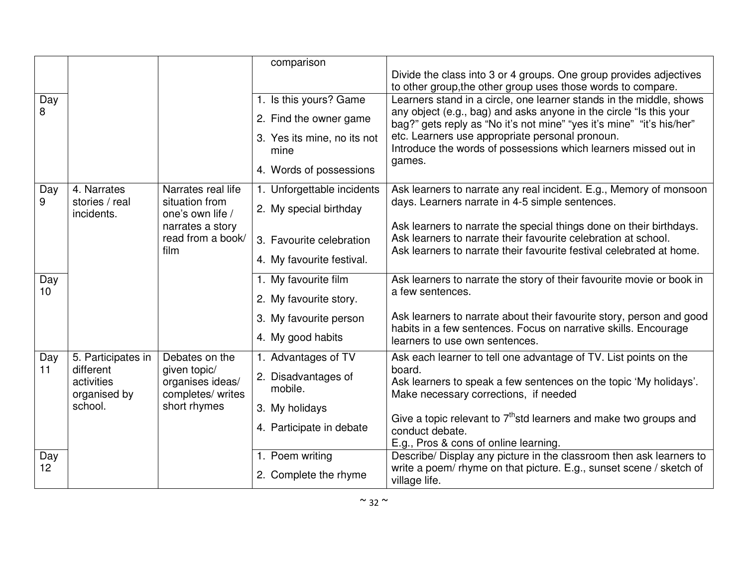|                 |                              |                                    | comparison                  |                                                                                                                                            |
|-----------------|------------------------------|------------------------------------|-----------------------------|--------------------------------------------------------------------------------------------------------------------------------------------|
|                 |                              |                                    |                             | Divide the class into 3 or 4 groups. One group provides adjectives                                                                         |
|                 |                              |                                    |                             | to other group, the other group uses those words to compare.                                                                               |
| Day<br>8        |                              |                                    | 1. Is this yours? Game      | Learners stand in a circle, one learner stands in the middle, shows<br>any object (e.g., bag) and asks anyone in the circle "Is this your  |
|                 |                              |                                    | 2. Find the owner game      | bag?" gets reply as "No it's not mine" "yes it's mine" "it's his/her"                                                                      |
|                 |                              |                                    | 3. Yes its mine, no its not | etc. Learners use appropriate personal pronoun.                                                                                            |
|                 |                              |                                    | mine                        | Introduce the words of possessions which learners missed out in                                                                            |
|                 |                              |                                    | 4. Words of possessions     | games.                                                                                                                                     |
| Day             | 4. Narrates                  | Narrates real life                 | 1. Unforgettable incidents  | Ask learners to narrate any real incident. E.g., Memory of monsoon                                                                         |
| 9               | stories / real<br>incidents. | situation from<br>one's own life / | 2. My special birthday      | days. Learners narrate in 4-5 simple sentences.                                                                                            |
|                 |                              | narrates a story                   |                             | Ask learners to narrate the special things done on their birthdays.                                                                        |
|                 |                              | read from a book/                  | 3. Favourite celebration    | Ask learners to narrate their favourite celebration at school.                                                                             |
|                 |                              | film                               | 4. My favourite festival.   | Ask learners to narrate their favourite festival celebrated at home.                                                                       |
| Day             |                              |                                    | 1. My favourite film        | Ask learners to narrate the story of their favourite movie or book in                                                                      |
| 10 <sup>1</sup> |                              |                                    | 2. My favourite story.      | a few sentences.                                                                                                                           |
|                 |                              |                                    | 3. My favourite person      | Ask learners to narrate about their favourite story, person and good                                                                       |
|                 |                              |                                    |                             | habits in a few sentences. Focus on narrative skills. Encourage                                                                            |
|                 |                              |                                    | 4. My good habits           | learners to use own sentences.                                                                                                             |
| Day             |                              |                                    |                             |                                                                                                                                            |
|                 | 5. Participates in           | Debates on the                     | 1. Advantages of TV         | Ask each learner to tell one advantage of TV. List points on the                                                                           |
| 11              | different                    | given topic/                       | 2. Disadvantages of         | board.                                                                                                                                     |
|                 | activities                   | organises ideas/                   | mobile.                     | Ask learners to speak a few sentences on the topic 'My holidays'.                                                                          |
|                 | organised by<br>school.      | completes/ writes<br>short rhymes  |                             | Make necessary corrections, if needed                                                                                                      |
|                 |                              |                                    | 3. My holidays              | Give a topic relevant to $7th$ std learners and make two groups and                                                                        |
|                 |                              |                                    | 4. Participate in debate    | conduct debate.                                                                                                                            |
|                 |                              |                                    |                             | E.g., Pros & cons of online learning.                                                                                                      |
| Day<br>12       |                              |                                    | 1. Poem writing             | Describe/ Display any picture in the classroom then ask learners to<br>write a poem/ rhyme on that picture. E.g., sunset scene / sketch of |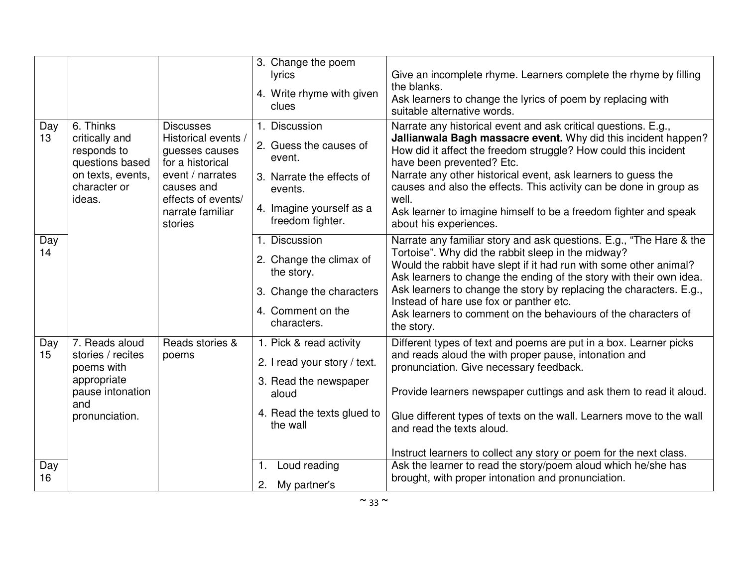|                        |                                                                                                               |                                                                                                                                                                      | 3. Change the poem<br><b>lyrics</b><br>4. Write rhyme with given<br>clues                                                                 | Give an incomplete rhyme. Learners complete the rhyme by filling<br>the blanks.<br>Ask learners to change the lyrics of poem by replacing with<br>suitable alternative words.                                                                                                                                                                                                                                                                                                  |
|------------------------|---------------------------------------------------------------------------------------------------------------|----------------------------------------------------------------------------------------------------------------------------------------------------------------------|-------------------------------------------------------------------------------------------------------------------------------------------|--------------------------------------------------------------------------------------------------------------------------------------------------------------------------------------------------------------------------------------------------------------------------------------------------------------------------------------------------------------------------------------------------------------------------------------------------------------------------------|
| Day<br>13 <sup>°</sup> | 6. Thinks<br>critically and<br>responds to<br>questions based<br>on texts, events,<br>character or<br>ideas.  | <b>Discusses</b><br>Historical events /<br>guesses causes<br>for a historical<br>event / narrates<br>causes and<br>effects of events/<br>narrate familiar<br>stories | 1. Discussion<br>2. Guess the causes of<br>event.<br>3. Narrate the effects of<br>events.<br>4. Imagine yourself as a<br>freedom fighter. | Narrate any historical event and ask critical questions. E.g.,<br>Jallianwala Bagh massacre event. Why did this incident happen?<br>How did it affect the freedom struggle? How could this incident<br>have been prevented? Etc.<br>Narrate any other historical event, ask learners to guess the<br>causes and also the effects. This activity can be done in group as<br>well.<br>Ask learner to imagine himself to be a freedom fighter and speak<br>about his experiences. |
| Day<br>14              |                                                                                                               |                                                                                                                                                                      | 1. Discussion<br>2. Change the climax of<br>the story.<br>3. Change the characters<br>4. Comment on the<br>characters.                    | Narrate any familiar story and ask questions. E.g., "The Hare & the<br>Tortoise". Why did the rabbit sleep in the midway?<br>Would the rabbit have slept if it had run with some other animal?<br>Ask learners to change the ending of the story with their own idea.<br>Ask learners to change the story by replacing the characters. E.g.,<br>Instead of hare use fox or panther etc.<br>Ask learners to comment on the behaviours of the characters of<br>the story.        |
| Day<br>15              | 7. Reads aloud<br>stories / recites<br>poems with<br>appropriate<br>pause intonation<br>and<br>pronunciation. | Reads stories &<br>poems                                                                                                                                             | 1. Pick & read activity<br>2. I read your story / text.<br>3. Read the newspaper<br>aloud<br>4. Read the texts glued to<br>the wall       | Different types of text and poems are put in a box. Learner picks<br>and reads aloud the with proper pause, intonation and<br>pronunciation. Give necessary feedback.<br>Provide learners newspaper cuttings and ask them to read it aloud.<br>Glue different types of texts on the wall. Learners move to the wall<br>and read the texts aloud.<br>Instruct learners to collect any story or poem for the next class.                                                         |
| Day<br>16              |                                                                                                               |                                                                                                                                                                      | Loud reading<br>1.<br>My partner's<br>2.                                                                                                  | Ask the learner to read the story/poem aloud which he/she has<br>brought, with proper intonation and pronunciation.                                                                                                                                                                                                                                                                                                                                                            |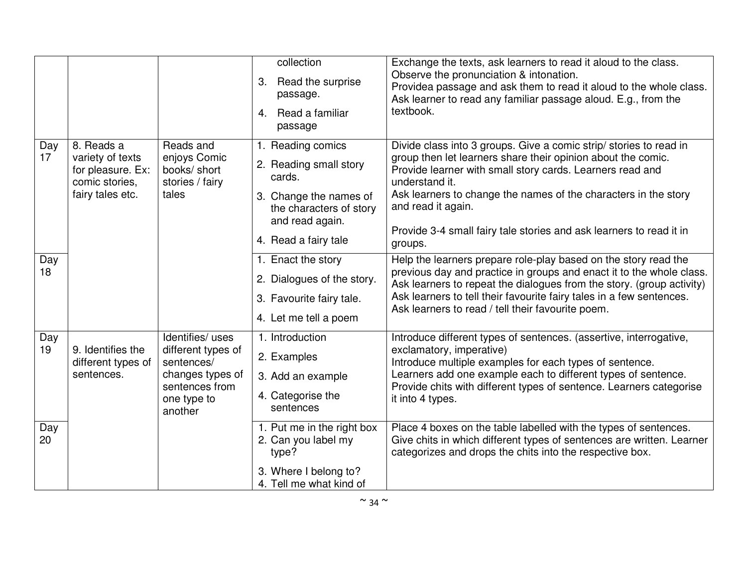|           |                                                                                           |                                                                                                                      | collection<br>Read the surprise<br>3.<br>passage.<br>Read a familiar<br>$\mathbf{4}$<br>passage                                                       | Exchange the texts, ask learners to read it aloud to the class.<br>Observe the pronunciation & intonation.<br>Providea passage and ask them to read it aloud to the whole class.<br>Ask learner to read any familiar passage aloud. E.g., from the<br>textbook.                                                                                                                              |
|-----------|-------------------------------------------------------------------------------------------|----------------------------------------------------------------------------------------------------------------------|-------------------------------------------------------------------------------------------------------------------------------------------------------|----------------------------------------------------------------------------------------------------------------------------------------------------------------------------------------------------------------------------------------------------------------------------------------------------------------------------------------------------------------------------------------------|
| Day<br>17 | 8. Reads a<br>variety of texts<br>for pleasure. Ex:<br>comic stories,<br>fairy tales etc. | Reads and<br>enjoys Comic<br>books/ short<br>stories / fairy<br>tales                                                | 1. Reading comics<br>2. Reading small story<br>cards.<br>3. Change the names of<br>the characters of story<br>and read again.<br>4. Read a fairy tale | Divide class into 3 groups. Give a comic strip/ stories to read in<br>group then let learners share their opinion about the comic.<br>Provide learner with small story cards. Learners read and<br>understand it.<br>Ask learners to change the names of the characters in the story<br>and read it again.<br>Provide 3-4 small fairy tale stories and ask learners to read it in<br>groups. |
| Day<br>18 |                                                                                           |                                                                                                                      | 1. Enact the story<br>2. Dialogues of the story.<br>3. Favourite fairy tale.<br>4. Let me tell a poem                                                 | Help the learners prepare role-play based on the story read the<br>previous day and practice in groups and enact it to the whole class.<br>Ask learners to repeat the dialogues from the story. (group activity)<br>Ask learners to tell their favourite fairy tales in a few sentences.<br>Ask learners to read / tell their favourite poem.                                                |
| Day<br>19 | 9. Identifies the<br>different types of<br>sentences.                                     | Identifies/ uses<br>different types of<br>sentences/<br>changes types of<br>sentences from<br>one type to<br>another | 1. Introduction<br>2. Examples<br>3. Add an example<br>4. Categorise the<br>sentences                                                                 | Introduce different types of sentences. (assertive, interrogative,<br>exclamatory, imperative)<br>Introduce multiple examples for each types of sentence.<br>Learners add one example each to different types of sentence.<br>Provide chits with different types of sentence. Learners categorise<br>it into 4 types.                                                                        |
| Day<br>20 |                                                                                           |                                                                                                                      | 1. Put me in the right box<br>2. Can you label my<br>type?<br>3. Where I belong to?<br>4. Tell me what kind of                                        | Place 4 boxes on the table labelled with the types of sentences.<br>Give chits in which different types of sentences are written. Learner<br>categorizes and drops the chits into the respective box.                                                                                                                                                                                        |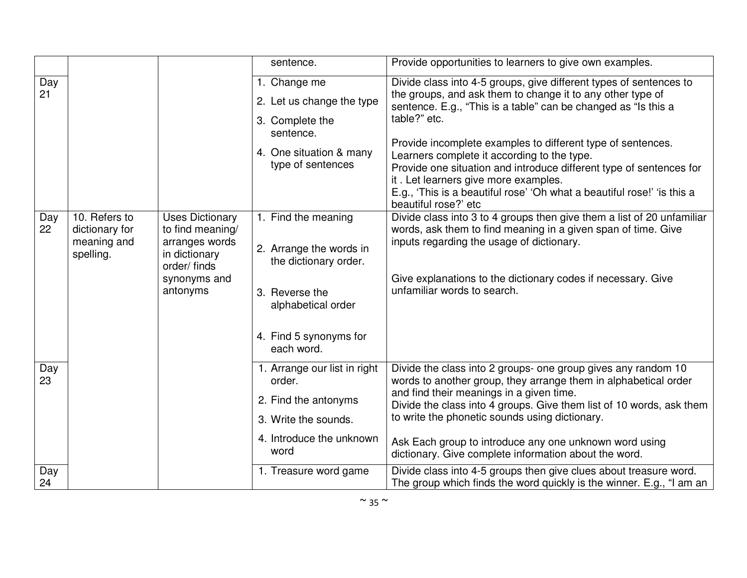|           |                                                             |                                                                                                                          | sentence.                                                                                                                                               | Provide opportunities to learners to give own examples.                                                                                                                                                                                                                                                                                                                                                                                                                                                                                            |
|-----------|-------------------------------------------------------------|--------------------------------------------------------------------------------------------------------------------------|---------------------------------------------------------------------------------------------------------------------------------------------------------|----------------------------------------------------------------------------------------------------------------------------------------------------------------------------------------------------------------------------------------------------------------------------------------------------------------------------------------------------------------------------------------------------------------------------------------------------------------------------------------------------------------------------------------------------|
| Day<br>21 |                                                             |                                                                                                                          | 1. Change me<br>2. Let us change the type<br>3. Complete the<br>sentence.<br>4. One situation & many<br>type of sentences                               | Divide class into 4-5 groups, give different types of sentences to<br>the groups, and ask them to change it to any other type of<br>sentence. E.g., "This is a table" can be changed as "Is this a<br>table?" etc.<br>Provide incomplete examples to different type of sentences.<br>Learners complete it according to the type.<br>Provide one situation and introduce different type of sentences for<br>it. Let learners give more examples.<br>E.g., 'This is a beautiful rose' 'Oh what a beautiful rose!' 'is this a<br>beautiful rose?' etc |
| Day<br>22 | 10. Refers to<br>dictionary for<br>meaning and<br>spelling. | <b>Uses Dictionary</b><br>to find meaning/<br>arranges words<br>in dictionary<br>order/finds<br>synonyms and<br>antonyms | 1. Find the meaning<br>2. Arrange the words in<br>the dictionary order.<br>3. Reverse the<br>alphabetical order<br>4. Find 5 synonyms for<br>each word. | Divide class into 3 to 4 groups then give them a list of 20 unfamiliar<br>words, ask them to find meaning in a given span of time. Give<br>inputs regarding the usage of dictionary.<br>Give explanations to the dictionary codes if necessary. Give<br>unfamiliar words to search.                                                                                                                                                                                                                                                                |
| Day<br>23 |                                                             |                                                                                                                          | 1. Arrange our list in right<br>order.<br>2. Find the antonyms<br>3. Write the sounds.<br>4. Introduce the unknown<br>word                              | Divide the class into 2 groups- one group gives any random 10<br>words to another group, they arrange them in alphabetical order<br>and find their meanings in a given time.<br>Divide the class into 4 groups. Give them list of 10 words, ask them<br>to write the phonetic sounds using dictionary.<br>Ask Each group to introduce any one unknown word using<br>dictionary. Give complete information about the word.                                                                                                                          |
| Day<br>24 |                                                             |                                                                                                                          | 1. Treasure word game                                                                                                                                   | Divide class into 4-5 groups then give clues about treasure word.<br>The group which finds the word quickly is the winner. E.g., "I am an                                                                                                                                                                                                                                                                                                                                                                                                          |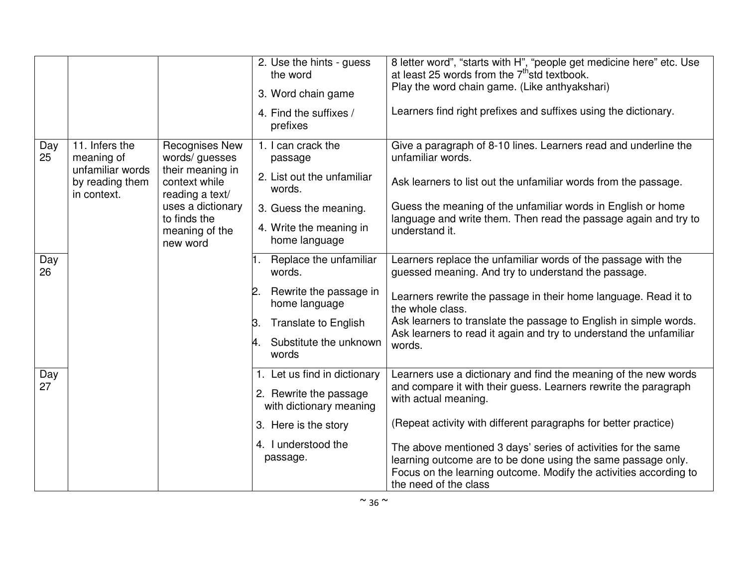|           |                                                                                    |                                                                                                 | 2. Use the hints - guess<br>the word<br>3. Word chain game<br>4. Find the suffixes /<br>prefixes                      | 8 letter word", "starts with H", "people get medicine here" etc. Use<br>at least 25 words from the 7 <sup>th</sup> std textbook.<br>Play the word chain game. (Like anthyakshari)<br>Learners find right prefixes and suffixes using the dictionary. |
|-----------|------------------------------------------------------------------------------------|-------------------------------------------------------------------------------------------------|-----------------------------------------------------------------------------------------------------------------------|------------------------------------------------------------------------------------------------------------------------------------------------------------------------------------------------------------------------------------------------------|
| Day<br>25 | 11. Infers the<br>meaning of<br>unfamiliar words<br>by reading them<br>in context. | <b>Recognises New</b><br>words/ guesses<br>their meaning in<br>context while<br>reading a text/ | 1. I can crack the<br>passage<br>2. List out the unfamiliar<br>words.                                                 | Give a paragraph of 8-10 lines. Learners read and underline the<br>unfamiliar words.<br>Ask learners to list out the unfamiliar words from the passage.                                                                                              |
|           |                                                                                    | uses a dictionary<br>to finds the<br>meaning of the<br>new word                                 | 3. Guess the meaning.<br>4. Write the meaning in<br>home language                                                     | Guess the meaning of the unfamiliar words in English or home<br>language and write them. Then read the passage again and try to<br>understand it.                                                                                                    |
| Day<br>26 |                                                                                    |                                                                                                 | Replace the unfamiliar<br>words.                                                                                      | Learners replace the unfamiliar words of the passage with the<br>guessed meaning. And try to understand the passage.                                                                                                                                 |
|           |                                                                                    |                                                                                                 | Rewrite the passage in<br>2.<br>home language<br><b>Translate to English</b><br>Β.<br>Substitute the unknown<br>words | Learners rewrite the passage in their home language. Read it to<br>the whole class.<br>Ask learners to translate the passage to English in simple words.<br>Ask learners to read it again and try to understand the unfamiliar<br>words.             |
| Day<br>27 |                                                                                    |                                                                                                 | 1. Let us find in dictionary<br>2. Rewrite the passage<br>with dictionary meaning<br>3. Here is the story             | Learners use a dictionary and find the meaning of the new words<br>and compare it with their guess. Learners rewrite the paragraph<br>with actual meaning.<br>(Repeat activity with different paragraphs for better practice)                        |
|           |                                                                                    |                                                                                                 | 4. I understood the<br>passage.                                                                                       | The above mentioned 3 days' series of activities for the same<br>learning outcome are to be done using the same passage only.<br>Focus on the learning outcome. Modify the activities according to<br>the need of the class                          |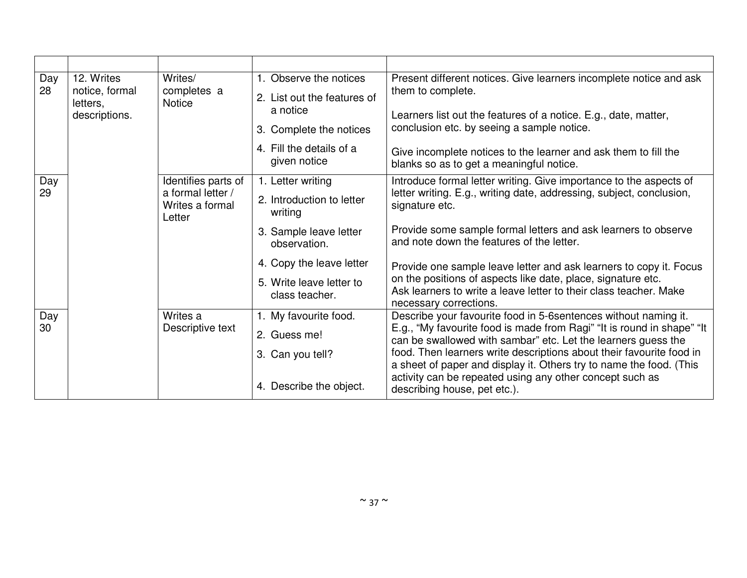| Day<br>28 | 12. Writes<br>notice, formal<br>letters,<br>descriptions. | Writes/<br>completes a<br><b>Notice</b>                               | 1. Observe the notices<br>2. List out the features of<br>a notice<br>3. Complete the notices<br>4. Fill the details of a<br>given notice                                      | Present different notices. Give learners incomplete notice and ask<br>them to complete.<br>Learners list out the features of a notice. E.g., date, matter,<br>conclusion etc. by seeing a sample notice.<br>Give incomplete notices to the learner and ask them to fill the<br>blanks so as to get a meaningful notice.                                                                                                                                                                                          |
|-----------|-----------------------------------------------------------|-----------------------------------------------------------------------|-------------------------------------------------------------------------------------------------------------------------------------------------------------------------------|------------------------------------------------------------------------------------------------------------------------------------------------------------------------------------------------------------------------------------------------------------------------------------------------------------------------------------------------------------------------------------------------------------------------------------------------------------------------------------------------------------------|
| Day<br>29 |                                                           | Identifies parts of<br>a formal letter /<br>Writes a formal<br>Letter | 1. Letter writing<br>2. Introduction to letter<br>writing<br>3. Sample leave letter<br>observation.<br>4. Copy the leave letter<br>5. Write leave letter to<br>class teacher. | Introduce formal letter writing. Give importance to the aspects of<br>letter writing. E.g., writing date, addressing, subject, conclusion,<br>signature etc.<br>Provide some sample formal letters and ask learners to observe<br>and note down the features of the letter.<br>Provide one sample leave letter and ask learners to copy it. Focus<br>on the positions of aspects like date, place, signature etc.<br>Ask learners to write a leave letter to their class teacher. Make<br>necessary corrections. |
| Day<br>30 |                                                           | Writes a<br>Descriptive text                                          | 1. My favourite food.<br>2. Guess me!<br>3. Can you tell?<br>4. Describe the object.                                                                                          | Describe your favourite food in 5-6 sentences without naming it.<br>E.g., "My favourite food is made from Ragi" "It is round in shape" "It<br>can be swallowed with sambar" etc. Let the learners guess the<br>food. Then learners write descriptions about their favourite food in<br>a sheet of paper and display it. Others try to name the food. (This<br>activity can be repeated using any other concept such as<br>describing house, pet etc.).                                                           |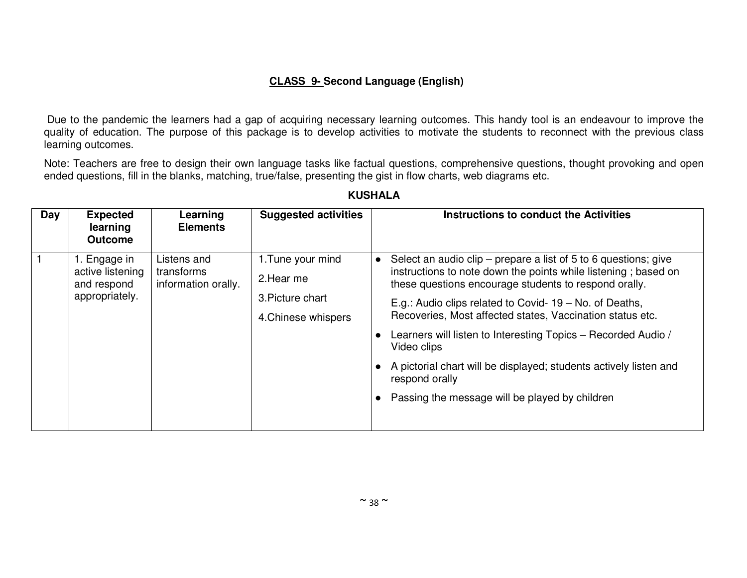## **CLASS 9- Second Language (English)**

 Due to the pandemic the learners had a gap of acquiring necessary learning outcomes. This handy tool is an endeavour to improve the quality of education. The purpose of this package is to develop activities to motivate the students to reconnect with the previous class learning outcomes.

Note: Teachers are free to design their own language tasks like factual questions, comprehensive questions, thought provoking and open ended questions, fill in the blanks, matching, true/false, presenting the gist in flow charts, web diagrams etc.

| Day | <b>Expected</b><br>learning<br><b>Outcome</b>                                                                                                                                                                                 | Learning<br><b>Elements</b>                                     | <b>Suggested activities</b> |  | Instructions to conduct the Activities                                                                                  |
|-----|-------------------------------------------------------------------------------------------------------------------------------------------------------------------------------------------------------------------------------|-----------------------------------------------------------------|-----------------------------|--|-------------------------------------------------------------------------------------------------------------------------|
|     | 1. Tune your mind<br>Listens and<br>1. Engage in<br>$\bullet$<br>active listening<br>transforms<br>2. Hear me<br>information orally.<br>and respond<br>appropriately.<br>3. Picture chart<br>4. Chinese whispers<br>$\bullet$ | Select an audio clip – prepare a list of 5 to 6 questions; give |                             |  |                                                                                                                         |
|     |                                                                                                                                                                                                                               |                                                                 |                             |  | instructions to note down the points while listening; based on<br>these questions encourage students to respond orally. |
|     |                                                                                                                                                                                                                               |                                                                 |                             |  | E.g.: Audio clips related to Covid- 19 - No. of Deaths,<br>Recoveries, Most affected states, Vaccination status etc.    |
|     |                                                                                                                                                                                                                               |                                                                 |                             |  |                                                                                                                         |
|     |                                                                                                                                                                                                                               |                                                                 |                             |  | Learners will listen to Interesting Topics - Recorded Audio /<br>Video clips                                            |
|     |                                                                                                                                                                                                                               |                                                                 |                             |  | A pictorial chart will be displayed; students actively listen and<br>respond orally                                     |
|     |                                                                                                                                                                                                                               |                                                                 |                             |  | Passing the message will be played by children                                                                          |
|     |                                                                                                                                                                                                                               |                                                                 |                             |  |                                                                                                                         |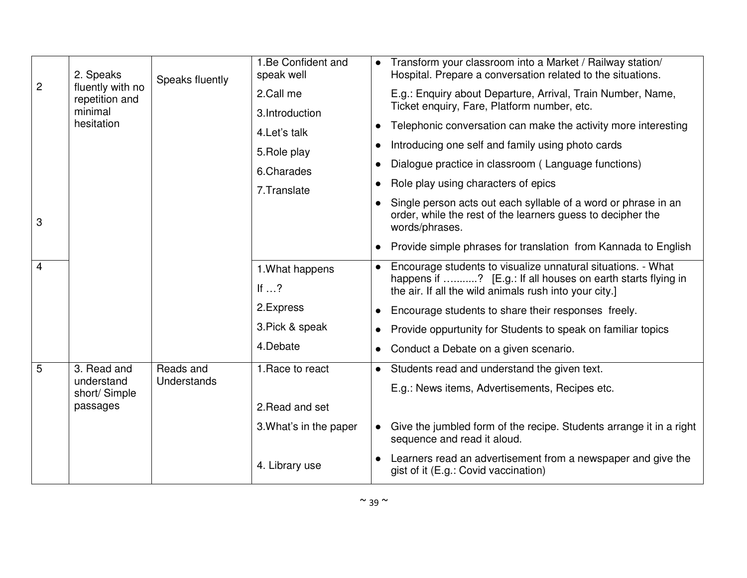|                | 2. Speaks<br>fluently with no<br>repetition and | Speaks fluently | 1.Be Confident and<br>speak well |           | Transform your classroom into a Market / Railway station/<br>Hospital. Prepare a conversation related to the situations.                        |
|----------------|-------------------------------------------------|-----------------|----------------------------------|-----------|-------------------------------------------------------------------------------------------------------------------------------------------------|
| $\overline{c}$ |                                                 |                 | 2.Call me                        |           | E.g.: Enquiry about Departure, Arrival, Train Number, Name,<br>Ticket enquiry, Fare, Platform number, etc.                                      |
|                | minimal                                         |                 | 3.Introduction                   |           |                                                                                                                                                 |
|                | hesitation                                      |                 | 4. Let's talk                    |           | Telephonic conversation can make the activity more interesting                                                                                  |
|                |                                                 |                 | 5. Role play                     |           | Introducing one self and family using photo cards                                                                                               |
|                |                                                 |                 | 6.Charades                       |           | Dialogue practice in classroom (Language functions)                                                                                             |
|                |                                                 |                 | 7. Translate                     | $\bullet$ | Role play using characters of epics                                                                                                             |
| 3              |                                                 |                 |                                  |           | Single person acts out each syllable of a word or phrase in an<br>order, while the rest of the learners guess to decipher the<br>words/phrases. |
|                |                                                 |                 |                                  |           | Provide simple phrases for translation from Kannada to English                                                                                  |
| 4              |                                                 |                 | 1. What happens                  | $\bullet$ | Encourage students to visualize unnatural situations. - What<br>happens if ? [E.g.: If all houses on earth starts flying in                     |
|                |                                                 |                 | If $\ldots$ ?                    |           | the air. If all the wild animals rush into your city.]                                                                                          |
|                |                                                 |                 | 2. Express                       |           | Encourage students to share their responses freely.                                                                                             |
|                |                                                 |                 | 3. Pick & speak                  |           | Provide oppurtunity for Students to speak on familiar topics                                                                                    |
|                |                                                 |                 | 4.Debate                         |           | Conduct a Debate on a given scenario.                                                                                                           |
| 5              | 3. Read and                                     | Reads and       | 1. Race to react                 |           | Students read and understand the given text.                                                                                                    |
|                | understand<br>short/ Simple                     | Understands     |                                  |           | E.g.: News items, Advertisements, Recipes etc.                                                                                                  |
|                | passages                                        |                 | 2. Read and set                  |           |                                                                                                                                                 |
|                |                                                 |                 | 3. What's in the paper           |           | Give the jumbled form of the recipe. Students arrange it in a right<br>sequence and read it aloud.                                              |
|                |                                                 |                 | 4. Library use                   |           | Learners read an advertisement from a newspaper and give the<br>gist of it (E.g.: Covid vaccination)                                            |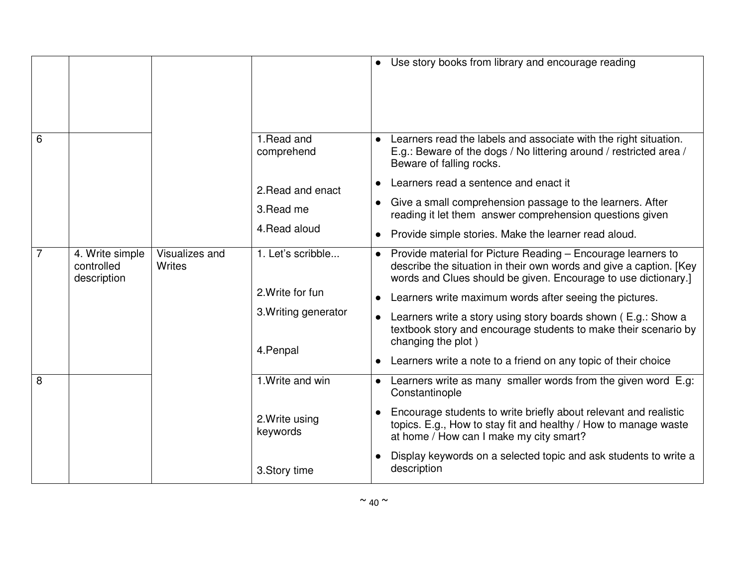|                |                                              |                          |                                   |           | Use story books from library and encourage reading                                                                                                                                                   |
|----------------|----------------------------------------------|--------------------------|-----------------------------------|-----------|------------------------------------------------------------------------------------------------------------------------------------------------------------------------------------------------------|
| 6              |                                              |                          | 1. Read and<br>comprehend         |           | Learners read the labels and associate with the right situation.<br>E.g.: Beware of the dogs / No littering around / restricted area /<br>Beware of falling rocks.                                   |
|                |                                              |                          | 2. Read and enact                 |           | Learners read a sentence and enact it                                                                                                                                                                |
|                |                                              |                          | 3. Read me                        | $\bullet$ | Give a small comprehension passage to the learners. After<br>reading it let them answer comprehension questions given                                                                                |
|                |                                              |                          | 4. Read aloud                     | $\bullet$ | Provide simple stories. Make the learner read aloud.                                                                                                                                                 |
| $\overline{7}$ | 4. Write simple<br>controlled<br>description | Visualizes and<br>Writes | 1. Let's scribble                 | $\bullet$ | Provide material for Picture Reading - Encourage learners to<br>describe the situation in their own words and give a caption. [Key<br>words and Clues should be given. Encourage to use dictionary.] |
|                |                                              |                          | 2. Write for fun                  |           | Learners write maximum words after seeing the pictures.                                                                                                                                              |
|                |                                              |                          | 3. Writing generator<br>4. Penpal | $\bullet$ | Learners write a story using story boards shown (E.g.: Show a<br>textbook story and encourage students to make their scenario by<br>changing the plot)                                               |
|                |                                              |                          |                                   |           | Learners write a note to a friend on any topic of their choice                                                                                                                                       |
| 8              |                                              |                          | 1. Write and win                  | $\bullet$ | Learners write as many smaller words from the given word E.g:<br>Constantinople                                                                                                                      |
|                |                                              |                          | 2. Write using<br>keywords        |           | Encourage students to write briefly about relevant and realistic<br>topics. E.g., How to stay fit and healthy / How to manage waste<br>at home / How can I make my city smart?                       |
|                |                                              |                          | 3. Story time                     |           | Display keywords on a selected topic and ask students to write a<br>description                                                                                                                      |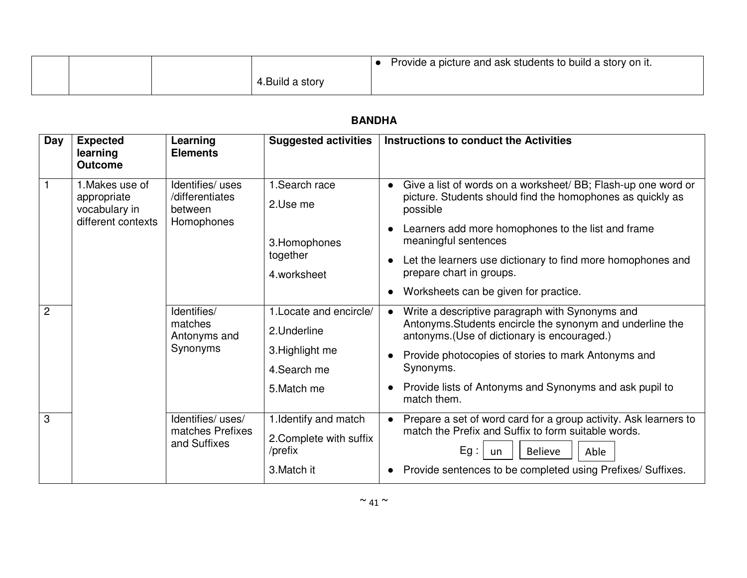|  |                | Provide a picture and ask students to build a story on it. |
|--|----------------|------------------------------------------------------------|
|  | .Build a story |                                                            |

| Day            | <b>Expected</b><br>learning<br><b>Outcome</b>                         | Learning<br><b>Elements</b>                                  | <b>Suggested activities</b>                                                              | <b>Instructions to conduct the Activities</b>                                                                                                                                                                                                                                                                                                                                       |
|----------------|-----------------------------------------------------------------------|--------------------------------------------------------------|------------------------------------------------------------------------------------------|-------------------------------------------------------------------------------------------------------------------------------------------------------------------------------------------------------------------------------------------------------------------------------------------------------------------------------------------------------------------------------------|
|                | 1. Makes use of<br>appropriate<br>vocabulary in<br>different contexts | Identifies/ uses<br>/differentiates<br>between<br>Homophones | 1.Search race<br>2.Use me<br>3. Homophones<br>together<br>4.worksheet                    | Give a list of words on a worksheet/ BB; Flash-up one word or<br>$\bullet$<br>picture. Students should find the homophones as quickly as<br>possible<br>Learners add more homophones to the list and frame<br>meaningful sentences<br>Let the learners use dictionary to find more homophones and<br>$\bullet$<br>prepare chart in groups.<br>Worksheets can be given for practice. |
| $\overline{2}$ |                                                                       | Identifies/<br>matches<br>Antonyms and<br>Synonyms           | 1. Locate and encircle/<br>2.Underline<br>3. Highlight me<br>4. Search me<br>5. Match me | Write a descriptive paragraph with Synonyms and<br>$\bullet$<br>Antonyms. Students encircle the synonym and underline the<br>antonyms. (Use of dictionary is encouraged.)<br>Provide photocopies of stories to mark Antonyms and<br>Synonyms.<br>Provide lists of Antonyms and Synonyms and ask pupil to<br>$\bullet$<br>match them.                                                |
| 3              |                                                                       | Identifies/ uses/<br>matches Prefixes<br>and Suffixes        | 1. Identify and match<br>2. Complete with suffix<br>/prefix<br>3. Match it               | Prepare a set of word card for a group activity. Ask learners to<br>$\bullet$<br>match the Prefix and Suffix to form suitable words.<br>$Eg$ :<br><b>Believe</b><br>Able<br>un<br>Provide sentences to be completed using Prefixes/Suffixes.                                                                                                                                        |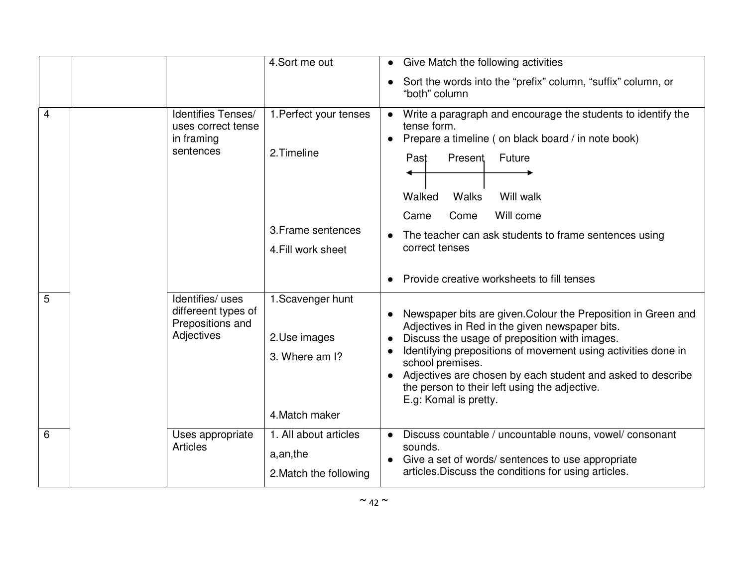|                |                                                                           | 4.Sort me out                                                                     | Give Match the following activities                                                                                                                                                                                                                                                                                                                                                            |
|----------------|---------------------------------------------------------------------------|-----------------------------------------------------------------------------------|------------------------------------------------------------------------------------------------------------------------------------------------------------------------------------------------------------------------------------------------------------------------------------------------------------------------------------------------------------------------------------------------|
|                |                                                                           |                                                                                   | Sort the words into the "prefix" column, "suffix" column, or<br>"both" column                                                                                                                                                                                                                                                                                                                  |
| $\overline{4}$ | Identifies Tenses/<br>uses correct tense<br>in framing<br>sentences       | 1. Perfect your tenses<br>2. Timeline<br>3. Frame sentences<br>4. Fill work sheet | Write a paragraph and encourage the students to identify the<br>tense form.<br>Prepare a timeline (on black board / in note book)<br>Present<br>Future<br>Past<br>Walked<br>Walks<br>Will walk<br>Will come<br>Come<br>Came<br>The teacher can ask students to frame sentences using<br>correct tenses<br>Provide creative worksheets to fill tenses                                           |
| 5              | Identifies/ uses<br>differeent types of<br>Prepositions and<br>Adjectives | 1. Scavenger hunt<br>2.Use images<br>3. Where am I?<br>4. Match maker             | Newspaper bits are given. Colour the Preposition in Green and<br>Adjectives in Red in the given newspaper bits.<br>Discuss the usage of preposition with images.<br>Identifying prepositions of movement using activities done in<br>school premises.<br>Adjectives are chosen by each student and asked to describe<br>the person to their left using the adjective.<br>E.g: Komal is pretty. |
| 6              | Uses appropriate<br><b>Articles</b>                                       | 1. All about articles<br>a, an, the<br>2. Match the following                     | Discuss countable / uncountable nouns, vowel/ consonant<br>sounds.<br>Give a set of words/ sentences to use appropriate<br>articles. Discuss the conditions for using articles.                                                                                                                                                                                                                |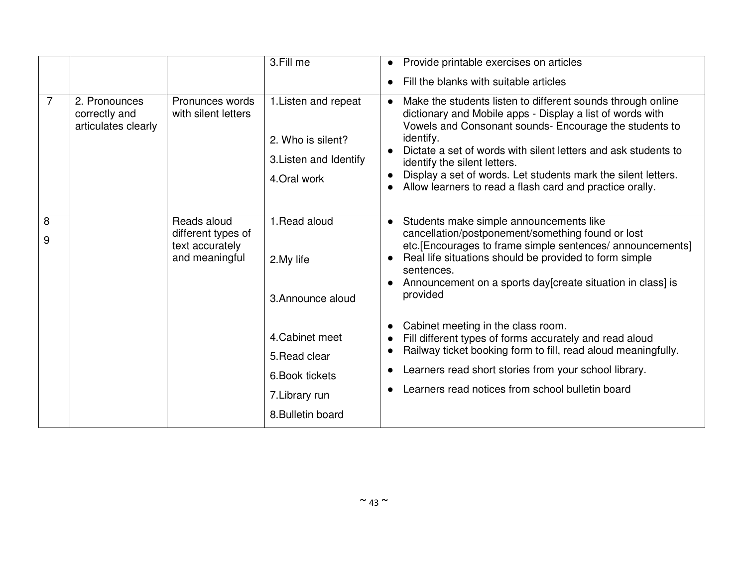|        |                                                        |                                                                        | 3.Fill me                                                                            | Provide printable exercises on articles<br>$\bullet$<br>Fill the blanks with suitable articles<br>$\bullet$                                                                                                                                                                                                                                                                                                                                                                                                                                     |
|--------|--------------------------------------------------------|------------------------------------------------------------------------|--------------------------------------------------------------------------------------|-------------------------------------------------------------------------------------------------------------------------------------------------------------------------------------------------------------------------------------------------------------------------------------------------------------------------------------------------------------------------------------------------------------------------------------------------------------------------------------------------------------------------------------------------|
| 7      | 2. Pronounces<br>correctly and<br>articulates clearly  | Pronunces words<br>with silent letters                                 | 1. Listen and repeat<br>2. Who is silent?<br>3. Listen and Identify<br>4. Oral work  | Make the students listen to different sounds through online<br>$\bullet$<br>dictionary and Mobile apps - Display a list of words with<br>Vowels and Consonant sounds- Encourage the students to<br>identify.<br>Dictate a set of words with silent letters and ask students to<br>identify the silent letters.<br>Display a set of words. Let students mark the silent letters.<br>Allow learners to read a flash card and practice orally.                                                                                                     |
| 8<br>9 |                                                        | Reads aloud<br>different types of<br>text accurately<br>and meaningful | 1. Read aloud<br>2. My life<br>3. Announce aloud<br>4. Cabinet meet<br>5. Read clear | Students make simple announcements like<br>$\bullet$<br>cancellation/postponement/something found or lost<br>etc.[Encourages to frame simple sentences/ announcements]<br>Real life situations should be provided to form simple<br>$\bullet$<br>sentences.<br>Announcement on a sports day [create situation in class] is<br>$\bullet$<br>provided<br>Cabinet meeting in the class room.<br>$\bullet$<br>Fill different types of forms accurately and read aloud<br>Railway ticket booking form to fill, read aloud meaningfully.<br>$\bullet$ |
|        | 6. Book tickets<br>7. Library run<br>8. Bulletin board |                                                                        |                                                                                      | Learners read short stories from your school library.<br>$\bullet$<br>Learners read notices from school bulletin board<br>$\bullet$                                                                                                                                                                                                                                                                                                                                                                                                             |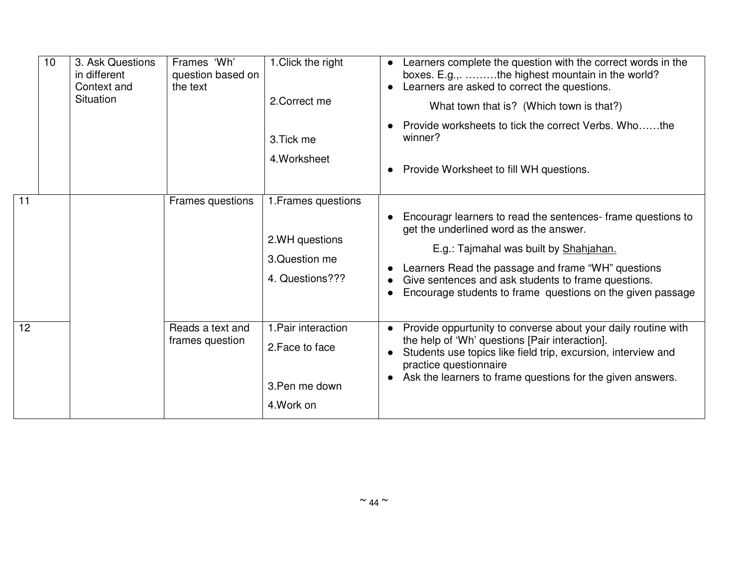|                 | 10 | 3. Ask Questions<br>in different<br>Context and<br>Situation | Frames 'Wh'<br>question based on<br>the text | 1. Click the right<br>2. Correct me<br>3. Tick me<br>4. Worksheet          | Learners complete the question with the correct words in the<br>$\bullet$<br>boxes. E.g.,. the highest mountain in the world?<br>Learners are asked to correct the questions.<br>What town that is? (Which town is that?)<br>Provide worksheets to tick the correct Verbs. Whothe<br>winner?<br>Provide Worksheet to fill WH questions. |
|-----------------|----|--------------------------------------------------------------|----------------------------------------------|----------------------------------------------------------------------------|-----------------------------------------------------------------------------------------------------------------------------------------------------------------------------------------------------------------------------------------------------------------------------------------------------------------------------------------|
| 11              |    |                                                              | Frames questions                             | 1. Frames questions<br>2.WH questions<br>3. Question me<br>4. Questions??? | Encouragr learners to read the sentences-frame questions to<br>get the underlined word as the answer.<br>E.g.: Tajmahal was built by Shahjahan.<br>Learners Read the passage and frame "WH" questions<br>Give sentences and ask students to frame questions.<br>Encourage students to frame questions on the given passage              |
| 12 <sup>2</sup> |    |                                                              | Reads a text and<br>frames question          | 1. Pair interaction<br>2. Face to face<br>3. Pen me down<br>4. Work on     | Provide oppurtunity to converse about your daily routine with<br>$\bullet$<br>the help of 'Wh' questions [Pair interaction].<br>Students use topics like field trip, excursion, interview and<br>$\bullet$<br>practice questionnaire<br>Ask the learners to frame questions for the given answers.                                      |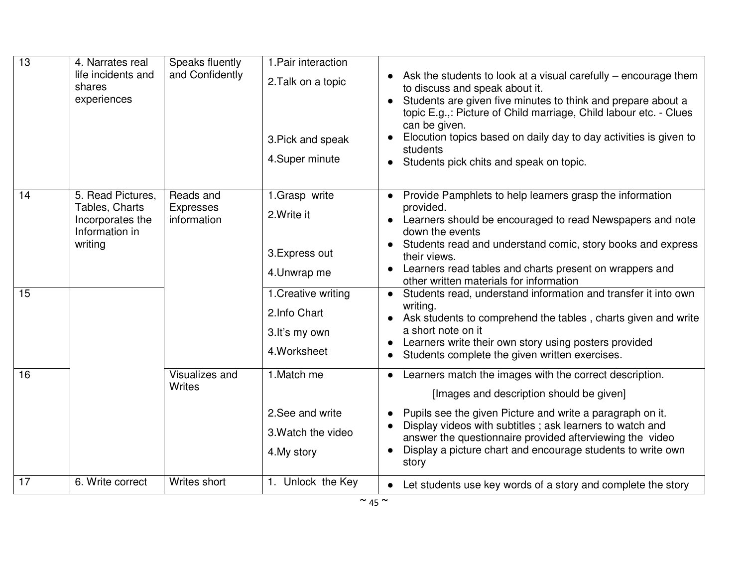| $\overline{13}$ | 4. Narrates real<br>life incidents and<br>shares<br>experiences                      | Speaks fluently<br>and Confidently           | 1. Pair interaction<br>2. Talk on a topic<br>3. Pick and speak<br>4.Super minute                                                        | Ask the students to look at a visual carefully $-$ encourage them<br>to discuss and speak about it.<br>Students are given five minutes to think and prepare about a<br>topic E.g.,: Picture of Child marriage, Child labour etc. - Clues<br>can be given.<br>Elocution topics based on daily day to day activities is given to<br>students<br>Students pick chits and speak on topic.                                                                                                                                                                                                                                                                                          |
|-----------------|--------------------------------------------------------------------------------------|----------------------------------------------|-----------------------------------------------------------------------------------------------------------------------------------------|--------------------------------------------------------------------------------------------------------------------------------------------------------------------------------------------------------------------------------------------------------------------------------------------------------------------------------------------------------------------------------------------------------------------------------------------------------------------------------------------------------------------------------------------------------------------------------------------------------------------------------------------------------------------------------|
| 14<br>15        | 5. Read Pictures,<br>Tables, Charts<br>Incorporates the<br>Information in<br>writing | Reads and<br><b>Expresses</b><br>information | 1.Grasp write<br>2. Write it<br>3. Express out<br>4. Unwrap me<br>1. Creative writing<br>2. Info Chart<br>3.It's my own<br>4. Worksheet | Provide Pamphlets to help learners grasp the information<br>$\bullet$<br>provided.<br>Learners should be encouraged to read Newspapers and note<br>$\bullet$<br>down the events<br>Students read and understand comic, story books and express<br>their views.<br>Learners read tables and charts present on wrappers and<br>other written materials for information<br>Students read, understand information and transfer it into own<br>$\bullet$<br>writing.<br>Ask students to comprehend the tables, charts given and write<br>a short note on it<br>Learners write their own story using posters provided<br>$\bullet$<br>Students complete the given written exercises. |
| 16              |                                                                                      | Visualizes and<br>Writes                     | 1. Match me<br>2. See and write<br>3. Watch the video<br>4. My story                                                                    | Learners match the images with the correct description.<br>$\bullet$<br>[Images and description should be given]<br>Pupils see the given Picture and write a paragraph on it.<br>Display videos with subtitles; ask learners to watch and<br>answer the questionnaire provided afterviewing the video<br>Display a picture chart and encourage students to write own<br>$\bullet$<br>story                                                                                                                                                                                                                                                                                     |
| 17              | 6. Write correct                                                                     | Writes short                                 | 1. Unlock the Key                                                                                                                       | Let students use key words of a story and complete the story<br>$\bullet$                                                                                                                                                                                                                                                                                                                                                                                                                                                                                                                                                                                                      |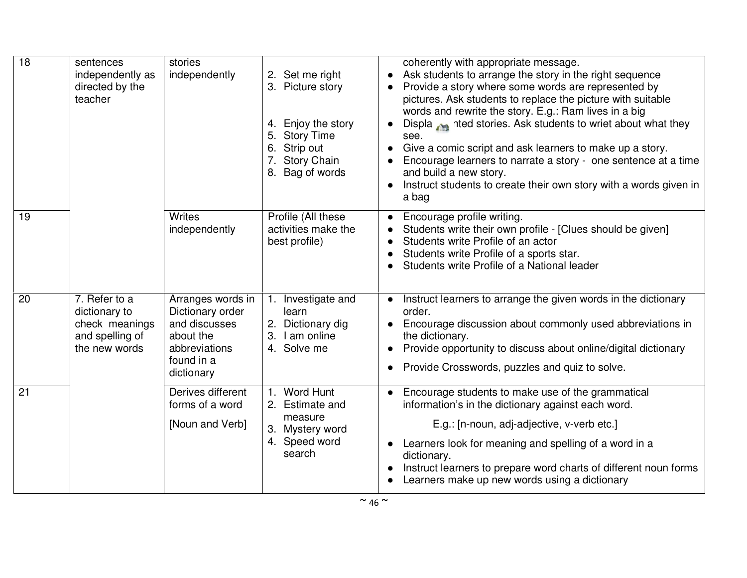| $\overline{18}$ | sentences<br>independently as<br>directed by the<br>teacher                          | stories<br>independently                                                                                         | 2. Set me right<br>3. Picture story<br>4. Enjoy the story<br>5.<br><b>Story Time</b><br>6. Strip out<br>7. Story Chain<br>8. Bag of words | coherently with appropriate message.<br>Ask students to arrange the story in the right sequence<br>$\bullet$<br>Provide a story where some words are represented by<br>pictures. Ask students to replace the picture with suitable<br>words and rewrite the story. E.g.: Ram lives in a big<br>Displa med stories. Ask students to wriet about what they<br>see.<br>Give a comic script and ask learners to make up a story.<br>$\bullet$<br>Encourage learners to narrate a story - one sentence at a time<br>and build a new story.<br>Instruct students to create their own story with a words given in<br>a bag |
|-----------------|--------------------------------------------------------------------------------------|------------------------------------------------------------------------------------------------------------------|-------------------------------------------------------------------------------------------------------------------------------------------|---------------------------------------------------------------------------------------------------------------------------------------------------------------------------------------------------------------------------------------------------------------------------------------------------------------------------------------------------------------------------------------------------------------------------------------------------------------------------------------------------------------------------------------------------------------------------------------------------------------------|
| 19              |                                                                                      | <b>Writes</b><br>independently                                                                                   | Profile (All these<br>activities make the<br>best profile)                                                                                | Encourage profile writing.<br>$\bullet$<br>Students write their own profile - [Clues should be given]<br>Students write Profile of an actor<br>Students write Profile of a sports star.<br>Students write Profile of a National leader                                                                                                                                                                                                                                                                                                                                                                              |
| 20              | 7. Refer to a<br>dictionary to<br>check meanings<br>and spelling of<br>the new words | Arranges words in<br>Dictionary order<br>and discusses<br>about the<br>abbreviations<br>found in a<br>dictionary | 1. Investigate and<br>learn<br>2. Dictionary dig<br>3.<br>I am online<br>4. Solve me                                                      | Instruct learners to arrange the given words in the dictionary<br>$\bullet$<br>order.<br>Encourage discussion about commonly used abbreviations in<br>the dictionary.<br>Provide opportunity to discuss about online/digital dictionary<br>Provide Crosswords, puzzles and quiz to solve.                                                                                                                                                                                                                                                                                                                           |
| 21              |                                                                                      | Derives different<br>forms of a word<br>[Noun and Verb]                                                          | Word Hunt<br>$\mathbf{1}$ .<br>2. Estimate and<br>measure<br>3. Mystery word<br>4. Speed word<br>search                                   | Encourage students to make use of the grammatical<br>$\bullet$<br>information's in the dictionary against each word.<br>E.g.: [n-noun, adj-adjective, v-verb etc.]<br>Learners look for meaning and spelling of a word in a<br>$\bullet$<br>dictionary.<br>Instruct learners to prepare word charts of different noun forms<br>Learners make up new words using a dictionary                                                                                                                                                                                                                                        |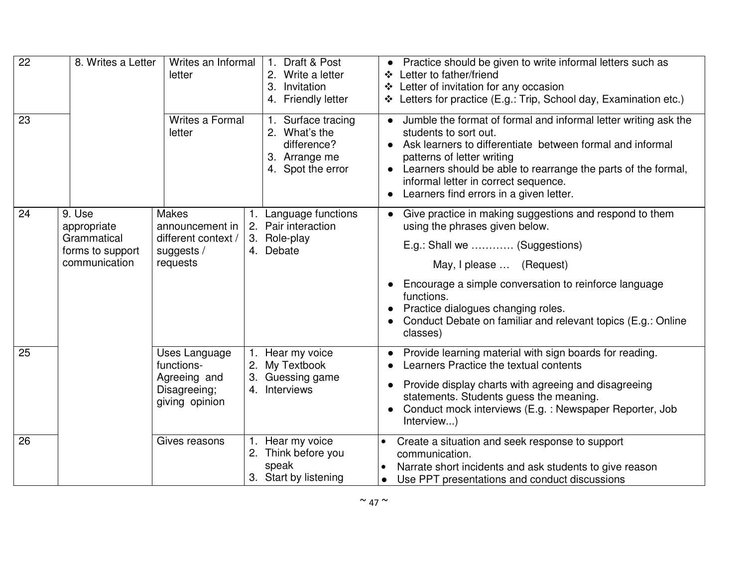| $\overline{22}$ |                                                                           | Writes an Informal<br>8. Writes a Letter<br>letter<br>Writes a Formal<br>letter  |  | Draft & Post<br>2. Write a letter<br>3. Invitation<br>4. Friendly letter                 | Practice should be given to write informal letters such as<br>❖ Letter to father/friend<br>❖ Letter of invitation for any occasion<br>Letters for practice (E.g.: Trip, School day, Examination etc.)                                                                                                                                                             |  |
|-----------------|---------------------------------------------------------------------------|----------------------------------------------------------------------------------|--|------------------------------------------------------------------------------------------|-------------------------------------------------------------------------------------------------------------------------------------------------------------------------------------------------------------------------------------------------------------------------------------------------------------------------------------------------------------------|--|
| 23              |                                                                           |                                                                                  |  | 1. Surface tracing<br>2. What's the<br>difference?<br>3. Arrange me<br>4. Spot the error | Jumble the format of formal and informal letter writing ask the<br>$\bullet$<br>students to sort out.<br>Ask learners to differentiate between formal and informal<br>$\bullet$<br>patterns of letter writing<br>Learners should be able to rearrange the parts of the formal,<br>informal letter in correct sequence.<br>Learners find errors in a given letter. |  |
| 24              | 9. Use<br>appropriate<br>Grammatical<br>forms to support<br>communication | <b>Makes</b><br>announcement in<br>different context /<br>suggests /<br>requests |  | 1. Language functions<br>2. Pair interaction<br>3. Role-play<br>4. Debate                | Give practice in making suggestions and respond to them<br>$\bullet$<br>using the phrases given below.<br>E.g.: Shall we  (Suggestions)<br>May, I please  (Request)<br>Encourage a simple conversation to reinforce language<br>functions.<br>Practice dialogues changing roles.<br>Conduct Debate on familiar and relevant topics (E.g.: Online<br>classes)      |  |
| 25              |                                                                           | Uses Language<br>functions-<br>Agreeing and<br>Disagreeing;<br>giving opinion    |  | 1. Hear my voice<br>2. My Textbook<br>3. Guessing game<br>4. Interviews                  | Provide learning material with sign boards for reading.<br>$\bullet$<br>Learners Practice the textual contents<br>Provide display charts with agreeing and disagreeing<br>statements. Students guess the meaning.<br>Conduct mock interviews (E.g. : Newspaper Reporter, Job<br>Interview)                                                                        |  |
| 26              |                                                                           | Gives reasons                                                                    |  | 1. Hear my voice<br>2. Think before you<br>speak<br>3. Start by listening                | Create a situation and seek response to support<br>communication.<br>Narrate short incidents and ask students to give reason<br>Use PPT presentations and conduct discussions                                                                                                                                                                                     |  |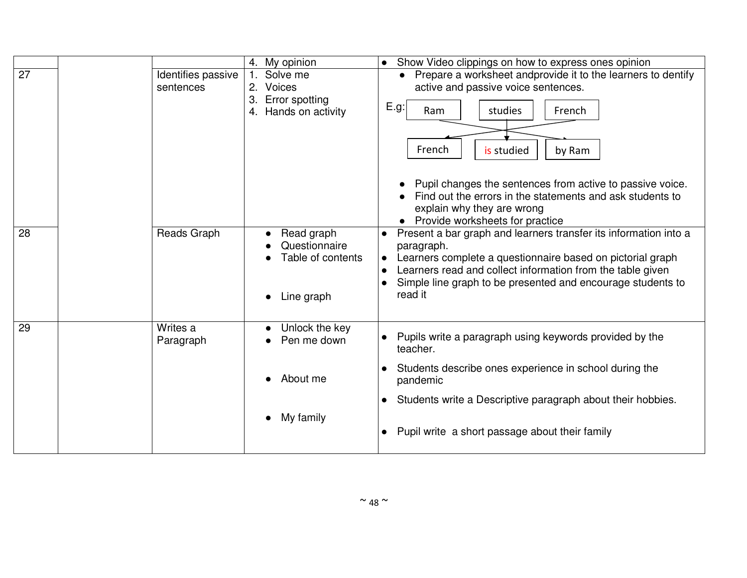|    |                                 | 4. My opinion                                                               | • Show Video clippings on how to express ones opinion                                                                                                                                                                                                                                                                                                                |
|----|---------------------------------|-----------------------------------------------------------------------------|----------------------------------------------------------------------------------------------------------------------------------------------------------------------------------------------------------------------------------------------------------------------------------------------------------------------------------------------------------------------|
| 27 | Identifies passive<br>sentences | Solve me<br>2. Voices<br>3. Error spotting<br>4. Hands on activity          | Prepare a worksheet andprovide it to the learners to dentify<br>active and passive voice sentences.<br>E.g:<br>Ram<br>French<br>studies<br>French<br>is studied<br>by Ram<br>Pupil changes the sentences from active to passive voice.<br>Find out the errors in the statements and ask students to<br>explain why they are wrong<br>Provide worksheets for practice |
| 28 | Reads Graph                     | Read graph<br>Questionnaire<br>Table of contents<br>Line graph<br>$\bullet$ | Present a bar graph and learners transfer its information into a<br>paragraph.<br>Learners complete a questionnaire based on pictorial graph<br>$\bullet$<br>Learners read and collect information from the table given<br>$\bullet$<br>Simple line graph to be presented and encourage students to<br>read it                                                       |
| 29 | Writes a<br>Paragraph           | Unlock the key<br>Pen me down                                               | Pupils write a paragraph using keywords provided by the<br>teacher.                                                                                                                                                                                                                                                                                                  |
|    |                                 | About me                                                                    | Students describe ones experience in school during the<br>pandemic                                                                                                                                                                                                                                                                                                   |
|    |                                 |                                                                             | Students write a Descriptive paragraph about their hobbies.<br>$\bullet$                                                                                                                                                                                                                                                                                             |
|    |                                 | My family<br>$\bullet$                                                      | Pupil write a short passage about their family<br>$\bullet$                                                                                                                                                                                                                                                                                                          |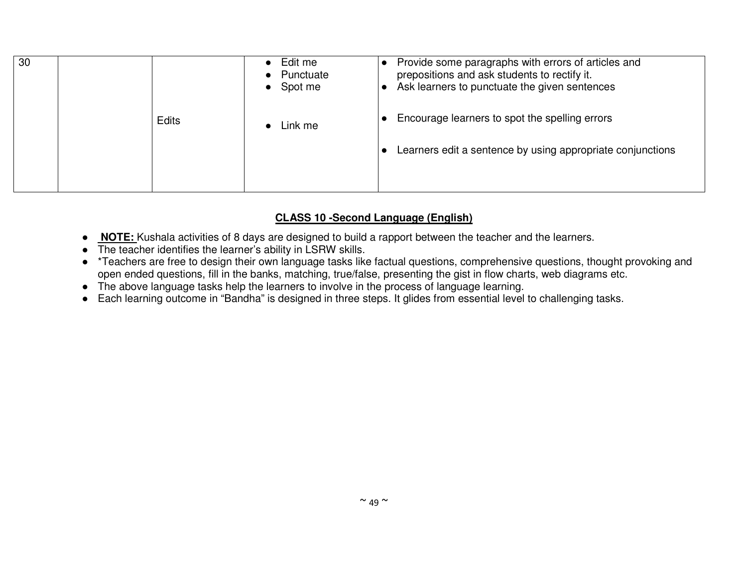| 30 |              | Edit me<br>Punctuate<br>Spot me<br>$\bullet$ | Provide some paragraphs with errors of articles and<br>$\bullet$<br>prepositions and ask students to rectify it.<br>Ask learners to punctuate the given sentences |
|----|--------------|----------------------------------------------|-------------------------------------------------------------------------------------------------------------------------------------------------------------------|
|    | <b>Edits</b> | Link me                                      | Encourage learners to spot the spelling errors                                                                                                                    |
|    |              |                                              | Learners edit a sentence by using appropriate conjunctions                                                                                                        |
|    |              |                                              |                                                                                                                                                                   |

## **CLASS 10 -Second Language (English)**

- ● **NOTE:** Kushala activities of 8 days are designed to build a rapport between the teacher and the learners.
- The teacher identifies the learner's ability in LSRW skills.
- \*Teachers are free to design their own language tasks like factual questions, comprehensive questions, thought provoking and open ended questions, fill in the banks, matching, true/false, presenting the gist in flow charts, web diagrams etc.
- The above language tasks help the learners to involve in the process of language learning.
- Each learning outcome in "Bandha" is designed in three steps. It glides from essential level to challenging tasks.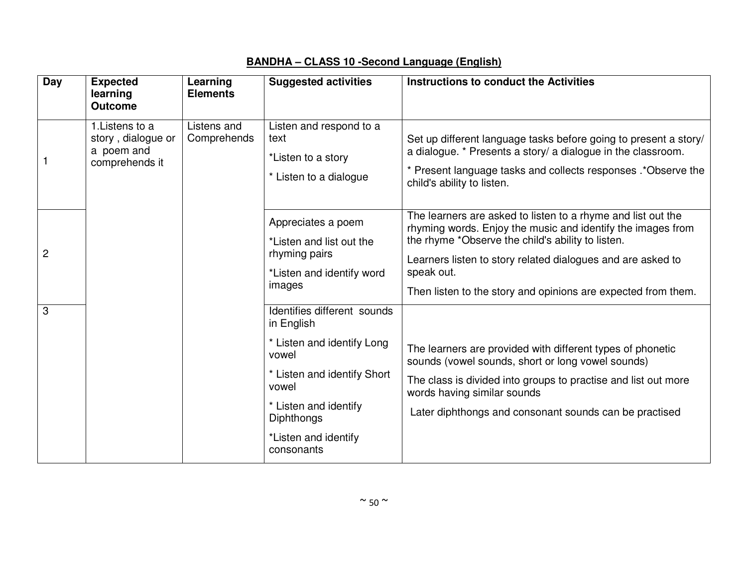| <b>Day</b>     | <b>Expected</b><br>learning<br><b>Outcome</b>                         | Learning<br><b>Elements</b> | <b>Suggested activities</b>                                                                                                                                                                                  | <b>Instructions to conduct the Activities</b>                                                                                                                                                                                                                                                                                  |
|----------------|-----------------------------------------------------------------------|-----------------------------|--------------------------------------------------------------------------------------------------------------------------------------------------------------------------------------------------------------|--------------------------------------------------------------------------------------------------------------------------------------------------------------------------------------------------------------------------------------------------------------------------------------------------------------------------------|
| 1              | 1. Listens to a<br>story, dialogue or<br>a poem and<br>comprehends it | Listens and<br>Comprehends  | Listen and respond to a<br>text<br>*Listen to a story<br>* Listen to a dialogue                                                                                                                              | Set up different language tasks before going to present a story/<br>a dialogue. * Presents a story/ a dialogue in the classroom.<br>* Present language tasks and collects responses .* Observe the<br>child's ability to listen.                                                                                               |
| $\overline{2}$ |                                                                       |                             | Appreciates a poem<br>*Listen and list out the<br>rhyming pairs<br>*Listen and identify word<br>images                                                                                                       | The learners are asked to listen to a rhyme and list out the<br>rhyming words. Enjoy the music and identify the images from<br>the rhyme *Observe the child's ability to listen.<br>Learners listen to story related dialogues and are asked to<br>speak out.<br>Then listen to the story and opinions are expected from them. |
| 3              |                                                                       |                             | Identifies different sounds<br>in English<br>* Listen and identify Long<br>vowel<br>* Listen and identify Short<br>vowel<br>* Listen and identify<br><b>Diphthongs</b><br>*Listen and identify<br>consonants | The learners are provided with different types of phonetic<br>sounds (vowel sounds, short or long vowel sounds)<br>The class is divided into groups to practise and list out more<br>words having similar sounds<br>Later diphthongs and consonant sounds can be practised                                                     |

# **BANDHA – CLASS 10 -Second Language (English)**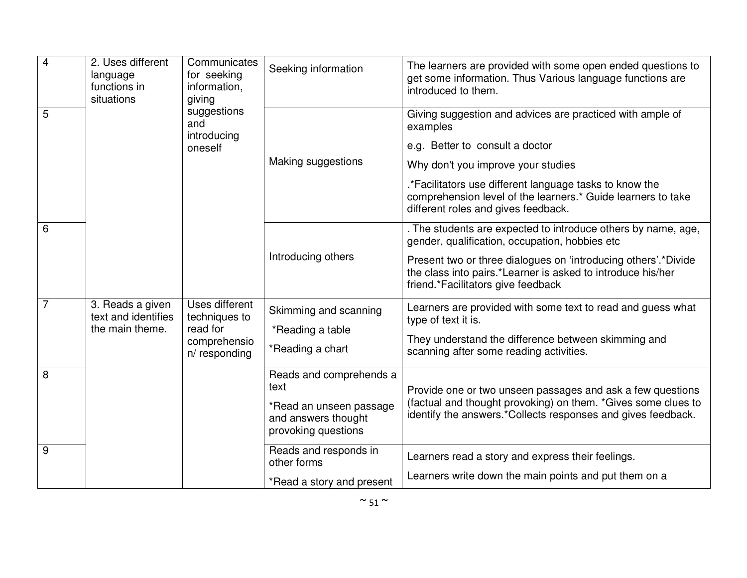| $\overline{4}$ | 2. Uses different<br>language<br>functions in<br>situations | Communicates<br>for seeking<br>information,<br>giving<br>suggestions<br>and<br>introducing<br>oneself | Seeking information                                                                                      | The learners are provided with some open ended questions to<br>get some information. Thus Various language functions are<br>introduced to them.                                                                                                                                                                  |
|----------------|-------------------------------------------------------------|-------------------------------------------------------------------------------------------------------|----------------------------------------------------------------------------------------------------------|------------------------------------------------------------------------------------------------------------------------------------------------------------------------------------------------------------------------------------------------------------------------------------------------------------------|
| 5              |                                                             |                                                                                                       | Making suggestions                                                                                       | Giving suggestion and advices are practiced with ample of<br>examples<br>e.g. Better to consult a doctor<br>Why don't you improve your studies<br>.*Facilitators use different language tasks to know the<br>comprehension level of the learners.* Guide learners to take<br>different roles and gives feedback. |
| 6              |                                                             |                                                                                                       | Introducing others                                                                                       | . The students are expected to introduce others by name, age,<br>gender, qualification, occupation, hobbies etc<br>Present two or three dialogues on 'introducing others'.*Divide<br>the class into pairs.*Learner is asked to introduce his/her<br>friend.*Facilitators give feedback                           |
|                | 3. Reads a given<br>text and identifies<br>the main theme.  | Uses different<br>techniques to<br>read for<br>comprehensio<br>n/responding                           | Skimming and scanning<br>*Reading a table<br>*Reading a chart                                            | Learners are provided with some text to read and guess what<br>type of text it is.<br>They understand the difference between skimming and<br>scanning after some reading activities.                                                                                                                             |
| 8              |                                                             |                                                                                                       | Reads and comprehends a<br>text<br>*Read an unseen passage<br>and answers thought<br>provoking questions | Provide one or two unseen passages and ask a few questions<br>(factual and thought provoking) on them. *Gives some clues to<br>identify the answers.*Collects responses and gives feedback.                                                                                                                      |
| 9              |                                                             |                                                                                                       | Reads and responds in<br>other forms<br>*Read a story and present                                        | Learners read a story and express their feelings.<br>Learners write down the main points and put them on a                                                                                                                                                                                                       |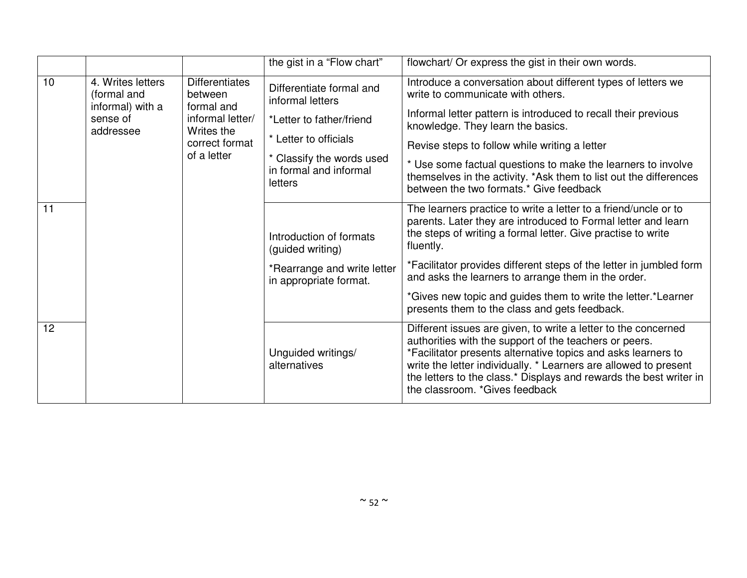|    |                                           |                                                | the gist in a "Flow chart"                                     | flowchart/ Or express the gist in their own words.                                                                                                                                                                                                                                                                                                                    |
|----|-------------------------------------------|------------------------------------------------|----------------------------------------------------------------|-----------------------------------------------------------------------------------------------------------------------------------------------------------------------------------------------------------------------------------------------------------------------------------------------------------------------------------------------------------------------|
| 10 | 4. Writes letters<br>(formal and          | <b>Differentiates</b><br>between<br>formal and | Differentiate formal and<br>informal letters                   | Introduce a conversation about different types of letters we<br>write to communicate with others.                                                                                                                                                                                                                                                                     |
|    | informal) with a<br>sense of<br>addressee | informal letter/<br>Writes the                 | *Letter to father/friend                                       | Informal letter pattern is introduced to recall their previous<br>knowledge. They learn the basics.                                                                                                                                                                                                                                                                   |
|    |                                           | correct format                                 | * Letter to officials                                          | Revise steps to follow while writing a letter                                                                                                                                                                                                                                                                                                                         |
|    |                                           | of a letter                                    | * Classify the words used<br>in formal and informal<br>letters | * Use some factual questions to make the learners to involve<br>themselves in the activity. *Ask them to list out the differences<br>between the two formats.* Give feedback                                                                                                                                                                                          |
| 11 |                                           |                                                | Introduction of formats<br>(guided writing)                    | The learners practice to write a letter to a friend/uncle or to<br>parents. Later they are introduced to Formal letter and learn<br>the steps of writing a formal letter. Give practise to write<br>fluently.                                                                                                                                                         |
|    |                                           |                                                | *Rearrange and write letter<br>in appropriate format.          | *Facilitator provides different steps of the letter in jumbled form<br>and asks the learners to arrange them in the order.                                                                                                                                                                                                                                            |
|    |                                           |                                                |                                                                | *Gives new topic and guides them to write the letter.*Learner<br>presents them to the class and gets feedback.                                                                                                                                                                                                                                                        |
| 12 |                                           |                                                | Unguided writings/<br>alternatives                             | Different issues are given, to write a letter to the concerned<br>authorities with the support of the teachers or peers.<br>*Facilitator presents alternative topics and asks learners to<br>write the letter individually. * Learners are allowed to present<br>the letters to the class.* Displays and rewards the best writer in<br>the classroom. *Gives feedback |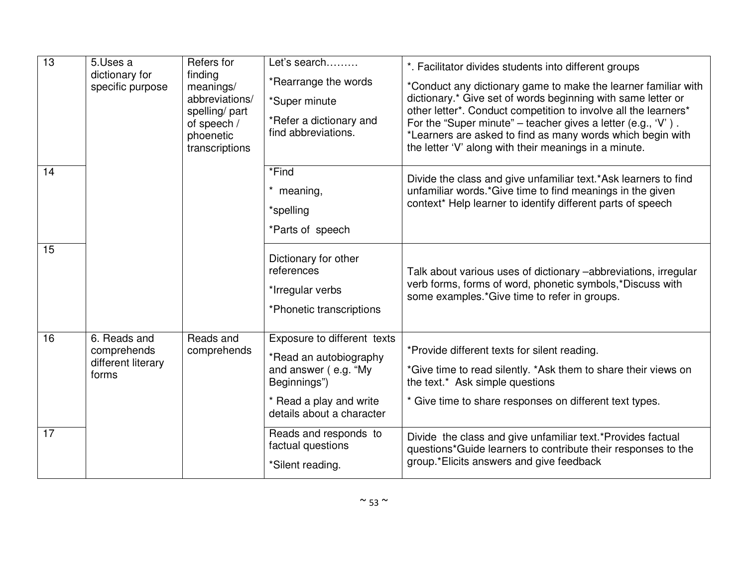| 13 | 5.Uses a<br>dictionary for                                 | Refers for<br>finding                                                                      | Let's search<br>*Rearrange the words                                                                                     | *. Facilitator divides students into different groups                                                                                                                                                                                                                                                                                                                                    |
|----|------------------------------------------------------------|--------------------------------------------------------------------------------------------|--------------------------------------------------------------------------------------------------------------------------|------------------------------------------------------------------------------------------------------------------------------------------------------------------------------------------------------------------------------------------------------------------------------------------------------------------------------------------------------------------------------------------|
|    | specific purpose                                           | meanings/<br>abbreviations/<br>spelling/part<br>of speech /<br>phoenetic<br>transcriptions | *Super minute<br>*Refer a dictionary and<br>find abbreviations.                                                          | *Conduct any dictionary game to make the learner familiar with<br>dictionary.* Give set of words beginning with same letter or<br>other letter*. Conduct competition to involve all the learners*<br>For the "Super minute" – teacher gives a letter (e.g., 'V').<br>*Learners are asked to find as many words which begin with<br>the letter 'V' along with their meanings in a minute. |
| 14 |                                                            |                                                                                            | *Find<br>meaning,<br>*spelling<br>*Parts of speech                                                                       | Divide the class and give unfamiliar text.*Ask learners to find<br>unfamiliar words.*Give time to find meanings in the given<br>context* Help learner to identify different parts of speech                                                                                                                                                                                              |
| 15 |                                                            |                                                                                            | Dictionary for other<br>references<br>*Irregular verbs<br>*Phonetic transcriptions                                       | Talk about various uses of dictionary -abbreviations, irregular<br>verb forms, forms of word, phonetic symbols,*Discuss with<br>some examples.*Give time to refer in groups.                                                                                                                                                                                                             |
| 16 | 6. Reads and<br>comprehends<br>different literary<br>forms | Reads and<br>comprehends                                                                   | Exposure to different texts<br>*Read an autobiography<br>and answer (e.g. "My<br>Beginnings")<br>* Read a play and write | *Provide different texts for silent reading.<br>*Give time to read silently. *Ask them to share their views on<br>the text.* Ask simple questions<br>* Give time to share responses on different text types.                                                                                                                                                                             |
| 17 |                                                            |                                                                                            | details about a character<br>Reads and responds to<br>factual questions<br>*Silent reading.                              | Divide the class and give unfamiliar text.*Provides factual<br>questions*Guide learners to contribute their responses to the<br>group.*Elicits answers and give feedback                                                                                                                                                                                                                 |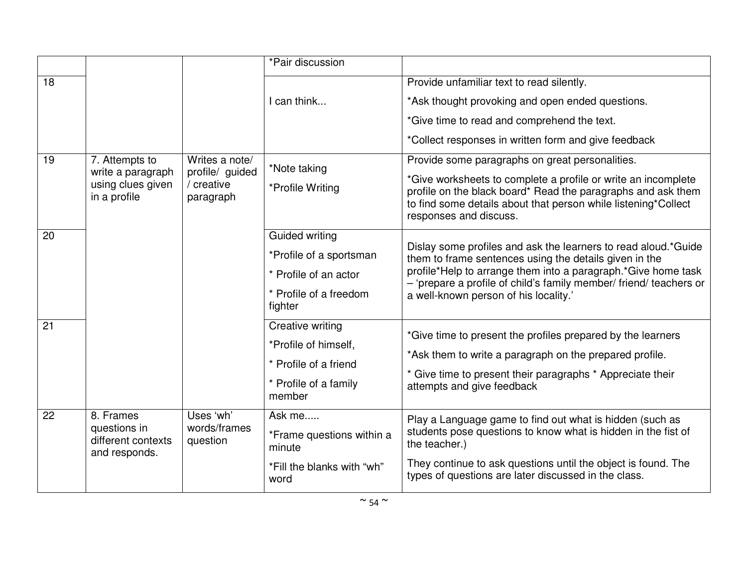|    |                                                                                                                                          |                                       | *Pair discussion                                                                                                                                                                                                                                                             |                                                                                                                                                                                                                                                                                                          |
|----|------------------------------------------------------------------------------------------------------------------------------------------|---------------------------------------|------------------------------------------------------------------------------------------------------------------------------------------------------------------------------------------------------------------------------------------------------------------------------|----------------------------------------------------------------------------------------------------------------------------------------------------------------------------------------------------------------------------------------------------------------------------------------------------------|
| 18 |                                                                                                                                          |                                       |                                                                                                                                                                                                                                                                              | Provide unfamiliar text to read silently.                                                                                                                                                                                                                                                                |
|    |                                                                                                                                          |                                       | I can think                                                                                                                                                                                                                                                                  | *Ask thought provoking and open ended questions.                                                                                                                                                                                                                                                         |
|    |                                                                                                                                          |                                       |                                                                                                                                                                                                                                                                              | *Give time to read and comprehend the text.                                                                                                                                                                                                                                                              |
|    |                                                                                                                                          |                                       |                                                                                                                                                                                                                                                                              | *Collect responses in written form and give feedback                                                                                                                                                                                                                                                     |
| 19 | Writes a note/<br>7. Attempts to<br>profile/ guided<br>write a paragraph<br>using clues given<br>/ creative<br>in a profile<br>paragraph | *Note taking<br>*Profile Writing      | Provide some paragraphs on great personalities.<br>*Give worksheets to complete a profile or write an incomplete<br>profile on the black board* Read the paragraphs and ask them<br>to find some details about that person while listening*Collect<br>responses and discuss. |                                                                                                                                                                                                                                                                                                          |
| 20 |                                                                                                                                          |                                       | <b>Guided writing</b>                                                                                                                                                                                                                                                        |                                                                                                                                                                                                                                                                                                          |
|    |                                                                                                                                          |                                       | *Profile of a sportsman<br>* Profile of an actor<br>* Profile of a freedom<br>fighter                                                                                                                                                                                        | Dislay some profiles and ask the learners to read aloud.*Guide<br>them to frame sentences using the details given in the<br>profile*Help to arrange them into a paragraph.*Give home task<br>- 'prepare a profile of child's family member/ friend/ teachers or<br>a well-known person of his locality.' |
| 21 |                                                                                                                                          |                                       | <b>Creative writing</b><br>*Profile of himself,<br>* Profile of a friend<br>* Profile of a family<br>member                                                                                                                                                                  | *Give time to present the profiles prepared by the learners<br>*Ask them to write a paragraph on the prepared profile.<br>* Give time to present their paragraphs * Appreciate their<br>attempts and give feedback                                                                                       |
| 22 | 8. Frames<br>questions in<br>different contexts<br>and responds.                                                                         | Uses 'wh'<br>words/frames<br>question | Ask me<br>*Frame questions within a<br>minute<br>*Fill the blanks with "wh"<br>word                                                                                                                                                                                          | Play a Language game to find out what is hidden (such as<br>students pose questions to know what is hidden in the fist of<br>the teacher.)<br>They continue to ask questions until the object is found. The<br>types of questions are later discussed in the class.                                      |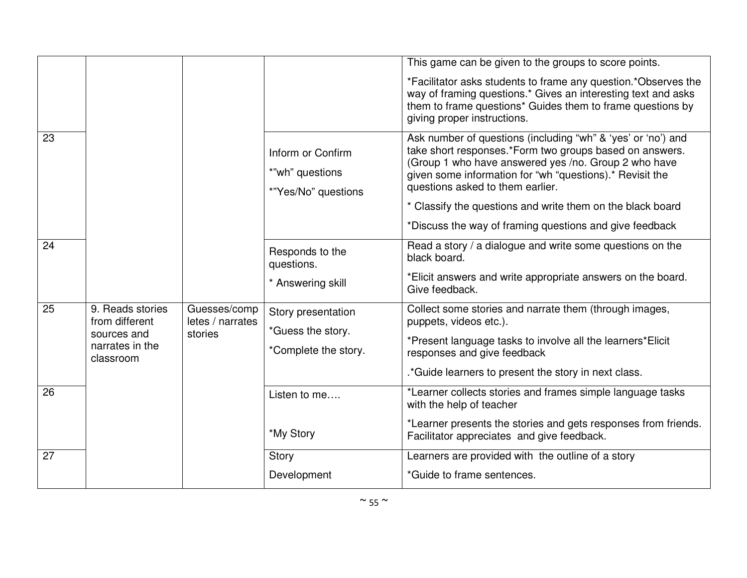|    |                                                        |                                                             |                                                                                                                                                                                                                                                                                                                                               | This game can be given to the groups to score points.                                                        |
|----|--------------------------------------------------------|-------------------------------------------------------------|-----------------------------------------------------------------------------------------------------------------------------------------------------------------------------------------------------------------------------------------------------------------------------------------------------------------------------------------------|--------------------------------------------------------------------------------------------------------------|
|    |                                                        |                                                             | *Facilitator asks students to frame any question.*Observes the<br>way of framing questions.* Gives an interesting text and asks<br>them to frame questions* Guides them to frame questions by<br>giving proper instructions.                                                                                                                  |                                                                                                              |
| 23 |                                                        | Inform or Confirm<br>*"wh" questions<br>*"Yes/No" questions | Ask number of questions (including "wh" & 'yes' or 'no') and<br>take short responses.*Form two groups based on answers.<br>(Group 1 who have answered yes /no. Group 2 who have<br>given some information for "wh "questions).* Revisit the<br>questions asked to them earlier.<br>* Classify the questions and write them on the black board |                                                                                                              |
|    |                                                        |                                                             |                                                                                                                                                                                                                                                                                                                                               | *Discuss the way of framing questions and give feedback                                                      |
| 24 |                                                        | Responds to the<br>questions.                               | Read a story / a dialogue and write some questions on the<br>black board.                                                                                                                                                                                                                                                                     |                                                                                                              |
|    |                                                        | * Answering skill                                           | *Elicit answers and write appropriate answers on the board.<br>Give feedback.                                                                                                                                                                                                                                                                 |                                                                                                              |
| 25 | 9. Reads stories<br>from different                     | Guesses/comp<br>letes / narrates                            | Story presentation<br>*Guess the story.                                                                                                                                                                                                                                                                                                       | Collect some stories and narrate them (through images,<br>puppets, videos etc.).                             |
|    | stories<br>sources and<br>narrates in the<br>classroom | *Complete the story.                                        | *Present language tasks to involve all the learners*Elicit<br>responses and give feedback                                                                                                                                                                                                                                                     |                                                                                                              |
|    |                                                        |                                                             | .*Guide learners to present the story in next class.                                                                                                                                                                                                                                                                                          |                                                                                                              |
| 26 |                                                        |                                                             | Listen to me                                                                                                                                                                                                                                                                                                                                  | *Learner collects stories and frames simple language tasks<br>with the help of teacher                       |
|    |                                                        |                                                             | *My Story                                                                                                                                                                                                                                                                                                                                     | *Learner presents the stories and gets responses from friends.<br>Facilitator appreciates and give feedback. |
| 27 |                                                        |                                                             | Story                                                                                                                                                                                                                                                                                                                                         | Learners are provided with the outline of a story                                                            |
|    |                                                        |                                                             | Development                                                                                                                                                                                                                                                                                                                                   | *Guide to frame sentences.                                                                                   |